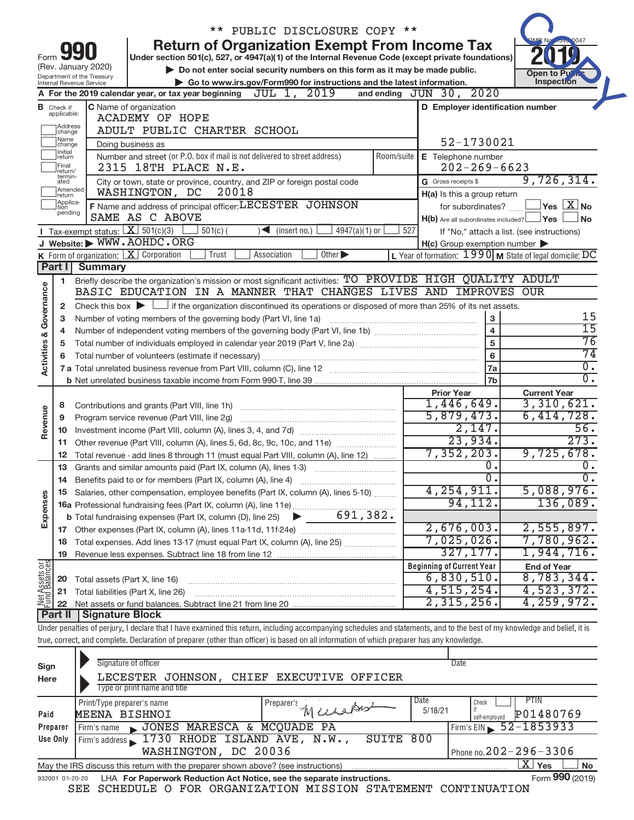|                         |                               |                                                        |                                                                                                                                                                            | ** PUBLIC DISCLOSURE COPY **                                                |            |                                                     |                         |                                                                   |
|-------------------------|-------------------------------|--------------------------------------------------------|----------------------------------------------------------------------------------------------------------------------------------------------------------------------------|-----------------------------------------------------------------------------|------------|-----------------------------------------------------|-------------------------|-------------------------------------------------------------------|
| Form                    |                               |                                                        | Under section 501(c), 527, or 4947(a)(1) of the Internal Revenue Code (except private foundations)                                                                         | <b>Return of Organization Exempt From Income Tax</b>                        |            |                                                     |                         |                                                                   |
|                         |                               | (Rev. January 2020)                                    |                                                                                                                                                                            | Do not enter social security numbers on this form as it may be made public. |            |                                                     |                         | Open to Pu                                                        |
|                         |                               | Department of the Treasury<br>Internal Revenue Service |                                                                                                                                                                            | Go to www.irs.gov/Form990 for instructions and the latest information.      |            |                                                     |                         | Inspection                                                        |
|                         |                               |                                                        | A For the 2019 calendar year, or tax year beginning                                                                                                                        | JUL 1, 2019                                                                 |            | and ending JUN 30, 2020                             |                         |                                                                   |
|                         | <b>B</b> Check if applicable: |                                                        | C Name of organization                                                                                                                                                     |                                                                             |            | D Employer identification number                    |                         |                                                                   |
|                         |                               |                                                        | <b>ACADEMY OF HOPE</b>                                                                                                                                                     |                                                                             |            |                                                     |                         |                                                                   |
|                         | Address<br>change             |                                                        | ADULT PUBLIC CHARTER SCHOOL                                                                                                                                                |                                                                             |            |                                                     |                         |                                                                   |
|                         | Name<br>change<br>Initial     |                                                        | Doing business as                                                                                                                                                          |                                                                             |            |                                                     | 52-1730021              |                                                                   |
|                         | return<br>Final               |                                                        | Number and street (or P.O. box if mail is not delivered to street address)<br>2315 18TH PLACE N.E.                                                                         |                                                                             | Room/suite | E Telephone number                                  | $202 - 269 - 6623$      |                                                                   |
|                         | return/<br>termin-<br>ated    |                                                        | City or town, state or province, country, and ZIP or foreign postal code                                                                                                   |                                                                             |            | G Gross receipts \$                                 |                         | 9,726,314.                                                        |
|                         | Amended<br>Ireturn            |                                                        | WASHINGTON, DC<br>20018                                                                                                                                                    |                                                                             |            | H(a) Is this a group return                         |                         |                                                                   |
|                         | Applica-<br>Ition             |                                                        | F Name and address of principal officer: LECESTER JOHNSON                                                                                                                  |                                                                             |            |                                                     | for subordinates?       | $\overline{\,}$ Yes $\overline{\,\rm X}$ No                       |
|                         | pending                       |                                                        | SAME AS C ABOVE                                                                                                                                                            |                                                                             |            |                                                     |                         | $H(b)$ Are all subordinates included? $\Box$ Yes<br>⊥No           |
|                         |                               |                                                        | Tax-exempt status: $X \over 301(c)(3)$<br>$501(c)$ (                                                                                                                       | $\sqrt{\frac{1}{1}}$ (insert no.)<br>$4947(a)(1)$ or                        | 527        |                                                     |                         | If "No," attach a list. (see instructions)                        |
|                         |                               |                                                        | J Website: WWW.AOHDC.ORG                                                                                                                                                   |                                                                             |            | $H(c)$ Group exemption number $\blacktriangleright$ |                         |                                                                   |
|                         |                               |                                                        | <b>K</b> Form of organization: $\boxed{\textbf{X}}$ Corporation<br>Trust                                                                                                   | Other $\blacktriangleright$<br>Association                                  |            |                                                     |                         | L Year of formation: $1990 \text{ M}$ State of legal domicile: DC |
|                         | Part I                        | <b>Summary</b>                                         |                                                                                                                                                                            |                                                                             |            |                                                     |                         |                                                                   |
|                         | 1                             |                                                        | Briefly describe the organization's mission or most significant activities: TO PROVIDE HIGH QUALITY ADULT                                                                  |                                                                             |            |                                                     |                         |                                                                   |
| Activities & Governance |                               |                                                        | BASIC EDUCATION IN A MANNER THAT CHANGES LIVES AND IMPROVES OUR                                                                                                            |                                                                             |            |                                                     |                         |                                                                   |
|                         | 2                             |                                                        | Check this box $\blacktriangleright$ $\Box$ if the organization discontinued its operations or disposed of more than 25% of its net assets.                                |                                                                             |            |                                                     |                         |                                                                   |
|                         | 3                             |                                                        | Number of voting members of the governing body (Part VI, line 1a)                                                                                                          |                                                                             |            |                                                     | $\mathbf{3}$            | 15                                                                |
|                         | 4                             |                                                        |                                                                                                                                                                            |                                                                             |            |                                                     | $\overline{\mathbf{4}}$ | $\overline{15}$                                                   |
|                         | 5                             |                                                        |                                                                                                                                                                            |                                                                             |            |                                                     | $\overline{5}$          | 76                                                                |
|                         | 6                             |                                                        |                                                                                                                                                                            |                                                                             |            |                                                     | $6\phantom{a}$          | 74                                                                |
|                         |                               |                                                        |                                                                                                                                                                            |                                                                             |            |                                                     | 7a                      | $\overline{0}$ .                                                  |
|                         |                               |                                                        |                                                                                                                                                                            |                                                                             |            |                                                     | 7 <sub>b</sub>          | $\overline{0}$ .                                                  |
|                         |                               |                                                        |                                                                                                                                                                            |                                                                             |            | <b>Prior Year</b>                                   |                         | <b>Current Year</b>                                               |
|                         | 8                             |                                                        | Contributions and grants (Part VIII, line 1h)                                                                                                                              |                                                                             |            | 1,446,649.                                          |                         | 3,310,621.                                                        |
| Revenue                 | 9                             |                                                        | Program service revenue (Part VIII, line 2g)                                                                                                                               |                                                                             |            | 5,879,473.                                          |                         | 6,414,728.                                                        |
|                         | 10                            |                                                        |                                                                                                                                                                            |                                                                             |            |                                                     | 2,147.                  | 56.                                                               |
|                         | 11                            |                                                        | Other revenue (Part VIII, column (A), lines 5, 6d, 8c, 9c, 10c, and 11e)                                                                                                   |                                                                             |            |                                                     | 23,934.                 | 273.                                                              |
|                         | 12                            |                                                        | Total revenue - add lines 8 through 11 (must equal Part VIII, column (A), line 12)                                                                                         |                                                                             |            | 7, 352, 203.                                        |                         | 9,725,678.                                                        |
|                         | 13                            |                                                        | Grants and similar amounts paid (Part IX, column (A), lines 1-3)                                                                                                           |                                                                             |            |                                                     | 0.                      | 0.                                                                |
|                         | 14                            |                                                        |                                                                                                                                                                            |                                                                             |            | 4, 254, 911.                                        | 0.                      | 0.<br>5,088,976.                                                  |
|                         | 15                            |                                                        | Salaries, other compensation, employee benefits (Part IX, column (A), lines 5-10)                                                                                          |                                                                             |            |                                                     | 94, 112.                | 136,089.                                                          |
| Expenses                |                               |                                                        |                                                                                                                                                                            | 691, 382.                                                                   |            |                                                     |                         |                                                                   |
|                         |                               |                                                        | <b>b</b> Total fundraising expenses (Part IX, column (D), line 25)                                                                                                         | $\blacktriangleright$                                                       |            | 2,676,003.                                          |                         | 2,555,897.                                                        |
|                         | 17                            |                                                        |                                                                                                                                                                            |                                                                             |            | 7,025,026.                                          |                         | 7,780,962.                                                        |
|                         | 18                            |                                                        | Total expenses. Add lines 13-17 (must equal Part IX, column (A), line 25)                                                                                                  |                                                                             |            |                                                     | 327, 177.               | 1,944,716.                                                        |
|                         | 19                            |                                                        |                                                                                                                                                                            |                                                                             |            | <b>Beginning of Current Year</b>                    |                         | <b>End of Year</b>                                                |
|                         | 20                            |                                                        | Total assets (Part X, line 16)                                                                                                                                             |                                                                             |            | 6,830,510.                                          |                         | 8,783,344.                                                        |
| Net Assets or           | 21                            |                                                        | Total liabilities (Part X, line 26)                                                                                                                                        |                                                                             |            | 4,515,254.                                          |                         | 4,523,372.                                                        |
|                         | 22                            |                                                        |                                                                                                                                                                            |                                                                             |            | 2,315,256.                                          |                         | 4, 259, 972.                                                      |
|                         | Part II                       | Signature Block                                        |                                                                                                                                                                            |                                                                             |            |                                                     |                         |                                                                   |
|                         |                               |                                                        | Under penalties of perjury, I declare that I have examined this return, including accompanying schedules and statements, and to the best of my knowledge and belief, it is |                                                                             |            |                                                     |                         |                                                                   |
|                         |                               |                                                        | true, correct, and complete. Declaration of preparer (other than officer) is based on all information of which preparer has any knowledge.                                 |                                                                             |            |                                                     |                         |                                                                   |
|                         |                               |                                                        |                                                                                                                                                                            |                                                                             |            |                                                     |                         |                                                                   |
| Sign                    |                               |                                                        | Signature of officer                                                                                                                                                       |                                                                             |            | Date                                                |                         |                                                                   |
| Here                    |                               |                                                        | LECESTER JOHNSON,                                                                                                                                                          | CHIEF EXECUTIVE OFFICER                                                     |            |                                                     |                         |                                                                   |
|                         |                               |                                                        | Type or print name and title                                                                                                                                               |                                                                             |            |                                                     |                         |                                                                   |
|                         |                               | Print/Type preparer's name                             |                                                                                                                                                                            |                                                                             |            | Date                                                | Check                   | PTIN                                                              |
| Paid                    |                               | MEENA RISHNOT                                          |                                                                                                                                                                            | Preparer's Mechanist                                                        |            | 5/18/21                                             | if                      | P01480769                                                         |

| Paid                                                                                                                | MEENA BISHNOI                                                                                                | Musson | 5/18/21 |                                         | $\int_{self\text{-emptyed}}^{ft} \mathbf{P01480769}$ |  |  |  |
|---------------------------------------------------------------------------------------------------------------------|--------------------------------------------------------------------------------------------------------------|--------|---------|-----------------------------------------|------------------------------------------------------|--|--|--|
| Preparer                                                                                                            | Firm's name JONES MARESCA & MCQUADE PA                                                                       |        |         | $I$ Firm's EIN $\frac{52 - 1853933}{I}$ |                                                      |  |  |  |
| Use Only                                                                                                            | Firm's address 1730 RHODE ISLAND AVE, N.W., SUITE 800                                                        |        |         |                                         |                                                      |  |  |  |
|                                                                                                                     | WASHINGTON, DC 20036                                                                                         |        |         | Phone no. $202 - 296 - 3306$            |                                                      |  |  |  |
| $X \mid Y_{\mathsf{es}}$<br>Nο<br>May the IRS discuss this return with the preparer shown above? (see instructions) |                                                                                                              |        |         |                                         |                                                      |  |  |  |
|                                                                                                                     | Form 990 (2019)<br>LHA For Paperwork Reduction Act Notice, see the separate instructions.<br>932001 01-20-20 |        |         |                                         |                                                      |  |  |  |

SEE SCHEDULE O FOR ORGANIZATION MISSION STATEMENT CONTINUATION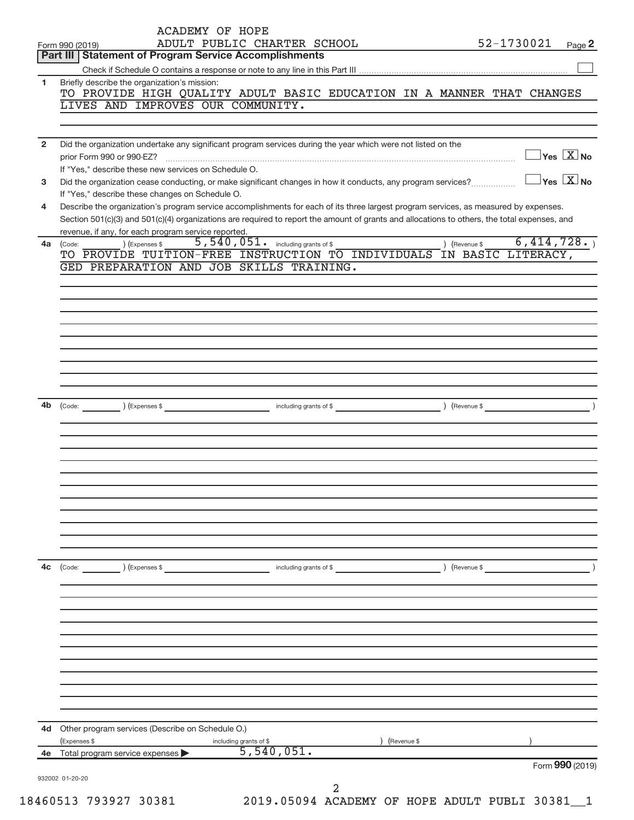| <b>Part III   Statement of Program Service Accomplishments</b><br>Briefly describe the organization's mission:<br>LIVES AND IMPROVES OUR COMMUNITY.<br>If "Yes," describe these new services on Schedule O.<br>If "Yes," describe these changes on Schedule O.<br>revenue, if any, for each program service reported. | TO PROVIDE HIGH QUALITY ADULT BASIC EDUCATION IN A MANNER THAT CHANGES<br>Did the organization undertake any significant program services during the year which were not listed on the<br>Did the organization cease conducting, or make significant changes in how it conducts, any program services?<br>Describe the organization's program service accomplishments for each of its three largest program services, as measured by expenses.<br>Section 501(c)(3) and 501(c)(4) organizations are required to report the amount of grants and allocations to others, the total expenses, and | $\Box$ Yes $\boxed{\mathrm{X}}$ No<br>$\Box$ Yes $[\overline{\mathrm{X}}]$ No                        |
|-----------------------------------------------------------------------------------------------------------------------------------------------------------------------------------------------------------------------------------------------------------------------------------------------------------------------|------------------------------------------------------------------------------------------------------------------------------------------------------------------------------------------------------------------------------------------------------------------------------------------------------------------------------------------------------------------------------------------------------------------------------------------------------------------------------------------------------------------------------------------------------------------------------------------------|------------------------------------------------------------------------------------------------------|
|                                                                                                                                                                                                                                                                                                                       |                                                                                                                                                                                                                                                                                                                                                                                                                                                                                                                                                                                                |                                                                                                      |
|                                                                                                                                                                                                                                                                                                                       |                                                                                                                                                                                                                                                                                                                                                                                                                                                                                                                                                                                                |                                                                                                      |
|                                                                                                                                                                                                                                                                                                                       |                                                                                                                                                                                                                                                                                                                                                                                                                                                                                                                                                                                                |                                                                                                      |
|                                                                                                                                                                                                                                                                                                                       |                                                                                                                                                                                                                                                                                                                                                                                                                                                                                                                                                                                                |                                                                                                      |
|                                                                                                                                                                                                                                                                                                                       |                                                                                                                                                                                                                                                                                                                                                                                                                                                                                                                                                                                                |                                                                                                      |
|                                                                                                                                                                                                                                                                                                                       |                                                                                                                                                                                                                                                                                                                                                                                                                                                                                                                                                                                                |                                                                                                      |
|                                                                                                                                                                                                                                                                                                                       |                                                                                                                                                                                                                                                                                                                                                                                                                                                                                                                                                                                                |                                                                                                      |
|                                                                                                                                                                                                                                                                                                                       |                                                                                                                                                                                                                                                                                                                                                                                                                                                                                                                                                                                                |                                                                                                      |
|                                                                                                                                                                                                                                                                                                                       |                                                                                                                                                                                                                                                                                                                                                                                                                                                                                                                                                                                                |                                                                                                      |
|                                                                                                                                                                                                                                                                                                                       |                                                                                                                                                                                                                                                                                                                                                                                                                                                                                                                                                                                                |                                                                                                      |
|                                                                                                                                                                                                                                                                                                                       |                                                                                                                                                                                                                                                                                                                                                                                                                                                                                                                                                                                                |                                                                                                      |
|                                                                                                                                                                                                                                                                                                                       |                                                                                                                                                                                                                                                                                                                                                                                                                                                                                                                                                                                                |                                                                                                      |
| ) (Expenses \$<br>(Code:                                                                                                                                                                                                                                                                                              | 5,540,051. including grants of \$                                                                                                                                                                                                                                                                                                                                                                                                                                                                                                                                                              | 6,414,728.<br>) (Revenue \$                                                                          |
|                                                                                                                                                                                                                                                                                                                       | TO PROVIDE TUITION-FREE INSTRUCTION TO INDIVIDUALS IN BASIC LITERACY,                                                                                                                                                                                                                                                                                                                                                                                                                                                                                                                          |                                                                                                      |
| GED PREPARATION AND JOB SKILLS TRAINING.                                                                                                                                                                                                                                                                              |                                                                                                                                                                                                                                                                                                                                                                                                                                                                                                                                                                                                |                                                                                                      |
|                                                                                                                                                                                                                                                                                                                       |                                                                                                                                                                                                                                                                                                                                                                                                                                                                                                                                                                                                |                                                                                                      |
|                                                                                                                                                                                                                                                                                                                       |                                                                                                                                                                                                                                                                                                                                                                                                                                                                                                                                                                                                |                                                                                                      |
|                                                                                                                                                                                                                                                                                                                       |                                                                                                                                                                                                                                                                                                                                                                                                                                                                                                                                                                                                |                                                                                                      |
|                                                                                                                                                                                                                                                                                                                       |                                                                                                                                                                                                                                                                                                                                                                                                                                                                                                                                                                                                |                                                                                                      |
|                                                                                                                                                                                                                                                                                                                       |                                                                                                                                                                                                                                                                                                                                                                                                                                                                                                                                                                                                |                                                                                                      |
|                                                                                                                                                                                                                                                                                                                       |                                                                                                                                                                                                                                                                                                                                                                                                                                                                                                                                                                                                |                                                                                                      |
|                                                                                                                                                                                                                                                                                                                       |                                                                                                                                                                                                                                                                                                                                                                                                                                                                                                                                                                                                |                                                                                                      |
|                                                                                                                                                                                                                                                                                                                       |                                                                                                                                                                                                                                                                                                                                                                                                                                                                                                                                                                                                |                                                                                                      |
|                                                                                                                                                                                                                                                                                                                       |                                                                                                                                                                                                                                                                                                                                                                                                                                                                                                                                                                                                |                                                                                                      |
|                                                                                                                                                                                                                                                                                                                       |                                                                                                                                                                                                                                                                                                                                                                                                                                                                                                                                                                                                |                                                                                                      |
|                                                                                                                                                                                                                                                                                                                       |                                                                                                                                                                                                                                                                                                                                                                                                                                                                                                                                                                                                |                                                                                                      |
|                                                                                                                                                                                                                                                                                                                       |                                                                                                                                                                                                                                                                                                                                                                                                                                                                                                                                                                                                |                                                                                                      |
|                                                                                                                                                                                                                                                                                                                       |                                                                                                                                                                                                                                                                                                                                                                                                                                                                                                                                                                                                |                                                                                                      |
|                                                                                                                                                                                                                                                                                                                       |                                                                                                                                                                                                                                                                                                                                                                                                                                                                                                                                                                                                |                                                                                                      |
|                                                                                                                                                                                                                                                                                                                       |                                                                                                                                                                                                                                                                                                                                                                                                                                                                                                                                                                                                |                                                                                                      |
|                                                                                                                                                                                                                                                                                                                       |                                                                                                                                                                                                                                                                                                                                                                                                                                                                                                                                                                                                |                                                                                                      |
|                                                                                                                                                                                                                                                                                                                       |                                                                                                                                                                                                                                                                                                                                                                                                                                                                                                                                                                                                |                                                                                                      |
|                                                                                                                                                                                                                                                                                                                       |                                                                                                                                                                                                                                                                                                                                                                                                                                                                                                                                                                                                |                                                                                                      |
|                                                                                                                                                                                                                                                                                                                       |                                                                                                                                                                                                                                                                                                                                                                                                                                                                                                                                                                                                |                                                                                                      |
|                                                                                                                                                                                                                                                                                                                       |                                                                                                                                                                                                                                                                                                                                                                                                                                                                                                                                                                                                | (Revenue \$                                                                                          |
|                                                                                                                                                                                                                                                                                                                       |                                                                                                                                                                                                                                                                                                                                                                                                                                                                                                                                                                                                |                                                                                                      |
|                                                                                                                                                                                                                                                                                                                       |                                                                                                                                                                                                                                                                                                                                                                                                                                                                                                                                                                                                |                                                                                                      |
|                                                                                                                                                                                                                                                                                                                       |                                                                                                                                                                                                                                                                                                                                                                                                                                                                                                                                                                                                |                                                                                                      |
|                                                                                                                                                                                                                                                                                                                       |                                                                                                                                                                                                                                                                                                                                                                                                                                                                                                                                                                                                |                                                                                                      |
|                                                                                                                                                                                                                                                                                                                       |                                                                                                                                                                                                                                                                                                                                                                                                                                                                                                                                                                                                |                                                                                                      |
|                                                                                                                                                                                                                                                                                                                       |                                                                                                                                                                                                                                                                                                                                                                                                                                                                                                                                                                                                |                                                                                                      |
|                                                                                                                                                                                                                                                                                                                       |                                                                                                                                                                                                                                                                                                                                                                                                                                                                                                                                                                                                |                                                                                                      |
|                                                                                                                                                                                                                                                                                                                       |                                                                                                                                                                                                                                                                                                                                                                                                                                                                                                                                                                                                |                                                                                                      |
|                                                                                                                                                                                                                                                                                                                       |                                                                                                                                                                                                                                                                                                                                                                                                                                                                                                                                                                                                |                                                                                                      |
|                                                                                                                                                                                                                                                                                                                       |                                                                                                                                                                                                                                                                                                                                                                                                                                                                                                                                                                                                |                                                                                                      |
|                                                                                                                                                                                                                                                                                                                       | (Revenue \$                                                                                                                                                                                                                                                                                                                                                                                                                                                                                                                                                                                    |                                                                                                      |
|                                                                                                                                                                                                                                                                                                                       | 5,540,051.                                                                                                                                                                                                                                                                                                                                                                                                                                                                                                                                                                                     |                                                                                                      |
|                                                                                                                                                                                                                                                                                                                       |                                                                                                                                                                                                                                                                                                                                                                                                                                                                                                                                                                                                | Form 990 (2019)                                                                                      |
|                                                                                                                                                                                                                                                                                                                       | 2                                                                                                                                                                                                                                                                                                                                                                                                                                                                                                                                                                                              |                                                                                                      |
|                                                                                                                                                                                                                                                                                                                       | $\left(\text{Code:}\right)$<br>) (Expenses \$<br>(Expenses \$<br>Total program service expenses<br>932002 01-20-20                                                                                                                                                                                                                                                                                                                                                                                                                                                                             | including grants of \$<br>Other program services (Describe on Schedule O.)<br>including grants of \$ |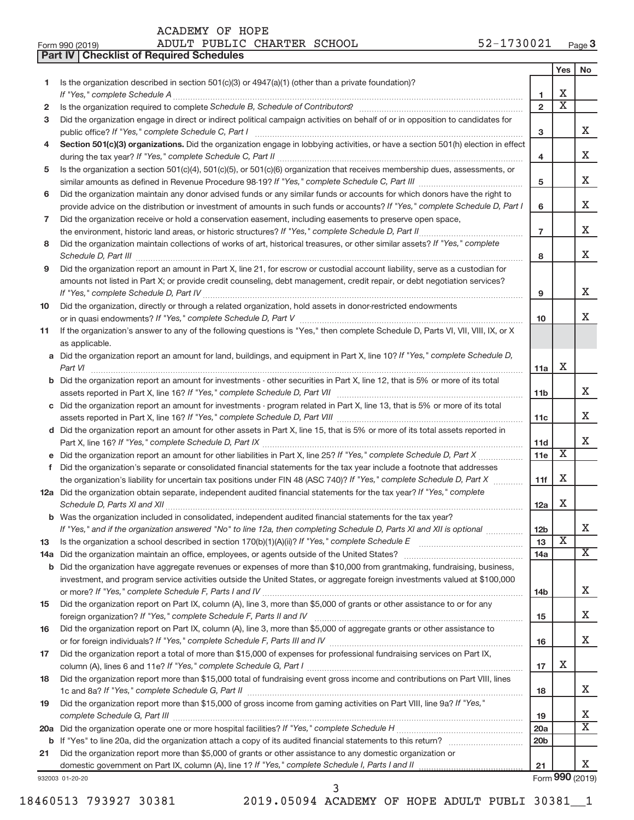**Part IV Checklist of Required Schedules**

|     |                                                                                                                                                                 |                 | Yes                     | No              |
|-----|-----------------------------------------------------------------------------------------------------------------------------------------------------------------|-----------------|-------------------------|-----------------|
| 1.  | Is the organization described in section 501(c)(3) or 4947(a)(1) (other than a private foundation)?                                                             |                 |                         |                 |
|     |                                                                                                                                                                 | 1               | х                       |                 |
| 2   | Is the organization required to complete Schedule B, Schedule of Contributors? [11] The organization required to complete Schedule B, Schedule of Contributors? | $\overline{2}$  | х                       |                 |
| з   | Did the organization engage in direct or indirect political campaign activities on behalf of or in opposition to candidates for                                 |                 |                         |                 |
|     |                                                                                                                                                                 | 3               |                         | x               |
| 4   | Section 501(c)(3) organizations. Did the organization engage in lobbying activities, or have a section 501(h) election in effect                                |                 |                         |                 |
|     |                                                                                                                                                                 | 4               |                         | х               |
| 5   | Is the organization a section 501(c)(4), 501(c)(5), or 501(c)(6) organization that receives membership dues, assessments, or                                    |                 |                         |                 |
|     |                                                                                                                                                                 | 5               |                         | x               |
| 6   | Did the organization maintain any donor advised funds or any similar funds or accounts for which donors have the right to                                       |                 |                         |                 |
|     | provide advice on the distribution or investment of amounts in such funds or accounts? If "Yes," complete Schedule D, Part I                                    | 6               |                         | х               |
| 7   | Did the organization receive or hold a conservation easement, including easements to preserve open space,                                                       |                 |                         | х               |
|     |                                                                                                                                                                 | $\overline{7}$  |                         |                 |
| 8   | Did the organization maintain collections of works of art, historical treasures, or other similar assets? If "Yes," complete                                    |                 |                         | х               |
|     |                                                                                                                                                                 | 8               |                         |                 |
| 9   | Did the organization report an amount in Part X, line 21, for escrow or custodial account liability, serve as a custodian for                                   |                 |                         |                 |
|     | amounts not listed in Part X; or provide credit counseling, debt management, credit repair, or debt negotiation services?                                       | 9               |                         | x               |
|     | Did the organization, directly or through a related organization, hold assets in donor-restricted endowments                                                    |                 |                         |                 |
| 10  |                                                                                                                                                                 | 10              |                         | x               |
| 11  | If the organization's answer to any of the following questions is "Yes," then complete Schedule D, Parts VI, VII, VIII, IX, or X                                |                 |                         |                 |
|     | as applicable.                                                                                                                                                  |                 |                         |                 |
|     | a Did the organization report an amount for land, buildings, and equipment in Part X, line 10? If "Yes," complete Schedule D,                                   |                 |                         |                 |
|     |                                                                                                                                                                 | 11a             | Х                       |                 |
|     | <b>b</b> Did the organization report an amount for investments - other securities in Part X, line 12, that is 5% or more of its total                           |                 |                         |                 |
|     |                                                                                                                                                                 | 11 <sub>b</sub> |                         | х               |
|     | c Did the organization report an amount for investments - program related in Part X, line 13, that is 5% or more of its total                                   |                 |                         |                 |
|     |                                                                                                                                                                 | 11c             |                         | x               |
|     | d Did the organization report an amount for other assets in Part X, line 15, that is 5% or more of its total assets reported in                                 |                 |                         |                 |
|     |                                                                                                                                                                 | 11d             |                         | x               |
|     |                                                                                                                                                                 | 11e             | х                       |                 |
| f.  | Did the organization's separate or consolidated financial statements for the tax year include a footnote that addresses                                         |                 |                         |                 |
|     | the organization's liability for uncertain tax positions under FIN 48 (ASC 740)? If "Yes," complete Schedule D, Part X                                          | 11f             | Х                       |                 |
|     | 12a Did the organization obtain separate, independent audited financial statements for the tax year? If "Yes," complete                                         |                 |                         |                 |
|     |                                                                                                                                                                 | 12a             | Х                       |                 |
|     | b Was the organization included in consolidated, independent audited financial statements for the tax year?                                                     |                 |                         |                 |
|     | If "Yes," and if the organization answered "No" to line 12a, then completing Schedule D, Parts XI and XII is optional                                           | 12 <sub>b</sub> |                         |                 |
| 13  |                                                                                                                                                                 | 13              | $\overline{\textbf{X}}$ |                 |
| 14a |                                                                                                                                                                 | 14a             |                         | X               |
|     | <b>b</b> Did the organization have aggregate revenues or expenses of more than \$10,000 from grantmaking, fundraising, business,                                |                 |                         |                 |
|     | investment, and program service activities outside the United States, or aggregate foreign investments valued at \$100,000                                      |                 |                         |                 |
|     |                                                                                                                                                                 | 14 <sub>b</sub> |                         | х               |
| 15  | Did the organization report on Part IX, column (A), line 3, more than \$5,000 of grants or other assistance to or for any                                       |                 |                         |                 |
|     |                                                                                                                                                                 | 15              |                         | х               |
| 16  | Did the organization report on Part IX, column (A), line 3, more than \$5,000 of aggregate grants or other assistance to                                        |                 |                         |                 |
|     |                                                                                                                                                                 | 16              |                         | X.              |
| 17  | Did the organization report a total of more than \$15,000 of expenses for professional fundraising services on Part IX,                                         |                 |                         |                 |
|     |                                                                                                                                                                 | 17              | х                       |                 |
| 18  | Did the organization report more than \$15,000 total of fundraising event gross income and contributions on Part VIII, lines                                    | 18              |                         | x               |
| 19  | Did the organization report more than \$15,000 of gross income from gaming activities on Part VIII, line 9a? If "Yes,"                                          |                 |                         |                 |
|     |                                                                                                                                                                 | 19              |                         | х               |
|     |                                                                                                                                                                 | 20a             |                         | X               |
|     |                                                                                                                                                                 | 20 <sub>b</sub> |                         |                 |
| 21  | Did the organization report more than \$5,000 of grants or other assistance to any domestic organization or                                                     |                 |                         | x.              |
|     |                                                                                                                                                                 | 21              |                         | Form 990 (2019) |
|     | 932003 01-20-20                                                                                                                                                 |                 |                         |                 |

18460513 793927 30381 2019.05094 ACADEMY OF HOPE ADULT PUBLI 30381\_\_1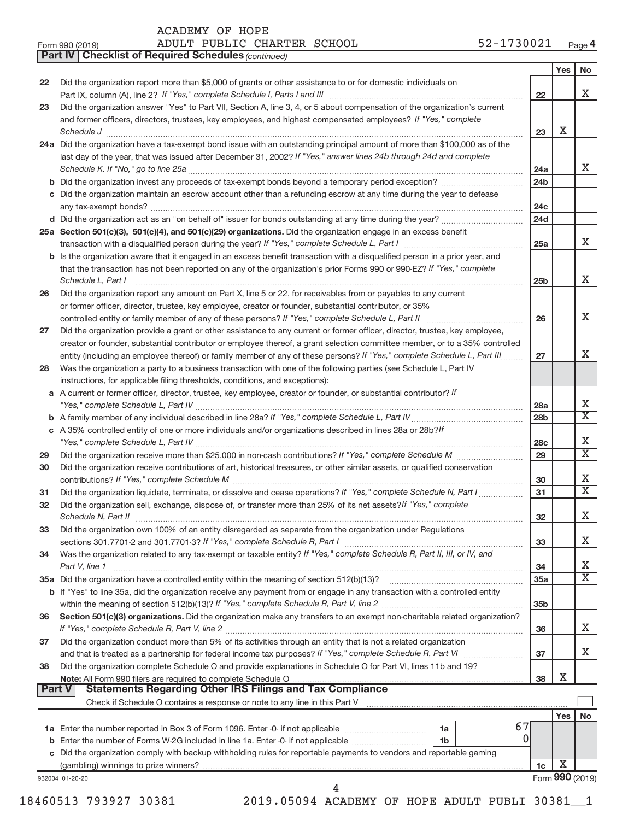*(continued)* **Part IV Checklist of Required Schedules**

| Form 990 (2019) |  |  | ADULT PUBLIC CHARTER SCHOOL |  | 52-1730021 | Page 4 |
|-----------------|--|--|-----------------------------|--|------------|--------|
|-----------------|--|--|-----------------------------|--|------------|--------|

|        |                                                                                                                                                                                                                                                                                                                                                                                                                                                                                                            |                        | Yes                  | No                          |
|--------|------------------------------------------------------------------------------------------------------------------------------------------------------------------------------------------------------------------------------------------------------------------------------------------------------------------------------------------------------------------------------------------------------------------------------------------------------------------------------------------------------------|------------------------|----------------------|-----------------------------|
| 22     | Did the organization report more than \$5,000 of grants or other assistance to or for domestic individuals on<br>Part IX, column (A), line 2? If "Yes," complete Schedule I, Parts I and III [11]] [11]] [11] [11] [11] [11] [1                                                                                                                                                                                                                                                                            | 22                     |                      | x                           |
| 23     | Did the organization answer "Yes" to Part VII, Section A, line 3, 4, or 5 about compensation of the organization's current                                                                                                                                                                                                                                                                                                                                                                                 |                        |                      |                             |
|        | and former officers, directors, trustees, key employees, and highest compensated employees? If "Yes," complete<br>$\textit{Schedule J} \textit{ \textbf{} \textbf{} \textbf{} \textbf{} \textbf{} \textbf{} \textbf{} \textbf{} \textbf{} \textbf{} \textbf{} \textbf{} \textbf{} \textbf{} \textbf{} \textbf{} \textbf{} \textbf{} \textbf{} \textbf{} \textbf{} \textbf{} \textbf{} \textbf{} \textbf{} \textbf{} \textbf{} \textbf{} \textbf{} \textbf{} \textbf{} \textbf{} \textbf{} \textbf{} \text$ | 23                     | х                    |                             |
|        | 24a Did the organization have a tax-exempt bond issue with an outstanding principal amount of more than \$100,000 as of the                                                                                                                                                                                                                                                                                                                                                                                |                        |                      |                             |
|        | last day of the year, that was issued after December 31, 2002? If "Yes," answer lines 24b through 24d and complete                                                                                                                                                                                                                                                                                                                                                                                         |                        |                      | X                           |
|        | b Did the organization invest any proceeds of tax-exempt bonds beyond a temporary period exception?                                                                                                                                                                                                                                                                                                                                                                                                        | 24a<br>24 <sub>b</sub> |                      |                             |
|        | c Did the organization maintain an escrow account other than a refunding escrow at any time during the year to defease                                                                                                                                                                                                                                                                                                                                                                                     |                        |                      |                             |
|        |                                                                                                                                                                                                                                                                                                                                                                                                                                                                                                            | 24c                    |                      |                             |
|        |                                                                                                                                                                                                                                                                                                                                                                                                                                                                                                            | 24d                    |                      |                             |
|        | 25a Section 501(c)(3), 501(c)(4), and 501(c)(29) organizations. Did the organization engage in an excess benefit                                                                                                                                                                                                                                                                                                                                                                                           |                        |                      |                             |
|        |                                                                                                                                                                                                                                                                                                                                                                                                                                                                                                            | 25a                    |                      | x                           |
|        | b Is the organization aware that it engaged in an excess benefit transaction with a disqualified person in a prior year, and                                                                                                                                                                                                                                                                                                                                                                               |                        |                      |                             |
|        | that the transaction has not been reported on any of the organization's prior Forms 990 or 990-EZ? If "Yes," complete                                                                                                                                                                                                                                                                                                                                                                                      |                        |                      |                             |
|        | Schedule L, Part I                                                                                                                                                                                                                                                                                                                                                                                                                                                                                         | 25 <sub>b</sub>        |                      | x                           |
| 26     | Did the organization report any amount on Part X, line 5 or 22, for receivables from or payables to any current                                                                                                                                                                                                                                                                                                                                                                                            |                        |                      |                             |
|        | or former officer, director, trustee, key employee, creator or founder, substantial contributor, or 35%                                                                                                                                                                                                                                                                                                                                                                                                    |                        |                      |                             |
|        |                                                                                                                                                                                                                                                                                                                                                                                                                                                                                                            | 26                     |                      | x                           |
| 27     | Did the organization provide a grant or other assistance to any current or former officer, director, trustee, key employee,                                                                                                                                                                                                                                                                                                                                                                                |                        |                      |                             |
|        | creator or founder, substantial contributor or employee thereof, a grant selection committee member, or to a 35% controlled<br>entity (including an employee thereof) or family member of any of these persons? If "Yes," complete Schedule L, Part III                                                                                                                                                                                                                                                    | 27                     |                      | x                           |
| 28     | Was the organization a party to a business transaction with one of the following parties (see Schedule L, Part IV                                                                                                                                                                                                                                                                                                                                                                                          |                        |                      |                             |
|        | instructions, for applicable filing thresholds, conditions, and exceptions):                                                                                                                                                                                                                                                                                                                                                                                                                               |                        |                      |                             |
|        | a A current or former officer, director, trustee, key employee, creator or founder, or substantial contributor? If                                                                                                                                                                                                                                                                                                                                                                                         |                        |                      |                             |
|        |                                                                                                                                                                                                                                                                                                                                                                                                                                                                                                            | 28a                    |                      | Χ                           |
|        |                                                                                                                                                                                                                                                                                                                                                                                                                                                                                                            | 28 <sub>b</sub>        |                      | $\overline{\textnormal{x}}$ |
|        | c A 35% controlled entity of one or more individuals and/or organizations described in lines 28a or 28b?/f                                                                                                                                                                                                                                                                                                                                                                                                 |                        |                      |                             |
|        |                                                                                                                                                                                                                                                                                                                                                                                                                                                                                                            | 28c                    |                      | Х                           |
| 29     |                                                                                                                                                                                                                                                                                                                                                                                                                                                                                                            | 29                     |                      | $\overline{\textnormal{x}}$ |
| 30     | Did the organization receive contributions of art, historical treasures, or other similar assets, or qualified conservation                                                                                                                                                                                                                                                                                                                                                                                | 30                     |                      | Х                           |
| 31     | Did the organization liquidate, terminate, or dissolve and cease operations? If "Yes," complete Schedule N, Part I                                                                                                                                                                                                                                                                                                                                                                                         | 31                     |                      | $\overline{\textnormal{x}}$ |
| 32     | Did the organization sell, exchange, dispose of, or transfer more than 25% of its net assets? If "Yes," complete                                                                                                                                                                                                                                                                                                                                                                                           | 32                     |                      | х                           |
| 33     | Did the organization own 100% of an entity disregarded as separate from the organization under Regulations                                                                                                                                                                                                                                                                                                                                                                                                 |                        |                      |                             |
|        |                                                                                                                                                                                                                                                                                                                                                                                                                                                                                                            | 33                     |                      | Х                           |
| 34     | Was the organization related to any tax-exempt or taxable entity? If "Yes," complete Schedule R, Part II, III, or IV, and                                                                                                                                                                                                                                                                                                                                                                                  |                        |                      |                             |
|        | Part V, line 1                                                                                                                                                                                                                                                                                                                                                                                                                                                                                             | 34                     |                      | Х                           |
|        |                                                                                                                                                                                                                                                                                                                                                                                                                                                                                                            | 35a                    |                      | $\overline{\mathbf{x}}$     |
|        | b If "Yes" to line 35a, did the organization receive any payment from or engage in any transaction with a controlled entity                                                                                                                                                                                                                                                                                                                                                                                |                        |                      |                             |
|        |                                                                                                                                                                                                                                                                                                                                                                                                                                                                                                            | 35 <sub>b</sub>        |                      |                             |
| 36     | Section 501(c)(3) organizations. Did the organization make any transfers to an exempt non-charitable related organization?                                                                                                                                                                                                                                                                                                                                                                                 |                        |                      | x                           |
|        |                                                                                                                                                                                                                                                                                                                                                                                                                                                                                                            | 36                     |                      |                             |
| 37     | Did the organization conduct more than 5% of its activities through an entity that is not a related organization                                                                                                                                                                                                                                                                                                                                                                                           | 37                     |                      | X.                          |
| 38     | Did the organization complete Schedule O and provide explanations in Schedule O for Part VI, lines 11b and 19?                                                                                                                                                                                                                                                                                                                                                                                             |                        |                      |                             |
|        |                                                                                                                                                                                                                                                                                                                                                                                                                                                                                                            | 38                     | X                    |                             |
| Part V | <b>Statements Regarding Other IRS Filings and Tax Compliance</b>                                                                                                                                                                                                                                                                                                                                                                                                                                           |                        |                      |                             |
|        |                                                                                                                                                                                                                                                                                                                                                                                                                                                                                                            |                        |                      |                             |
|        |                                                                                                                                                                                                                                                                                                                                                                                                                                                                                                            |                        | Yes                  | No                          |
|        |                                                                                                                                                                                                                                                                                                                                                                                                                                                                                                            |                        |                      |                             |
|        | 67<br>1a                                                                                                                                                                                                                                                                                                                                                                                                                                                                                                   |                        |                      |                             |
|        | $\Omega$<br>1 <sub>b</sub>                                                                                                                                                                                                                                                                                                                                                                                                                                                                                 |                        |                      |                             |
|        | c Did the organization comply with backup withholding rules for reportable payments to vendors and reportable gaming                                                                                                                                                                                                                                                                                                                                                                                       |                        |                      |                             |
|        | 932004 01-20-20                                                                                                                                                                                                                                                                                                                                                                                                                                                                                            | 1c                     | Х<br>Form 990 (2019) |                             |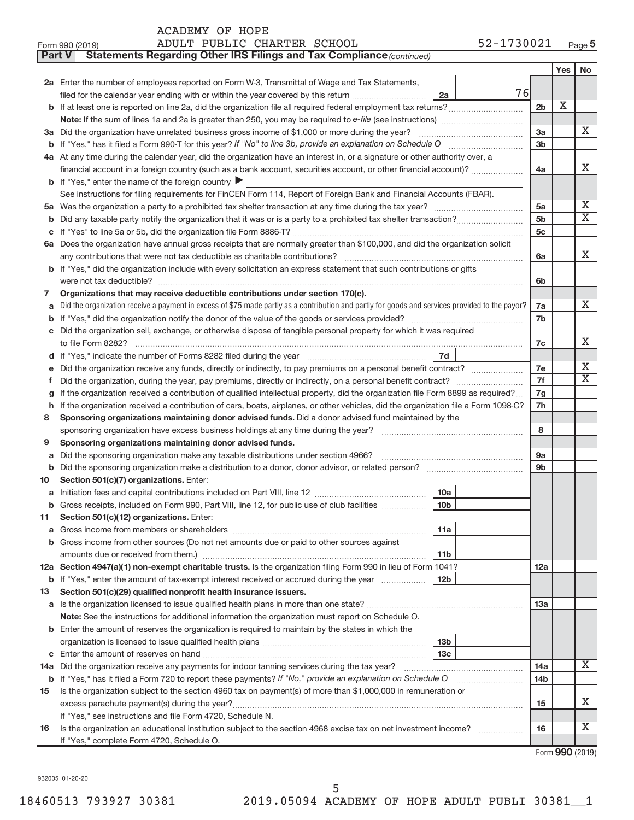| ACADEMY OF HOPE |  |  |
|-----------------|--|--|
|-----------------|--|--|

| Form 990 (2019) | ADULT PUBLIC CHARTER SCHOOL | 52-1730021<br>Page 5 |
|-----------------|-----------------------------|----------------------|
|-----------------|-----------------------------|----------------------|

| Yes<br>No<br>2a Enter the number of employees reported on Form W-3, Transmittal of Wage and Tax Statements,<br>76<br>filed for the calendar year ending with or within the year covered by this return<br>2a<br>X<br>2 <sub>b</sub><br>b If at least one is reported on line 2a, did the organization file all required federal employment tax returns?<br>x<br>3a Did the organization have unrelated business gross income of \$1,000 or more during the year?<br>3a<br>3 <sub>b</sub><br>4a At any time during the calendar year, did the organization have an interest in, or a signature or other authority over, a<br>X.<br>financial account in a foreign country (such as a bank account, securities account, or other financial account)?<br>4a<br><b>b</b> If "Yes," enter the name of the foreign country $\blacktriangleright$<br>See instructions for filing requirements for FinCEN Form 114, Report of Foreign Bank and Financial Accounts (FBAR).<br>Х<br>5a<br>5a<br>$\overline{\text{X}}$<br>5 <sub>b</sub><br>b<br>5c<br>С<br>6a Does the organization have annual gross receipts that are normally greater than \$100,000, and did the organization solicit<br>X<br>6a<br><b>b</b> If "Yes," did the organization include with every solicitation an express statement that such contributions or gifts<br>6b<br>Organizations that may receive deductible contributions under section 170(c).<br>7<br>X.<br>Did the organization receive a payment in excess of \$75 made partly as a contribution and partly for goods and services provided to the payor?<br>7a<br>a<br>7b<br>b<br>c Did the organization sell, exchange, or otherwise dispose of tangible personal property for which it was required<br>x<br>7c<br><b>7d</b><br>х<br>7e<br>е<br>X<br>7f<br>f.<br>If the organization received a contribution of qualified intellectual property, did the organization file Form 8899 as required?<br>7g<br>g<br>If the organization received a contribution of cars, boats, airplanes, or other vehicles, did the organization file a Form 1098-C?<br>7h<br>h<br>Sponsoring organizations maintaining donor advised funds. Did a donor advised fund maintained by the<br>8<br>8<br>Sponsoring organizations maintaining donor advised funds.<br>9<br>Did the sponsoring organization make any taxable distributions under section 4966?<br><b>9a</b><br>а<br>Did the sponsoring organization make a distribution to a donor, donor advisor, or related person? [111] Did the sponsoring organization make a distribution to a donor, donor advisor, or related person?<br>9b<br>b<br>Section 501(c)(7) organizations. Enter:<br>10<br>10a<br>a<br>10 <sub>b</sub><br>b Gross receipts, included on Form 990, Part VIII, line 12, for public use of club facilities<br>Section 501(c)(12) organizations. Enter:<br>ᄁ<br>11a<br>а<br><b>b</b> Gross income from other sources (Do not net amounts due or paid to other sources against<br>11b<br>12a Section 4947(a)(1) non-exempt charitable trusts. Is the organization filing Form 990 in lieu of Form 1041?<br>12a<br>  12b<br><b>b</b> If "Yes," enter the amount of tax-exempt interest received or accrued during the year<br>Section 501(c)(29) qualified nonprofit health insurance issuers.<br>13<br>1За<br>Note: See the instructions for additional information the organization must report on Schedule O.<br><b>b</b> Enter the amount of reserves the organization is required to maintain by the states in which the<br>13 <sub>b</sub><br>13 <sub>c</sub><br>С<br>x<br>14a Did the organization receive any payments for indoor tanning services during the tax year?<br>14a<br>If "Yes," has it filed a Form 720 to report these payments? If "No," provide an explanation on Schedule O<br>14 <sub>b</sub><br>b<br>Is the organization subject to the section 4960 tax on payment(s) of more than \$1,000,000 in remuneration or<br>15<br>x<br>15<br>If "Yes," see instructions and file Form 4720, Schedule N.<br>х<br>Is the organization an educational institution subject to the section 4968 excise tax on net investment income?<br>16<br>16<br>If "Yes," complete Form 4720, Schedule O. | <b>Part V</b> | Statements Regarding Other IRS Filings and Tax Compliance (continued) |  |  |  |
|--------------------------------------------------------------------------------------------------------------------------------------------------------------------------------------------------------------------------------------------------------------------------------------------------------------------------------------------------------------------------------------------------------------------------------------------------------------------------------------------------------------------------------------------------------------------------------------------------------------------------------------------------------------------------------------------------------------------------------------------------------------------------------------------------------------------------------------------------------------------------------------------------------------------------------------------------------------------------------------------------------------------------------------------------------------------------------------------------------------------------------------------------------------------------------------------------------------------------------------------------------------------------------------------------------------------------------------------------------------------------------------------------------------------------------------------------------------------------------------------------------------------------------------------------------------------------------------------------------------------------------------------------------------------------------------------------------------------------------------------------------------------------------------------------------------------------------------------------------------------------------------------------------------------------------------------------------------------------------------------------------------------------------------------------------------------------------------------------------------------------------------------------------------------------------------------------------------------------------------------------------------------------------------------------------------------------------------------------------------------------------------------------------------------------------------------------------------------------------------------------------------------------------------------------------------------------------------------------------------------------------------------------------------------------------------------------------------------------------------------------------------------------------------------------------------------------------------------------------------------------------------------------------------------------------------------------------------------------------------------------------------------------------------------------------------------------------------------------------------------------------------------------------------------------------------------------------------------------------------------------------------------------------------------------------------------------------------------------------------------------------------------------------------------------------------------------------------------------------------------------------------------------------------------------------------------------------------------------------------------------------------------------------------------------------------------------------------------------------------------------------------------------------------------------------------------------------------------------------------------------------------------------------------------------------------------------------------------------------------------------------------------------------------------------------------------------------------------------------------------------------------------------------------------------------------------|---------------|-----------------------------------------------------------------------|--|--|--|
|                                                                                                                                                                                                                                                                                                                                                                                                                                                                                                                                                                                                                                                                                                                                                                                                                                                                                                                                                                                                                                                                                                                                                                                                                                                                                                                                                                                                                                                                                                                                                                                                                                                                                                                                                                                                                                                                                                                                                                                                                                                                                                                                                                                                                                                                                                                                                                                                                                                                                                                                                                                                                                                                                                                                                                                                                                                                                                                                                                                                                                                                                                                                                                                                                                                                                                                                                                                                                                                                                                                                                                                                                                                                                                                                                                                                                                                                                                                                                                                                                                                                                                                                                                                            |               |                                                                       |  |  |  |
|                                                                                                                                                                                                                                                                                                                                                                                                                                                                                                                                                                                                                                                                                                                                                                                                                                                                                                                                                                                                                                                                                                                                                                                                                                                                                                                                                                                                                                                                                                                                                                                                                                                                                                                                                                                                                                                                                                                                                                                                                                                                                                                                                                                                                                                                                                                                                                                                                                                                                                                                                                                                                                                                                                                                                                                                                                                                                                                                                                                                                                                                                                                                                                                                                                                                                                                                                                                                                                                                                                                                                                                                                                                                                                                                                                                                                                                                                                                                                                                                                                                                                                                                                                                            |               |                                                                       |  |  |  |
|                                                                                                                                                                                                                                                                                                                                                                                                                                                                                                                                                                                                                                                                                                                                                                                                                                                                                                                                                                                                                                                                                                                                                                                                                                                                                                                                                                                                                                                                                                                                                                                                                                                                                                                                                                                                                                                                                                                                                                                                                                                                                                                                                                                                                                                                                                                                                                                                                                                                                                                                                                                                                                                                                                                                                                                                                                                                                                                                                                                                                                                                                                                                                                                                                                                                                                                                                                                                                                                                                                                                                                                                                                                                                                                                                                                                                                                                                                                                                                                                                                                                                                                                                                                            |               |                                                                       |  |  |  |
|                                                                                                                                                                                                                                                                                                                                                                                                                                                                                                                                                                                                                                                                                                                                                                                                                                                                                                                                                                                                                                                                                                                                                                                                                                                                                                                                                                                                                                                                                                                                                                                                                                                                                                                                                                                                                                                                                                                                                                                                                                                                                                                                                                                                                                                                                                                                                                                                                                                                                                                                                                                                                                                                                                                                                                                                                                                                                                                                                                                                                                                                                                                                                                                                                                                                                                                                                                                                                                                                                                                                                                                                                                                                                                                                                                                                                                                                                                                                                                                                                                                                                                                                                                                            |               |                                                                       |  |  |  |
|                                                                                                                                                                                                                                                                                                                                                                                                                                                                                                                                                                                                                                                                                                                                                                                                                                                                                                                                                                                                                                                                                                                                                                                                                                                                                                                                                                                                                                                                                                                                                                                                                                                                                                                                                                                                                                                                                                                                                                                                                                                                                                                                                                                                                                                                                                                                                                                                                                                                                                                                                                                                                                                                                                                                                                                                                                                                                                                                                                                                                                                                                                                                                                                                                                                                                                                                                                                                                                                                                                                                                                                                                                                                                                                                                                                                                                                                                                                                                                                                                                                                                                                                                                                            |               |                                                                       |  |  |  |
|                                                                                                                                                                                                                                                                                                                                                                                                                                                                                                                                                                                                                                                                                                                                                                                                                                                                                                                                                                                                                                                                                                                                                                                                                                                                                                                                                                                                                                                                                                                                                                                                                                                                                                                                                                                                                                                                                                                                                                                                                                                                                                                                                                                                                                                                                                                                                                                                                                                                                                                                                                                                                                                                                                                                                                                                                                                                                                                                                                                                                                                                                                                                                                                                                                                                                                                                                                                                                                                                                                                                                                                                                                                                                                                                                                                                                                                                                                                                                                                                                                                                                                                                                                                            |               |                                                                       |  |  |  |
|                                                                                                                                                                                                                                                                                                                                                                                                                                                                                                                                                                                                                                                                                                                                                                                                                                                                                                                                                                                                                                                                                                                                                                                                                                                                                                                                                                                                                                                                                                                                                                                                                                                                                                                                                                                                                                                                                                                                                                                                                                                                                                                                                                                                                                                                                                                                                                                                                                                                                                                                                                                                                                                                                                                                                                                                                                                                                                                                                                                                                                                                                                                                                                                                                                                                                                                                                                                                                                                                                                                                                                                                                                                                                                                                                                                                                                                                                                                                                                                                                                                                                                                                                                                            |               |                                                                       |  |  |  |
|                                                                                                                                                                                                                                                                                                                                                                                                                                                                                                                                                                                                                                                                                                                                                                                                                                                                                                                                                                                                                                                                                                                                                                                                                                                                                                                                                                                                                                                                                                                                                                                                                                                                                                                                                                                                                                                                                                                                                                                                                                                                                                                                                                                                                                                                                                                                                                                                                                                                                                                                                                                                                                                                                                                                                                                                                                                                                                                                                                                                                                                                                                                                                                                                                                                                                                                                                                                                                                                                                                                                                                                                                                                                                                                                                                                                                                                                                                                                                                                                                                                                                                                                                                                            |               |                                                                       |  |  |  |
|                                                                                                                                                                                                                                                                                                                                                                                                                                                                                                                                                                                                                                                                                                                                                                                                                                                                                                                                                                                                                                                                                                                                                                                                                                                                                                                                                                                                                                                                                                                                                                                                                                                                                                                                                                                                                                                                                                                                                                                                                                                                                                                                                                                                                                                                                                                                                                                                                                                                                                                                                                                                                                                                                                                                                                                                                                                                                                                                                                                                                                                                                                                                                                                                                                                                                                                                                                                                                                                                                                                                                                                                                                                                                                                                                                                                                                                                                                                                                                                                                                                                                                                                                                                            |               |                                                                       |  |  |  |
|                                                                                                                                                                                                                                                                                                                                                                                                                                                                                                                                                                                                                                                                                                                                                                                                                                                                                                                                                                                                                                                                                                                                                                                                                                                                                                                                                                                                                                                                                                                                                                                                                                                                                                                                                                                                                                                                                                                                                                                                                                                                                                                                                                                                                                                                                                                                                                                                                                                                                                                                                                                                                                                                                                                                                                                                                                                                                                                                                                                                                                                                                                                                                                                                                                                                                                                                                                                                                                                                                                                                                                                                                                                                                                                                                                                                                                                                                                                                                                                                                                                                                                                                                                                            |               |                                                                       |  |  |  |
|                                                                                                                                                                                                                                                                                                                                                                                                                                                                                                                                                                                                                                                                                                                                                                                                                                                                                                                                                                                                                                                                                                                                                                                                                                                                                                                                                                                                                                                                                                                                                                                                                                                                                                                                                                                                                                                                                                                                                                                                                                                                                                                                                                                                                                                                                                                                                                                                                                                                                                                                                                                                                                                                                                                                                                                                                                                                                                                                                                                                                                                                                                                                                                                                                                                                                                                                                                                                                                                                                                                                                                                                                                                                                                                                                                                                                                                                                                                                                                                                                                                                                                                                                                                            |               |                                                                       |  |  |  |
|                                                                                                                                                                                                                                                                                                                                                                                                                                                                                                                                                                                                                                                                                                                                                                                                                                                                                                                                                                                                                                                                                                                                                                                                                                                                                                                                                                                                                                                                                                                                                                                                                                                                                                                                                                                                                                                                                                                                                                                                                                                                                                                                                                                                                                                                                                                                                                                                                                                                                                                                                                                                                                                                                                                                                                                                                                                                                                                                                                                                                                                                                                                                                                                                                                                                                                                                                                                                                                                                                                                                                                                                                                                                                                                                                                                                                                                                                                                                                                                                                                                                                                                                                                                            |               |                                                                       |  |  |  |
|                                                                                                                                                                                                                                                                                                                                                                                                                                                                                                                                                                                                                                                                                                                                                                                                                                                                                                                                                                                                                                                                                                                                                                                                                                                                                                                                                                                                                                                                                                                                                                                                                                                                                                                                                                                                                                                                                                                                                                                                                                                                                                                                                                                                                                                                                                                                                                                                                                                                                                                                                                                                                                                                                                                                                                                                                                                                                                                                                                                                                                                                                                                                                                                                                                                                                                                                                                                                                                                                                                                                                                                                                                                                                                                                                                                                                                                                                                                                                                                                                                                                                                                                                                                            |               |                                                                       |  |  |  |
|                                                                                                                                                                                                                                                                                                                                                                                                                                                                                                                                                                                                                                                                                                                                                                                                                                                                                                                                                                                                                                                                                                                                                                                                                                                                                                                                                                                                                                                                                                                                                                                                                                                                                                                                                                                                                                                                                                                                                                                                                                                                                                                                                                                                                                                                                                                                                                                                                                                                                                                                                                                                                                                                                                                                                                                                                                                                                                                                                                                                                                                                                                                                                                                                                                                                                                                                                                                                                                                                                                                                                                                                                                                                                                                                                                                                                                                                                                                                                                                                                                                                                                                                                                                            |               |                                                                       |  |  |  |
|                                                                                                                                                                                                                                                                                                                                                                                                                                                                                                                                                                                                                                                                                                                                                                                                                                                                                                                                                                                                                                                                                                                                                                                                                                                                                                                                                                                                                                                                                                                                                                                                                                                                                                                                                                                                                                                                                                                                                                                                                                                                                                                                                                                                                                                                                                                                                                                                                                                                                                                                                                                                                                                                                                                                                                                                                                                                                                                                                                                                                                                                                                                                                                                                                                                                                                                                                                                                                                                                                                                                                                                                                                                                                                                                                                                                                                                                                                                                                                                                                                                                                                                                                                                            |               |                                                                       |  |  |  |
|                                                                                                                                                                                                                                                                                                                                                                                                                                                                                                                                                                                                                                                                                                                                                                                                                                                                                                                                                                                                                                                                                                                                                                                                                                                                                                                                                                                                                                                                                                                                                                                                                                                                                                                                                                                                                                                                                                                                                                                                                                                                                                                                                                                                                                                                                                                                                                                                                                                                                                                                                                                                                                                                                                                                                                                                                                                                                                                                                                                                                                                                                                                                                                                                                                                                                                                                                                                                                                                                                                                                                                                                                                                                                                                                                                                                                                                                                                                                                                                                                                                                                                                                                                                            |               |                                                                       |  |  |  |
|                                                                                                                                                                                                                                                                                                                                                                                                                                                                                                                                                                                                                                                                                                                                                                                                                                                                                                                                                                                                                                                                                                                                                                                                                                                                                                                                                                                                                                                                                                                                                                                                                                                                                                                                                                                                                                                                                                                                                                                                                                                                                                                                                                                                                                                                                                                                                                                                                                                                                                                                                                                                                                                                                                                                                                                                                                                                                                                                                                                                                                                                                                                                                                                                                                                                                                                                                                                                                                                                                                                                                                                                                                                                                                                                                                                                                                                                                                                                                                                                                                                                                                                                                                                            |               |                                                                       |  |  |  |
|                                                                                                                                                                                                                                                                                                                                                                                                                                                                                                                                                                                                                                                                                                                                                                                                                                                                                                                                                                                                                                                                                                                                                                                                                                                                                                                                                                                                                                                                                                                                                                                                                                                                                                                                                                                                                                                                                                                                                                                                                                                                                                                                                                                                                                                                                                                                                                                                                                                                                                                                                                                                                                                                                                                                                                                                                                                                                                                                                                                                                                                                                                                                                                                                                                                                                                                                                                                                                                                                                                                                                                                                                                                                                                                                                                                                                                                                                                                                                                                                                                                                                                                                                                                            |               |                                                                       |  |  |  |
|                                                                                                                                                                                                                                                                                                                                                                                                                                                                                                                                                                                                                                                                                                                                                                                                                                                                                                                                                                                                                                                                                                                                                                                                                                                                                                                                                                                                                                                                                                                                                                                                                                                                                                                                                                                                                                                                                                                                                                                                                                                                                                                                                                                                                                                                                                                                                                                                                                                                                                                                                                                                                                                                                                                                                                                                                                                                                                                                                                                                                                                                                                                                                                                                                                                                                                                                                                                                                                                                                                                                                                                                                                                                                                                                                                                                                                                                                                                                                                                                                                                                                                                                                                                            |               |                                                                       |  |  |  |
|                                                                                                                                                                                                                                                                                                                                                                                                                                                                                                                                                                                                                                                                                                                                                                                                                                                                                                                                                                                                                                                                                                                                                                                                                                                                                                                                                                                                                                                                                                                                                                                                                                                                                                                                                                                                                                                                                                                                                                                                                                                                                                                                                                                                                                                                                                                                                                                                                                                                                                                                                                                                                                                                                                                                                                                                                                                                                                                                                                                                                                                                                                                                                                                                                                                                                                                                                                                                                                                                                                                                                                                                                                                                                                                                                                                                                                                                                                                                                                                                                                                                                                                                                                                            |               |                                                                       |  |  |  |
|                                                                                                                                                                                                                                                                                                                                                                                                                                                                                                                                                                                                                                                                                                                                                                                                                                                                                                                                                                                                                                                                                                                                                                                                                                                                                                                                                                                                                                                                                                                                                                                                                                                                                                                                                                                                                                                                                                                                                                                                                                                                                                                                                                                                                                                                                                                                                                                                                                                                                                                                                                                                                                                                                                                                                                                                                                                                                                                                                                                                                                                                                                                                                                                                                                                                                                                                                                                                                                                                                                                                                                                                                                                                                                                                                                                                                                                                                                                                                                                                                                                                                                                                                                                            |               |                                                                       |  |  |  |
|                                                                                                                                                                                                                                                                                                                                                                                                                                                                                                                                                                                                                                                                                                                                                                                                                                                                                                                                                                                                                                                                                                                                                                                                                                                                                                                                                                                                                                                                                                                                                                                                                                                                                                                                                                                                                                                                                                                                                                                                                                                                                                                                                                                                                                                                                                                                                                                                                                                                                                                                                                                                                                                                                                                                                                                                                                                                                                                                                                                                                                                                                                                                                                                                                                                                                                                                                                                                                                                                                                                                                                                                                                                                                                                                                                                                                                                                                                                                                                                                                                                                                                                                                                                            |               |                                                                       |  |  |  |
|                                                                                                                                                                                                                                                                                                                                                                                                                                                                                                                                                                                                                                                                                                                                                                                                                                                                                                                                                                                                                                                                                                                                                                                                                                                                                                                                                                                                                                                                                                                                                                                                                                                                                                                                                                                                                                                                                                                                                                                                                                                                                                                                                                                                                                                                                                                                                                                                                                                                                                                                                                                                                                                                                                                                                                                                                                                                                                                                                                                                                                                                                                                                                                                                                                                                                                                                                                                                                                                                                                                                                                                                                                                                                                                                                                                                                                                                                                                                                                                                                                                                                                                                                                                            |               |                                                                       |  |  |  |
|                                                                                                                                                                                                                                                                                                                                                                                                                                                                                                                                                                                                                                                                                                                                                                                                                                                                                                                                                                                                                                                                                                                                                                                                                                                                                                                                                                                                                                                                                                                                                                                                                                                                                                                                                                                                                                                                                                                                                                                                                                                                                                                                                                                                                                                                                                                                                                                                                                                                                                                                                                                                                                                                                                                                                                                                                                                                                                                                                                                                                                                                                                                                                                                                                                                                                                                                                                                                                                                                                                                                                                                                                                                                                                                                                                                                                                                                                                                                                                                                                                                                                                                                                                                            |               |                                                                       |  |  |  |
|                                                                                                                                                                                                                                                                                                                                                                                                                                                                                                                                                                                                                                                                                                                                                                                                                                                                                                                                                                                                                                                                                                                                                                                                                                                                                                                                                                                                                                                                                                                                                                                                                                                                                                                                                                                                                                                                                                                                                                                                                                                                                                                                                                                                                                                                                                                                                                                                                                                                                                                                                                                                                                                                                                                                                                                                                                                                                                                                                                                                                                                                                                                                                                                                                                                                                                                                                                                                                                                                                                                                                                                                                                                                                                                                                                                                                                                                                                                                                                                                                                                                                                                                                                                            |               |                                                                       |  |  |  |
|                                                                                                                                                                                                                                                                                                                                                                                                                                                                                                                                                                                                                                                                                                                                                                                                                                                                                                                                                                                                                                                                                                                                                                                                                                                                                                                                                                                                                                                                                                                                                                                                                                                                                                                                                                                                                                                                                                                                                                                                                                                                                                                                                                                                                                                                                                                                                                                                                                                                                                                                                                                                                                                                                                                                                                                                                                                                                                                                                                                                                                                                                                                                                                                                                                                                                                                                                                                                                                                                                                                                                                                                                                                                                                                                                                                                                                                                                                                                                                                                                                                                                                                                                                                            |               |                                                                       |  |  |  |
|                                                                                                                                                                                                                                                                                                                                                                                                                                                                                                                                                                                                                                                                                                                                                                                                                                                                                                                                                                                                                                                                                                                                                                                                                                                                                                                                                                                                                                                                                                                                                                                                                                                                                                                                                                                                                                                                                                                                                                                                                                                                                                                                                                                                                                                                                                                                                                                                                                                                                                                                                                                                                                                                                                                                                                                                                                                                                                                                                                                                                                                                                                                                                                                                                                                                                                                                                                                                                                                                                                                                                                                                                                                                                                                                                                                                                                                                                                                                                                                                                                                                                                                                                                                            |               |                                                                       |  |  |  |
|                                                                                                                                                                                                                                                                                                                                                                                                                                                                                                                                                                                                                                                                                                                                                                                                                                                                                                                                                                                                                                                                                                                                                                                                                                                                                                                                                                                                                                                                                                                                                                                                                                                                                                                                                                                                                                                                                                                                                                                                                                                                                                                                                                                                                                                                                                                                                                                                                                                                                                                                                                                                                                                                                                                                                                                                                                                                                                                                                                                                                                                                                                                                                                                                                                                                                                                                                                                                                                                                                                                                                                                                                                                                                                                                                                                                                                                                                                                                                                                                                                                                                                                                                                                            |               |                                                                       |  |  |  |
|                                                                                                                                                                                                                                                                                                                                                                                                                                                                                                                                                                                                                                                                                                                                                                                                                                                                                                                                                                                                                                                                                                                                                                                                                                                                                                                                                                                                                                                                                                                                                                                                                                                                                                                                                                                                                                                                                                                                                                                                                                                                                                                                                                                                                                                                                                                                                                                                                                                                                                                                                                                                                                                                                                                                                                                                                                                                                                                                                                                                                                                                                                                                                                                                                                                                                                                                                                                                                                                                                                                                                                                                                                                                                                                                                                                                                                                                                                                                                                                                                                                                                                                                                                                            |               |                                                                       |  |  |  |
|                                                                                                                                                                                                                                                                                                                                                                                                                                                                                                                                                                                                                                                                                                                                                                                                                                                                                                                                                                                                                                                                                                                                                                                                                                                                                                                                                                                                                                                                                                                                                                                                                                                                                                                                                                                                                                                                                                                                                                                                                                                                                                                                                                                                                                                                                                                                                                                                                                                                                                                                                                                                                                                                                                                                                                                                                                                                                                                                                                                                                                                                                                                                                                                                                                                                                                                                                                                                                                                                                                                                                                                                                                                                                                                                                                                                                                                                                                                                                                                                                                                                                                                                                                                            |               |                                                                       |  |  |  |
|                                                                                                                                                                                                                                                                                                                                                                                                                                                                                                                                                                                                                                                                                                                                                                                                                                                                                                                                                                                                                                                                                                                                                                                                                                                                                                                                                                                                                                                                                                                                                                                                                                                                                                                                                                                                                                                                                                                                                                                                                                                                                                                                                                                                                                                                                                                                                                                                                                                                                                                                                                                                                                                                                                                                                                                                                                                                                                                                                                                                                                                                                                                                                                                                                                                                                                                                                                                                                                                                                                                                                                                                                                                                                                                                                                                                                                                                                                                                                                                                                                                                                                                                                                                            |               |                                                                       |  |  |  |
|                                                                                                                                                                                                                                                                                                                                                                                                                                                                                                                                                                                                                                                                                                                                                                                                                                                                                                                                                                                                                                                                                                                                                                                                                                                                                                                                                                                                                                                                                                                                                                                                                                                                                                                                                                                                                                                                                                                                                                                                                                                                                                                                                                                                                                                                                                                                                                                                                                                                                                                                                                                                                                                                                                                                                                                                                                                                                                                                                                                                                                                                                                                                                                                                                                                                                                                                                                                                                                                                                                                                                                                                                                                                                                                                                                                                                                                                                                                                                                                                                                                                                                                                                                                            |               |                                                                       |  |  |  |
|                                                                                                                                                                                                                                                                                                                                                                                                                                                                                                                                                                                                                                                                                                                                                                                                                                                                                                                                                                                                                                                                                                                                                                                                                                                                                                                                                                                                                                                                                                                                                                                                                                                                                                                                                                                                                                                                                                                                                                                                                                                                                                                                                                                                                                                                                                                                                                                                                                                                                                                                                                                                                                                                                                                                                                                                                                                                                                                                                                                                                                                                                                                                                                                                                                                                                                                                                                                                                                                                                                                                                                                                                                                                                                                                                                                                                                                                                                                                                                                                                                                                                                                                                                                            |               |                                                                       |  |  |  |
|                                                                                                                                                                                                                                                                                                                                                                                                                                                                                                                                                                                                                                                                                                                                                                                                                                                                                                                                                                                                                                                                                                                                                                                                                                                                                                                                                                                                                                                                                                                                                                                                                                                                                                                                                                                                                                                                                                                                                                                                                                                                                                                                                                                                                                                                                                                                                                                                                                                                                                                                                                                                                                                                                                                                                                                                                                                                                                                                                                                                                                                                                                                                                                                                                                                                                                                                                                                                                                                                                                                                                                                                                                                                                                                                                                                                                                                                                                                                                                                                                                                                                                                                                                                            |               |                                                                       |  |  |  |
|                                                                                                                                                                                                                                                                                                                                                                                                                                                                                                                                                                                                                                                                                                                                                                                                                                                                                                                                                                                                                                                                                                                                                                                                                                                                                                                                                                                                                                                                                                                                                                                                                                                                                                                                                                                                                                                                                                                                                                                                                                                                                                                                                                                                                                                                                                                                                                                                                                                                                                                                                                                                                                                                                                                                                                                                                                                                                                                                                                                                                                                                                                                                                                                                                                                                                                                                                                                                                                                                                                                                                                                                                                                                                                                                                                                                                                                                                                                                                                                                                                                                                                                                                                                            |               |                                                                       |  |  |  |
|                                                                                                                                                                                                                                                                                                                                                                                                                                                                                                                                                                                                                                                                                                                                                                                                                                                                                                                                                                                                                                                                                                                                                                                                                                                                                                                                                                                                                                                                                                                                                                                                                                                                                                                                                                                                                                                                                                                                                                                                                                                                                                                                                                                                                                                                                                                                                                                                                                                                                                                                                                                                                                                                                                                                                                                                                                                                                                                                                                                                                                                                                                                                                                                                                                                                                                                                                                                                                                                                                                                                                                                                                                                                                                                                                                                                                                                                                                                                                                                                                                                                                                                                                                                            |               |                                                                       |  |  |  |
|                                                                                                                                                                                                                                                                                                                                                                                                                                                                                                                                                                                                                                                                                                                                                                                                                                                                                                                                                                                                                                                                                                                                                                                                                                                                                                                                                                                                                                                                                                                                                                                                                                                                                                                                                                                                                                                                                                                                                                                                                                                                                                                                                                                                                                                                                                                                                                                                                                                                                                                                                                                                                                                                                                                                                                                                                                                                                                                                                                                                                                                                                                                                                                                                                                                                                                                                                                                                                                                                                                                                                                                                                                                                                                                                                                                                                                                                                                                                                                                                                                                                                                                                                                                            |               |                                                                       |  |  |  |
|                                                                                                                                                                                                                                                                                                                                                                                                                                                                                                                                                                                                                                                                                                                                                                                                                                                                                                                                                                                                                                                                                                                                                                                                                                                                                                                                                                                                                                                                                                                                                                                                                                                                                                                                                                                                                                                                                                                                                                                                                                                                                                                                                                                                                                                                                                                                                                                                                                                                                                                                                                                                                                                                                                                                                                                                                                                                                                                                                                                                                                                                                                                                                                                                                                                                                                                                                                                                                                                                                                                                                                                                                                                                                                                                                                                                                                                                                                                                                                                                                                                                                                                                                                                            |               |                                                                       |  |  |  |
|                                                                                                                                                                                                                                                                                                                                                                                                                                                                                                                                                                                                                                                                                                                                                                                                                                                                                                                                                                                                                                                                                                                                                                                                                                                                                                                                                                                                                                                                                                                                                                                                                                                                                                                                                                                                                                                                                                                                                                                                                                                                                                                                                                                                                                                                                                                                                                                                                                                                                                                                                                                                                                                                                                                                                                                                                                                                                                                                                                                                                                                                                                                                                                                                                                                                                                                                                                                                                                                                                                                                                                                                                                                                                                                                                                                                                                                                                                                                                                                                                                                                                                                                                                                            |               |                                                                       |  |  |  |
|                                                                                                                                                                                                                                                                                                                                                                                                                                                                                                                                                                                                                                                                                                                                                                                                                                                                                                                                                                                                                                                                                                                                                                                                                                                                                                                                                                                                                                                                                                                                                                                                                                                                                                                                                                                                                                                                                                                                                                                                                                                                                                                                                                                                                                                                                                                                                                                                                                                                                                                                                                                                                                                                                                                                                                                                                                                                                                                                                                                                                                                                                                                                                                                                                                                                                                                                                                                                                                                                                                                                                                                                                                                                                                                                                                                                                                                                                                                                                                                                                                                                                                                                                                                            |               |                                                                       |  |  |  |
|                                                                                                                                                                                                                                                                                                                                                                                                                                                                                                                                                                                                                                                                                                                                                                                                                                                                                                                                                                                                                                                                                                                                                                                                                                                                                                                                                                                                                                                                                                                                                                                                                                                                                                                                                                                                                                                                                                                                                                                                                                                                                                                                                                                                                                                                                                                                                                                                                                                                                                                                                                                                                                                                                                                                                                                                                                                                                                                                                                                                                                                                                                                                                                                                                                                                                                                                                                                                                                                                                                                                                                                                                                                                                                                                                                                                                                                                                                                                                                                                                                                                                                                                                                                            |               |                                                                       |  |  |  |
|                                                                                                                                                                                                                                                                                                                                                                                                                                                                                                                                                                                                                                                                                                                                                                                                                                                                                                                                                                                                                                                                                                                                                                                                                                                                                                                                                                                                                                                                                                                                                                                                                                                                                                                                                                                                                                                                                                                                                                                                                                                                                                                                                                                                                                                                                                                                                                                                                                                                                                                                                                                                                                                                                                                                                                                                                                                                                                                                                                                                                                                                                                                                                                                                                                                                                                                                                                                                                                                                                                                                                                                                                                                                                                                                                                                                                                                                                                                                                                                                                                                                                                                                                                                            |               |                                                                       |  |  |  |
|                                                                                                                                                                                                                                                                                                                                                                                                                                                                                                                                                                                                                                                                                                                                                                                                                                                                                                                                                                                                                                                                                                                                                                                                                                                                                                                                                                                                                                                                                                                                                                                                                                                                                                                                                                                                                                                                                                                                                                                                                                                                                                                                                                                                                                                                                                                                                                                                                                                                                                                                                                                                                                                                                                                                                                                                                                                                                                                                                                                                                                                                                                                                                                                                                                                                                                                                                                                                                                                                                                                                                                                                                                                                                                                                                                                                                                                                                                                                                                                                                                                                                                                                                                                            |               |                                                                       |  |  |  |
|                                                                                                                                                                                                                                                                                                                                                                                                                                                                                                                                                                                                                                                                                                                                                                                                                                                                                                                                                                                                                                                                                                                                                                                                                                                                                                                                                                                                                                                                                                                                                                                                                                                                                                                                                                                                                                                                                                                                                                                                                                                                                                                                                                                                                                                                                                                                                                                                                                                                                                                                                                                                                                                                                                                                                                                                                                                                                                                                                                                                                                                                                                                                                                                                                                                                                                                                                                                                                                                                                                                                                                                                                                                                                                                                                                                                                                                                                                                                                                                                                                                                                                                                                                                            |               |                                                                       |  |  |  |
|                                                                                                                                                                                                                                                                                                                                                                                                                                                                                                                                                                                                                                                                                                                                                                                                                                                                                                                                                                                                                                                                                                                                                                                                                                                                                                                                                                                                                                                                                                                                                                                                                                                                                                                                                                                                                                                                                                                                                                                                                                                                                                                                                                                                                                                                                                                                                                                                                                                                                                                                                                                                                                                                                                                                                                                                                                                                                                                                                                                                                                                                                                                                                                                                                                                                                                                                                                                                                                                                                                                                                                                                                                                                                                                                                                                                                                                                                                                                                                                                                                                                                                                                                                                            |               |                                                                       |  |  |  |
|                                                                                                                                                                                                                                                                                                                                                                                                                                                                                                                                                                                                                                                                                                                                                                                                                                                                                                                                                                                                                                                                                                                                                                                                                                                                                                                                                                                                                                                                                                                                                                                                                                                                                                                                                                                                                                                                                                                                                                                                                                                                                                                                                                                                                                                                                                                                                                                                                                                                                                                                                                                                                                                                                                                                                                                                                                                                                                                                                                                                                                                                                                                                                                                                                                                                                                                                                                                                                                                                                                                                                                                                                                                                                                                                                                                                                                                                                                                                                                                                                                                                                                                                                                                            |               |                                                                       |  |  |  |
|                                                                                                                                                                                                                                                                                                                                                                                                                                                                                                                                                                                                                                                                                                                                                                                                                                                                                                                                                                                                                                                                                                                                                                                                                                                                                                                                                                                                                                                                                                                                                                                                                                                                                                                                                                                                                                                                                                                                                                                                                                                                                                                                                                                                                                                                                                                                                                                                                                                                                                                                                                                                                                                                                                                                                                                                                                                                                                                                                                                                                                                                                                                                                                                                                                                                                                                                                                                                                                                                                                                                                                                                                                                                                                                                                                                                                                                                                                                                                                                                                                                                                                                                                                                            |               |                                                                       |  |  |  |
|                                                                                                                                                                                                                                                                                                                                                                                                                                                                                                                                                                                                                                                                                                                                                                                                                                                                                                                                                                                                                                                                                                                                                                                                                                                                                                                                                                                                                                                                                                                                                                                                                                                                                                                                                                                                                                                                                                                                                                                                                                                                                                                                                                                                                                                                                                                                                                                                                                                                                                                                                                                                                                                                                                                                                                                                                                                                                                                                                                                                                                                                                                                                                                                                                                                                                                                                                                                                                                                                                                                                                                                                                                                                                                                                                                                                                                                                                                                                                                                                                                                                                                                                                                                            |               |                                                                       |  |  |  |
|                                                                                                                                                                                                                                                                                                                                                                                                                                                                                                                                                                                                                                                                                                                                                                                                                                                                                                                                                                                                                                                                                                                                                                                                                                                                                                                                                                                                                                                                                                                                                                                                                                                                                                                                                                                                                                                                                                                                                                                                                                                                                                                                                                                                                                                                                                                                                                                                                                                                                                                                                                                                                                                                                                                                                                                                                                                                                                                                                                                                                                                                                                                                                                                                                                                                                                                                                                                                                                                                                                                                                                                                                                                                                                                                                                                                                                                                                                                                                                                                                                                                                                                                                                                            |               |                                                                       |  |  |  |
|                                                                                                                                                                                                                                                                                                                                                                                                                                                                                                                                                                                                                                                                                                                                                                                                                                                                                                                                                                                                                                                                                                                                                                                                                                                                                                                                                                                                                                                                                                                                                                                                                                                                                                                                                                                                                                                                                                                                                                                                                                                                                                                                                                                                                                                                                                                                                                                                                                                                                                                                                                                                                                                                                                                                                                                                                                                                                                                                                                                                                                                                                                                                                                                                                                                                                                                                                                                                                                                                                                                                                                                                                                                                                                                                                                                                                                                                                                                                                                                                                                                                                                                                                                                            |               |                                                                       |  |  |  |
|                                                                                                                                                                                                                                                                                                                                                                                                                                                                                                                                                                                                                                                                                                                                                                                                                                                                                                                                                                                                                                                                                                                                                                                                                                                                                                                                                                                                                                                                                                                                                                                                                                                                                                                                                                                                                                                                                                                                                                                                                                                                                                                                                                                                                                                                                                                                                                                                                                                                                                                                                                                                                                                                                                                                                                                                                                                                                                                                                                                                                                                                                                                                                                                                                                                                                                                                                                                                                                                                                                                                                                                                                                                                                                                                                                                                                                                                                                                                                                                                                                                                                                                                                                                            |               |                                                                       |  |  |  |
|                                                                                                                                                                                                                                                                                                                                                                                                                                                                                                                                                                                                                                                                                                                                                                                                                                                                                                                                                                                                                                                                                                                                                                                                                                                                                                                                                                                                                                                                                                                                                                                                                                                                                                                                                                                                                                                                                                                                                                                                                                                                                                                                                                                                                                                                                                                                                                                                                                                                                                                                                                                                                                                                                                                                                                                                                                                                                                                                                                                                                                                                                                                                                                                                                                                                                                                                                                                                                                                                                                                                                                                                                                                                                                                                                                                                                                                                                                                                                                                                                                                                                                                                                                                            |               |                                                                       |  |  |  |
|                                                                                                                                                                                                                                                                                                                                                                                                                                                                                                                                                                                                                                                                                                                                                                                                                                                                                                                                                                                                                                                                                                                                                                                                                                                                                                                                                                                                                                                                                                                                                                                                                                                                                                                                                                                                                                                                                                                                                                                                                                                                                                                                                                                                                                                                                                                                                                                                                                                                                                                                                                                                                                                                                                                                                                                                                                                                                                                                                                                                                                                                                                                                                                                                                                                                                                                                                                                                                                                                                                                                                                                                                                                                                                                                                                                                                                                                                                                                                                                                                                                                                                                                                                                            |               |                                                                       |  |  |  |
|                                                                                                                                                                                                                                                                                                                                                                                                                                                                                                                                                                                                                                                                                                                                                                                                                                                                                                                                                                                                                                                                                                                                                                                                                                                                                                                                                                                                                                                                                                                                                                                                                                                                                                                                                                                                                                                                                                                                                                                                                                                                                                                                                                                                                                                                                                                                                                                                                                                                                                                                                                                                                                                                                                                                                                                                                                                                                                                                                                                                                                                                                                                                                                                                                                                                                                                                                                                                                                                                                                                                                                                                                                                                                                                                                                                                                                                                                                                                                                                                                                                                                                                                                                                            |               |                                                                       |  |  |  |

Form (2019) **990**

932005 01-20-20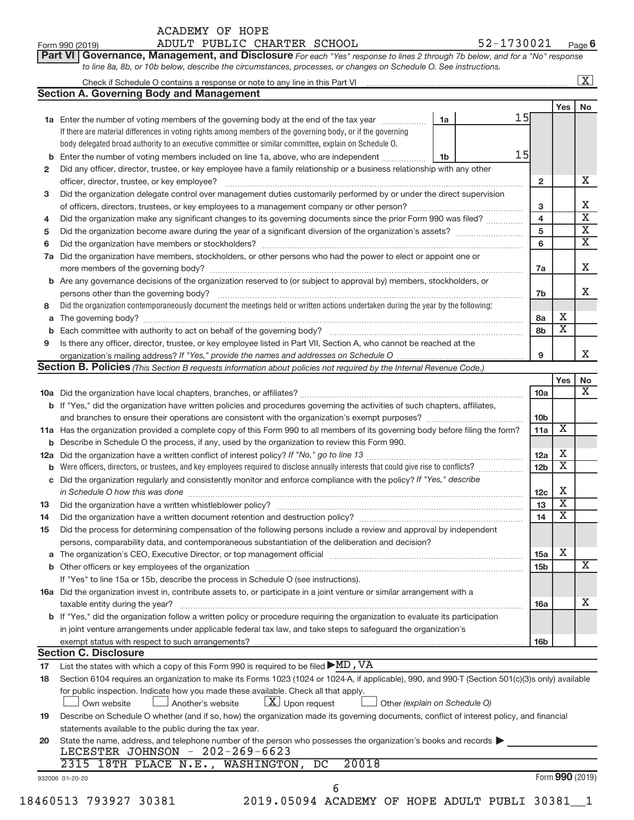| ACADEMY OF HOPE |  |
|-----------------|--|
|                 |  |

Form 990 (2019) ADULT PUBLIC CHARTER SCHOOL 52-1730021 <sub>Page</sub>

| Part VI   Governance, Management, and Disclosure For each "Yes" response to lines 2 through 7b below, and for a "No" response |  |
|-------------------------------------------------------------------------------------------------------------------------------|--|
| to line 8a, 8b, or 10b below, describe the circumstances, processes, or changes on Schedule O. See instructions.              |  |

|    | Check if Schedule O contains a response or note to any line in this Part VI [11] [12] [2] [2] [2] Check if Schedule O contains a response or note to any line in this Part VI |    |    |                         |                         | $\mathbf{X}$            |
|----|-------------------------------------------------------------------------------------------------------------------------------------------------------------------------------|----|----|-------------------------|-------------------------|-------------------------|
|    | <b>Section A. Governing Body and Management</b>                                                                                                                               |    |    |                         |                         |                         |
|    |                                                                                                                                                                               |    |    |                         | Yes                     | No                      |
|    | 1a Enter the number of voting members of the governing body at the end of the tax year                                                                                        | 1a | 15 |                         |                         |                         |
|    | If there are material differences in voting rights among members of the governing body, or if the governing                                                                   |    |    |                         |                         |                         |
|    | body delegated broad authority to an executive committee or similar committee, explain on Schedule O.                                                                         |    |    |                         |                         |                         |
| b  | Enter the number of voting members included on line 1a, above, who are independent                                                                                            | 1b | 15 |                         |                         |                         |
| 2  | Did any officer, director, trustee, or key employee have a family relationship or a business relationship with any other                                                      |    |    |                         |                         |                         |
|    | officer, director, trustee, or key employee?                                                                                                                                  |    |    | $\mathbf{2}$            |                         | х                       |
| 3  | Did the organization delegate control over management duties customarily performed by or under the direct supervision                                                         |    |    |                         |                         |                         |
|    |                                                                                                                                                                               |    |    | 3                       |                         | Х                       |
| 4  | Did the organization make any significant changes to its governing documents since the prior Form 990 was filed?                                                              |    |    | $\overline{\mathbf{4}}$ |                         | $\overline{\textbf{x}}$ |
| 5  |                                                                                                                                                                               |    |    | 5                       |                         | $\overline{\textbf{X}}$ |
| 6  |                                                                                                                                                                               |    |    | 6                       |                         | $\overline{\mathbf{X}}$ |
|    | 7a Did the organization have members, stockholders, or other persons who had the power to elect or appoint one or                                                             |    |    |                         |                         |                         |
|    |                                                                                                                                                                               |    |    | 7a                      |                         | X                       |
|    | <b>b</b> Are any governance decisions of the organization reserved to (or subject to approval by) members, stockholders, or                                                   |    |    |                         |                         |                         |
|    |                                                                                                                                                                               |    |    | 7b                      |                         | х                       |
| 8  | Did the organization contemporaneously document the meetings held or written actions undertaken during the year by the following:                                             |    |    |                         |                         |                         |
| а  |                                                                                                                                                                               |    |    | 8a                      | х                       |                         |
| b  |                                                                                                                                                                               |    |    | 8b                      | $\overline{\text{x}}$   |                         |
| 9  | Is there any officer, director, trustee, or key employee listed in Part VII, Section A, who cannot be reached at the                                                          |    |    |                         |                         |                         |
|    |                                                                                                                                                                               |    |    | 9                       |                         | X.                      |
|    | <b>Section B. Policies</b> (This Section B requests information about policies not required by the Internal Revenue Code.)                                                    |    |    |                         |                         |                         |
|    |                                                                                                                                                                               |    |    |                         | Yes                     | No                      |
|    |                                                                                                                                                                               |    |    | 10a                     |                         | X                       |
|    | b If "Yes," did the organization have written policies and procedures governing the activities of such chapters, affiliates,                                                  |    |    |                         |                         |                         |
|    |                                                                                                                                                                               |    |    | 10 <sub>b</sub>         |                         |                         |
|    | 11a Has the organization provided a complete copy of this Form 990 to all members of its governing body before filing the form?                                               |    |    | 11a                     | $\overline{\mathbf{X}}$ |                         |
|    | <b>b</b> Describe in Schedule O the process, if any, used by the organization to review this Form 990.                                                                        |    |    |                         |                         |                         |
|    |                                                                                                                                                                               |    |    | 12a                     | х                       |                         |
|    | Were officers, directors, or trustees, and key employees required to disclose annually interests that could give rise to conflicts?                                           |    |    | 12 <sub>b</sub>         | $\overline{\textbf{x}}$ |                         |
| b  | c Did the organization regularly and consistently monitor and enforce compliance with the policy? If "Yes," describe                                                          |    |    |                         |                         |                         |
|    |                                                                                                                                                                               |    |    |                         | Х                       |                         |
|    | in Schedule O how this was done manufactured and continuum and contact the was done manufactured and contact t                                                                |    |    | 12 <sub>c</sub>         | $\overline{\textbf{x}}$ |                         |
| 13 |                                                                                                                                                                               |    |    | 13                      | $\overline{\textbf{x}}$ |                         |
| 14 |                                                                                                                                                                               |    |    | 14                      |                         |                         |
| 15 | Did the process for determining compensation of the following persons include a review and approval by independent                                                            |    |    |                         |                         |                         |
|    | persons, comparability data, and contemporaneous substantiation of the deliberation and decision?                                                                             |    |    |                         | X                       |                         |
|    |                                                                                                                                                                               |    |    | 15a                     |                         |                         |
|    |                                                                                                                                                                               |    |    | 15 <sub>b</sub>         |                         | х                       |
|    | If "Yes" to line 15a or 15b, describe the process in Schedule O (see instructions).                                                                                           |    |    |                         |                         |                         |
|    | 16a Did the organization invest in, contribute assets to, or participate in a joint venture or similar arrangement with a                                                     |    |    |                         |                         |                         |
|    | taxable entity during the year?                                                                                                                                               |    |    | 16a                     |                         | x                       |
|    | b If "Yes," did the organization follow a written policy or procedure requiring the organization to evaluate its participation                                                |    |    |                         |                         |                         |
|    | in joint venture arrangements under applicable federal tax law, and take steps to safeguard the organization's                                                                |    |    |                         |                         |                         |
|    | exempt status with respect to such arrangements?                                                                                                                              |    |    | 16b                     |                         |                         |
|    | <b>Section C. Disclosure</b>                                                                                                                                                  |    |    |                         |                         |                         |
| 17 | List the states with which a copy of this Form 990 is required to be filed $\blacktriangleright$ MD, VA                                                                       |    |    |                         |                         |                         |
| 18 | Section 6104 requires an organization to make its Forms 1023 (1024 or 1024-A, if applicable), 990, and 990-T (Section 501(c)(3)s only) available                              |    |    |                         |                         |                         |
|    | for public inspection. Indicate how you made these available. Check all that apply.                                                                                           |    |    |                         |                         |                         |
|    | $\lfloor x \rfloor$ Upon request<br>Own website<br>Another's website<br>Other (explain on Schedule O)                                                                         |    |    |                         |                         |                         |
| 19 | Describe on Schedule O whether (and if so, how) the organization made its governing documents, conflict of interest policy, and financial                                     |    |    |                         |                         |                         |
|    | statements available to the public during the tax year.                                                                                                                       |    |    |                         |                         |                         |
| 20 | State the name, address, and telephone number of the person who possesses the organization's books and records                                                                |    |    |                         |                         |                         |
|    | LECESTER JOHNSON - 202-269-6623                                                                                                                                               |    |    |                         |                         |                         |
|    | 20018<br>2315 18TH PLACE N.E., WASHINGTON, DC                                                                                                                                 |    |    |                         |                         |                         |
|    | 932006 01-20-20                                                                                                                                                               |    |    |                         |                         | Form 990 (2019)         |
|    | 6                                                                                                                                                                             |    |    |                         |                         |                         |

18460513 793927 30381 2019.05094 ACADEMY OF HOPE ADULT PUBLI 30381\_\_1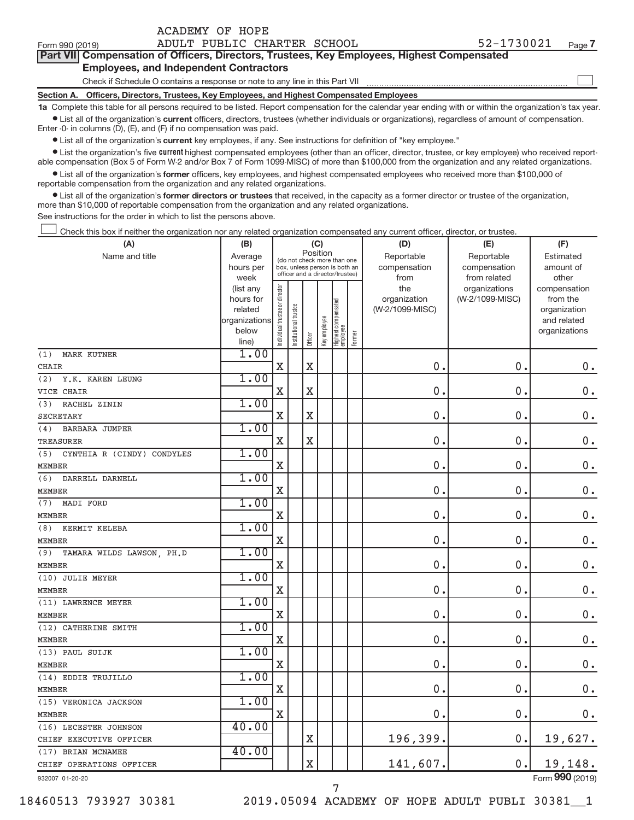| Form 990 (2019)                               | ADULT PUBLIC CHARTER SCHOOL                                                                | 52-1730021<br>Page 7                                                                                                                                       |  |  |  |  |  |  |  |  |
|-----------------------------------------------|--------------------------------------------------------------------------------------------|------------------------------------------------------------------------------------------------------------------------------------------------------------|--|--|--|--|--|--|--|--|
|                                               | Part VII Compensation of Officers, Directors, Trustees, Key Employees, Highest Compensated |                                                                                                                                                            |  |  |  |  |  |  |  |  |
| <b>Employees, and Independent Contractors</b> |                                                                                            |                                                                                                                                                            |  |  |  |  |  |  |  |  |
|                                               | Check if Schedule O contains a response or note to any line in this Part VII               |                                                                                                                                                            |  |  |  |  |  |  |  |  |
| <b>Section A.</b>                             | Officers, Directors, Trustees, Key Employees, and Highest Compensated Employees            |                                                                                                                                                            |  |  |  |  |  |  |  |  |
|                                               |                                                                                            | 1a Complete this table for all persons required to be listed. Report compensation for the calendar year ending with or within the organization's tay year. |  |  |  |  |  |  |  |  |

**1a**   $\bullet$  List all of the organization's current officers, directors, trustees (whether individuals or organizations), regardless of amount of compensation. ed to be listed. Report compensation for the calendar year ending with or within the orga

Enter -0- in columns (D), (E), and (F) if no compensation was paid.

ACADEMY OF HOPE

**•** List all of the organization's **current** key employees, if any. See instructions for definition of "key employee."

**Examber 1** List the organization's five *current* highest compensated employees (other than an officer, director, trustee, or key employee) who received reportable compensation (Box 5 of Form W-2 and/or Box 7 of Form 1099-MISC) of more than \$100,000 from the organization and any related organizations.

 $\bullet$  List all of the organization's former officers, key employees, and highest compensated employees who received more than \$100,000 of reportable compensation from the organization and any related organizations.

**•** List all of the organization's former directors or trustees that received, in the capacity as a former director or trustee of the organization, more than \$10,000 of reportable compensation from the organization and any related organizations.

See instructions for the order in which to list the persons above.

Check this box if neither the organization nor any related organization compensated any current officer, director, or trustee.  $\overline{\phantom{a}}$ 

| Position<br>Name and title<br>Average<br>Reportable<br>Reportable<br>Estimated<br>(do not check more than one<br>compensation<br>hours per<br>box, unless person is both an<br>compensation<br>amount of<br>officer and a director/trustee)<br>week<br>from related<br>other<br>from<br>Individual trustee or director<br>the<br>organizations<br>(list any<br>compensation<br>(W-2/1099-MISC)<br>hours for<br>organization<br>from the<br>Highest compensated<br>employee<br>trustee<br>(W-2/1099-MISC)<br>related<br>organization<br>Key employee<br>organizations<br>and related<br>Institutional t<br>below<br>organizations<br>Former<br>Officer<br>line)<br>1.00<br>(1)<br><b>MARK KUTNER</b><br>$\mathbf X$<br>$\mathbf X$<br>$\mathbf 0$ .<br>0.<br>0.<br>CHAIR<br>1.00<br>(2)<br>Y.K. KAREN LEUNG<br>$\overline{\mathbf{X}}$<br>$\mathbf 0$<br>0.<br>$\mathbf X$<br>$\mathbf 0$ .<br>VICE CHAIR<br>1.00<br>RACHEL ZININ<br>(3)<br>$\overline{\mathbf{X}}$<br>$\mathbf 0$<br>0.<br>$\mathbf 0$ .<br>X<br><b>SECRETARY</b><br>1.00<br>(4)<br><b>BARBARA JUMPER</b><br>0.<br>$\mathbf 0$<br>$0$ .<br>$\mathbf X$<br>$\mathbf X$<br>TREASURER<br>1.00<br>CYNTHIA R (CINDY) CONDYLES<br>(5)<br>0.<br>$\mathbf X$<br>$\mathbf 0$<br>$\mathbf 0$ .<br><b>MEMBER</b><br>1.00<br>(6)<br>DARRELL DARNELL<br>0.<br>$0$ .<br>$\mathbf X$<br>$\mathbf 0$<br>MEMBER<br>1.00<br>MADI FORD<br>(7)<br>$\mathbf 0$<br>0.<br>$0$ .<br>$\mathbf X$<br><b>MEMBER</b><br>1.00<br>(8)<br>KERMIT KELEBA<br>$\overline{0}$ .<br>$0$ .<br>$\mathbf 0$ .<br>X<br>MEMBER<br>1.00<br>(9)<br>TAMARA WILDS LAWSON, PH.D<br>0.<br>$\mathbf 0$<br>$0$ .<br>X<br><b>MEMBER</b><br>1.00<br>(10) JULIE MEYER<br>$\mathbf 0$ .<br>0.<br>$\mathbf 0$ .<br>X<br><b>MEMBER</b><br>1.00<br>(11) LAWRENCE MEYER<br>0.<br>0.<br>X<br><b>MEMBER</b><br>1.00<br>(12) CATHERINE SMITH<br>0.<br>0.<br>$\mathbf X$<br><b>MEMBER</b><br>1.00<br>(13) PAUL SUIJK<br>X<br>$\mathbf 0$<br>0.<br>$0$ .<br><b>MEMBER</b><br>1.00<br>(14) EDDIE TRUJILLO<br>$\mathbf 0$<br>$\mathbf 0$<br>$\mathbf 0$ .<br>$\mathbf X$<br><b>MEMBER</b><br>1.00<br>(15) VERONICA JACKSON<br>$\mathbf 0$<br>X<br>0.<br>0.<br>40.00<br>(16) LECESTER JOHNSON<br>196,399.<br>0.<br>19,627.<br>$\mathbf X$<br>CHIEF EXECUTIVE OFFICER<br>40.00<br>(17) BRIAN MCNAMEE<br>19,148.<br>$\overline{\text{X}}$<br>141,607.<br>0.<br>CHIEF OPERATIONS OFFICER<br>$000$ ( $001$ | (A)           | (B) |  | (C) |  | (D) | (E) | (F) |
|-------------------------------------------------------------------------------------------------------------------------------------------------------------------------------------------------------------------------------------------------------------------------------------------------------------------------------------------------------------------------------------------------------------------------------------------------------------------------------------------------------------------------------------------------------------------------------------------------------------------------------------------------------------------------------------------------------------------------------------------------------------------------------------------------------------------------------------------------------------------------------------------------------------------------------------------------------------------------------------------------------------------------------------------------------------------------------------------------------------------------------------------------------------------------------------------------------------------------------------------------------------------------------------------------------------------------------------------------------------------------------------------------------------------------------------------------------------------------------------------------------------------------------------------------------------------------------------------------------------------------------------------------------------------------------------------------------------------------------------------------------------------------------------------------------------------------------------------------------------------------------------------------------------------------------------------------------------------------------------------------------------------------------------------------------------------------------------------------------------------------------------------------------------------------------------------------------------------------------------------------------------------------------------------------------------------------------------------------------------------------------------------------------|---------------|-----|--|-----|--|-----|-----|-----|
|                                                                                                                                                                                                                                                                                                                                                                                                                                                                                                                                                                                                                                                                                                                                                                                                                                                                                                                                                                                                                                                                                                                                                                                                                                                                                                                                                                                                                                                                                                                                                                                                                                                                                                                                                                                                                                                                                                                                                                                                                                                                                                                                                                                                                                                                                                                                                                                                       |               |     |  |     |  |     |     |     |
|                                                                                                                                                                                                                                                                                                                                                                                                                                                                                                                                                                                                                                                                                                                                                                                                                                                                                                                                                                                                                                                                                                                                                                                                                                                                                                                                                                                                                                                                                                                                                                                                                                                                                                                                                                                                                                                                                                                                                                                                                                                                                                                                                                                                                                                                                                                                                                                                       |               |     |  |     |  |     |     |     |
|                                                                                                                                                                                                                                                                                                                                                                                                                                                                                                                                                                                                                                                                                                                                                                                                                                                                                                                                                                                                                                                                                                                                                                                                                                                                                                                                                                                                                                                                                                                                                                                                                                                                                                                                                                                                                                                                                                                                                                                                                                                                                                                                                                                                                                                                                                                                                                                                       |               |     |  |     |  |     |     |     |
| $0$ .<br>$0$ .                                                                                                                                                                                                                                                                                                                                                                                                                                                                                                                                                                                                                                                                                                                                                                                                                                                                                                                                                                                                                                                                                                                                                                                                                                                                                                                                                                                                                                                                                                                                                                                                                                                                                                                                                                                                                                                                                                                                                                                                                                                                                                                                                                                                                                                                                                                                                                                        |               |     |  |     |  |     |     |     |
|                                                                                                                                                                                                                                                                                                                                                                                                                                                                                                                                                                                                                                                                                                                                                                                                                                                                                                                                                                                                                                                                                                                                                                                                                                                                                                                                                                                                                                                                                                                                                                                                                                                                                                                                                                                                                                                                                                                                                                                                                                                                                                                                                                                                                                                                                                                                                                                                       |               |     |  |     |  |     |     |     |
|                                                                                                                                                                                                                                                                                                                                                                                                                                                                                                                                                                                                                                                                                                                                                                                                                                                                                                                                                                                                                                                                                                                                                                                                                                                                                                                                                                                                                                                                                                                                                                                                                                                                                                                                                                                                                                                                                                                                                                                                                                                                                                                                                                                                                                                                                                                                                                                                       |               |     |  |     |  |     |     |     |
|                                                                                                                                                                                                                                                                                                                                                                                                                                                                                                                                                                                                                                                                                                                                                                                                                                                                                                                                                                                                                                                                                                                                                                                                                                                                                                                                                                                                                                                                                                                                                                                                                                                                                                                                                                                                                                                                                                                                                                                                                                                                                                                                                                                                                                                                                                                                                                                                       |               |     |  |     |  |     |     |     |
|                                                                                                                                                                                                                                                                                                                                                                                                                                                                                                                                                                                                                                                                                                                                                                                                                                                                                                                                                                                                                                                                                                                                                                                                                                                                                                                                                                                                                                                                                                                                                                                                                                                                                                                                                                                                                                                                                                                                                                                                                                                                                                                                                                                                                                                                                                                                                                                                       |               |     |  |     |  |     |     |     |
|                                                                                                                                                                                                                                                                                                                                                                                                                                                                                                                                                                                                                                                                                                                                                                                                                                                                                                                                                                                                                                                                                                                                                                                                                                                                                                                                                                                                                                                                                                                                                                                                                                                                                                                                                                                                                                                                                                                                                                                                                                                                                                                                                                                                                                                                                                                                                                                                       |               |     |  |     |  |     |     |     |
|                                                                                                                                                                                                                                                                                                                                                                                                                                                                                                                                                                                                                                                                                                                                                                                                                                                                                                                                                                                                                                                                                                                                                                                                                                                                                                                                                                                                                                                                                                                                                                                                                                                                                                                                                                                                                                                                                                                                                                                                                                                                                                                                                                                                                                                                                                                                                                                                       |               |     |  |     |  |     |     |     |
|                                                                                                                                                                                                                                                                                                                                                                                                                                                                                                                                                                                                                                                                                                                                                                                                                                                                                                                                                                                                                                                                                                                                                                                                                                                                                                                                                                                                                                                                                                                                                                                                                                                                                                                                                                                                                                                                                                                                                                                                                                                                                                                                                                                                                                                                                                                                                                                                       |               |     |  |     |  |     |     |     |
|                                                                                                                                                                                                                                                                                                                                                                                                                                                                                                                                                                                                                                                                                                                                                                                                                                                                                                                                                                                                                                                                                                                                                                                                                                                                                                                                                                                                                                                                                                                                                                                                                                                                                                                                                                                                                                                                                                                                                                                                                                                                                                                                                                                                                                                                                                                                                                                                       |               |     |  |     |  |     |     |     |
|                                                                                                                                                                                                                                                                                                                                                                                                                                                                                                                                                                                                                                                                                                                                                                                                                                                                                                                                                                                                                                                                                                                                                                                                                                                                                                                                                                                                                                                                                                                                                                                                                                                                                                                                                                                                                                                                                                                                                                                                                                                                                                                                                                                                                                                                                                                                                                                                       |               |     |  |     |  |     |     |     |
|                                                                                                                                                                                                                                                                                                                                                                                                                                                                                                                                                                                                                                                                                                                                                                                                                                                                                                                                                                                                                                                                                                                                                                                                                                                                                                                                                                                                                                                                                                                                                                                                                                                                                                                                                                                                                                                                                                                                                                                                                                                                                                                                                                                                                                                                                                                                                                                                       |               |     |  |     |  |     |     |     |
|                                                                                                                                                                                                                                                                                                                                                                                                                                                                                                                                                                                                                                                                                                                                                                                                                                                                                                                                                                                                                                                                                                                                                                                                                                                                                                                                                                                                                                                                                                                                                                                                                                                                                                                                                                                                                                                                                                                                                                                                                                                                                                                                                                                                                                                                                                                                                                                                       |               |     |  |     |  |     |     |     |
|                                                                                                                                                                                                                                                                                                                                                                                                                                                                                                                                                                                                                                                                                                                                                                                                                                                                                                                                                                                                                                                                                                                                                                                                                                                                                                                                                                                                                                                                                                                                                                                                                                                                                                                                                                                                                                                                                                                                                                                                                                                                                                                                                                                                                                                                                                                                                                                                       |               |     |  |     |  |     |     |     |
|                                                                                                                                                                                                                                                                                                                                                                                                                                                                                                                                                                                                                                                                                                                                                                                                                                                                                                                                                                                                                                                                                                                                                                                                                                                                                                                                                                                                                                                                                                                                                                                                                                                                                                                                                                                                                                                                                                                                                                                                                                                                                                                                                                                                                                                                                                                                                                                                       |               |     |  |     |  |     |     |     |
|                                                                                                                                                                                                                                                                                                                                                                                                                                                                                                                                                                                                                                                                                                                                                                                                                                                                                                                                                                                                                                                                                                                                                                                                                                                                                                                                                                                                                                                                                                                                                                                                                                                                                                                                                                                                                                                                                                                                                                                                                                                                                                                                                                                                                                                                                                                                                                                                       |               |     |  |     |  |     |     |     |
|                                                                                                                                                                                                                                                                                                                                                                                                                                                                                                                                                                                                                                                                                                                                                                                                                                                                                                                                                                                                                                                                                                                                                                                                                                                                                                                                                                                                                                                                                                                                                                                                                                                                                                                                                                                                                                                                                                                                                                                                                                                                                                                                                                                                                                                                                                                                                                                                       |               |     |  |     |  |     |     |     |
|                                                                                                                                                                                                                                                                                                                                                                                                                                                                                                                                                                                                                                                                                                                                                                                                                                                                                                                                                                                                                                                                                                                                                                                                                                                                                                                                                                                                                                                                                                                                                                                                                                                                                                                                                                                                                                                                                                                                                                                                                                                                                                                                                                                                                                                                                                                                                                                                       |               |     |  |     |  |     |     |     |
|                                                                                                                                                                                                                                                                                                                                                                                                                                                                                                                                                                                                                                                                                                                                                                                                                                                                                                                                                                                                                                                                                                                                                                                                                                                                                                                                                                                                                                                                                                                                                                                                                                                                                                                                                                                                                                                                                                                                                                                                                                                                                                                                                                                                                                                                                                                                                                                                       |               |     |  |     |  |     |     |     |
|                                                                                                                                                                                                                                                                                                                                                                                                                                                                                                                                                                                                                                                                                                                                                                                                                                                                                                                                                                                                                                                                                                                                                                                                                                                                                                                                                                                                                                                                                                                                                                                                                                                                                                                                                                                                                                                                                                                                                                                                                                                                                                                                                                                                                                                                                                                                                                                                       |               |     |  |     |  |     |     |     |
|                                                                                                                                                                                                                                                                                                                                                                                                                                                                                                                                                                                                                                                                                                                                                                                                                                                                                                                                                                                                                                                                                                                                                                                                                                                                                                                                                                                                                                                                                                                                                                                                                                                                                                                                                                                                                                                                                                                                                                                                                                                                                                                                                                                                                                                                                                                                                                                                       |               |     |  |     |  |     |     |     |
|                                                                                                                                                                                                                                                                                                                                                                                                                                                                                                                                                                                                                                                                                                                                                                                                                                                                                                                                                                                                                                                                                                                                                                                                                                                                                                                                                                                                                                                                                                                                                                                                                                                                                                                                                                                                                                                                                                                                                                                                                                                                                                                                                                                                                                                                                                                                                                                                       |               |     |  |     |  |     |     |     |
|                                                                                                                                                                                                                                                                                                                                                                                                                                                                                                                                                                                                                                                                                                                                                                                                                                                                                                                                                                                                                                                                                                                                                                                                                                                                                                                                                                                                                                                                                                                                                                                                                                                                                                                                                                                                                                                                                                                                                                                                                                                                                                                                                                                                                                                                                                                                                                                                       |               |     |  |     |  |     |     |     |
|                                                                                                                                                                                                                                                                                                                                                                                                                                                                                                                                                                                                                                                                                                                                                                                                                                                                                                                                                                                                                                                                                                                                                                                                                                                                                                                                                                                                                                                                                                                                                                                                                                                                                                                                                                                                                                                                                                                                                                                                                                                                                                                                                                                                                                                                                                                                                                                                       |               |     |  |     |  |     |     |     |
|                                                                                                                                                                                                                                                                                                                                                                                                                                                                                                                                                                                                                                                                                                                                                                                                                                                                                                                                                                                                                                                                                                                                                                                                                                                                                                                                                                                                                                                                                                                                                                                                                                                                                                                                                                                                                                                                                                                                                                                                                                                                                                                                                                                                                                                                                                                                                                                                       |               |     |  |     |  |     |     |     |
|                                                                                                                                                                                                                                                                                                                                                                                                                                                                                                                                                                                                                                                                                                                                                                                                                                                                                                                                                                                                                                                                                                                                                                                                                                                                                                                                                                                                                                                                                                                                                                                                                                                                                                                                                                                                                                                                                                                                                                                                                                                                                                                                                                                                                                                                                                                                                                                                       |               |     |  |     |  |     |     |     |
|                                                                                                                                                                                                                                                                                                                                                                                                                                                                                                                                                                                                                                                                                                                                                                                                                                                                                                                                                                                                                                                                                                                                                                                                                                                                                                                                                                                                                                                                                                                                                                                                                                                                                                                                                                                                                                                                                                                                                                                                                                                                                                                                                                                                                                                                                                                                                                                                       |               |     |  |     |  |     |     |     |
|                                                                                                                                                                                                                                                                                                                                                                                                                                                                                                                                                                                                                                                                                                                                                                                                                                                                                                                                                                                                                                                                                                                                                                                                                                                                                                                                                                                                                                                                                                                                                                                                                                                                                                                                                                                                                                                                                                                                                                                                                                                                                                                                                                                                                                                                                                                                                                                                       |               |     |  |     |  |     |     |     |
|                                                                                                                                                                                                                                                                                                                                                                                                                                                                                                                                                                                                                                                                                                                                                                                                                                                                                                                                                                                                                                                                                                                                                                                                                                                                                                                                                                                                                                                                                                                                                                                                                                                                                                                                                                                                                                                                                                                                                                                                                                                                                                                                                                                                                                                                                                                                                                                                       |               |     |  |     |  |     |     |     |
|                                                                                                                                                                                                                                                                                                                                                                                                                                                                                                                                                                                                                                                                                                                                                                                                                                                                                                                                                                                                                                                                                                                                                                                                                                                                                                                                                                                                                                                                                                                                                                                                                                                                                                                                                                                                                                                                                                                                                                                                                                                                                                                                                                                                                                                                                                                                                                                                       |               |     |  |     |  |     |     |     |
|                                                                                                                                                                                                                                                                                                                                                                                                                                                                                                                                                                                                                                                                                                                                                                                                                                                                                                                                                                                                                                                                                                                                                                                                                                                                                                                                                                                                                                                                                                                                                                                                                                                                                                                                                                                                                                                                                                                                                                                                                                                                                                                                                                                                                                                                                                                                                                                                       |               |     |  |     |  |     |     |     |
|                                                                                                                                                                                                                                                                                                                                                                                                                                                                                                                                                                                                                                                                                                                                                                                                                                                                                                                                                                                                                                                                                                                                                                                                                                                                                                                                                                                                                                                                                                                                                                                                                                                                                                                                                                                                                                                                                                                                                                                                                                                                                                                                                                                                                                                                                                                                                                                                       |               |     |  |     |  |     |     |     |
|                                                                                                                                                                                                                                                                                                                                                                                                                                                                                                                                                                                                                                                                                                                                                                                                                                                                                                                                                                                                                                                                                                                                                                                                                                                                                                                                                                                                                                                                                                                                                                                                                                                                                                                                                                                                                                                                                                                                                                                                                                                                                                                                                                                                                                                                                                                                                                                                       |               |     |  |     |  |     |     |     |
|                                                                                                                                                                                                                                                                                                                                                                                                                                                                                                                                                                                                                                                                                                                                                                                                                                                                                                                                                                                                                                                                                                                                                                                                                                                                                                                                                                                                                                                                                                                                                                                                                                                                                                                                                                                                                                                                                                                                                                                                                                                                                                                                                                                                                                                                                                                                                                                                       |               |     |  |     |  |     |     |     |
|                                                                                                                                                                                                                                                                                                                                                                                                                                                                                                                                                                                                                                                                                                                                                                                                                                                                                                                                                                                                                                                                                                                                                                                                                                                                                                                                                                                                                                                                                                                                                                                                                                                                                                                                                                                                                                                                                                                                                                                                                                                                                                                                                                                                                                                                                                                                                                                                       |               |     |  |     |  |     |     |     |
|                                                                                                                                                                                                                                                                                                                                                                                                                                                                                                                                                                                                                                                                                                                                                                                                                                                                                                                                                                                                                                                                                                                                                                                                                                                                                                                                                                                                                                                                                                                                                                                                                                                                                                                                                                                                                                                                                                                                                                                                                                                                                                                                                                                                                                                                                                                                                                                                       | <b>MEMBER</b> |     |  |     |  |     |     |     |
|                                                                                                                                                                                                                                                                                                                                                                                                                                                                                                                                                                                                                                                                                                                                                                                                                                                                                                                                                                                                                                                                                                                                                                                                                                                                                                                                                                                                                                                                                                                                                                                                                                                                                                                                                                                                                                                                                                                                                                                                                                                                                                                                                                                                                                                                                                                                                                                                       |               |     |  |     |  |     |     |     |
|                                                                                                                                                                                                                                                                                                                                                                                                                                                                                                                                                                                                                                                                                                                                                                                                                                                                                                                                                                                                                                                                                                                                                                                                                                                                                                                                                                                                                                                                                                                                                                                                                                                                                                                                                                                                                                                                                                                                                                                                                                                                                                                                                                                                                                                                                                                                                                                                       |               |     |  |     |  |     |     |     |
|                                                                                                                                                                                                                                                                                                                                                                                                                                                                                                                                                                                                                                                                                                                                                                                                                                                                                                                                                                                                                                                                                                                                                                                                                                                                                                                                                                                                                                                                                                                                                                                                                                                                                                                                                                                                                                                                                                                                                                                                                                                                                                                                                                                                                                                                                                                                                                                                       |               |     |  |     |  |     |     |     |
|                                                                                                                                                                                                                                                                                                                                                                                                                                                                                                                                                                                                                                                                                                                                                                                                                                                                                                                                                                                                                                                                                                                                                                                                                                                                                                                                                                                                                                                                                                                                                                                                                                                                                                                                                                                                                                                                                                                                                                                                                                                                                                                                                                                                                                                                                                                                                                                                       |               |     |  |     |  |     |     |     |

932007 01-20-20

18460513 793927 30381 2019.05094 ACADEMY OF HOPE ADULT PUBLI 30381\_\_1

Form (2019) **990**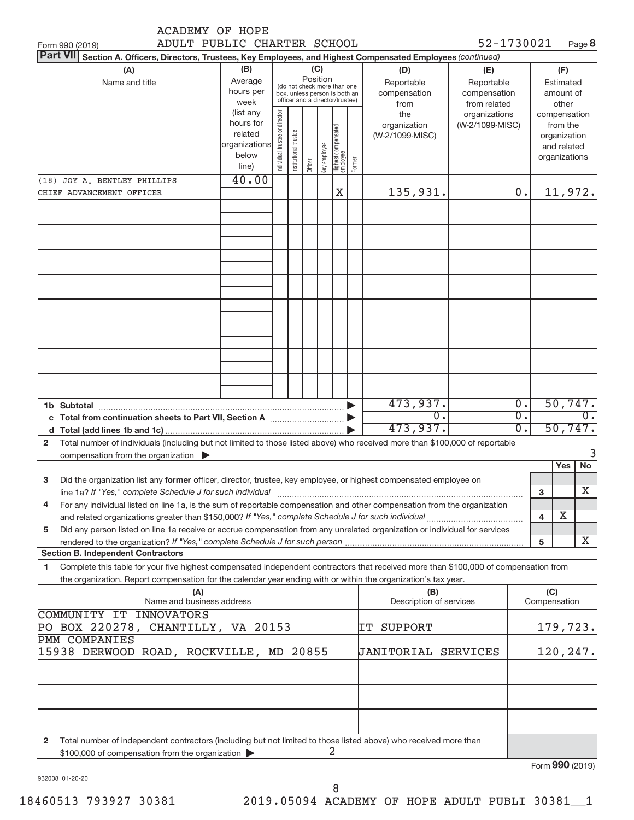| ADULT PUBLIC CHARTER SCHOOL<br>52-1730021<br>Page 8<br><b>Part VII</b><br>Section A. Officers, Directors, Trustees, Key Employees, and Highest Compensated Employees (continued)<br>(B)<br>(C)<br>(A)<br>(D)<br>(E)<br>(F)<br>Position<br>Average<br>Name and title<br>Reportable<br>Reportable<br>Estimated<br>(do not check more than one<br>hours per<br>compensation<br>compensation<br>amount of<br>box, unless person is both an<br>officer and a director/trustee)<br>week<br>from related<br>other<br>from<br>Individual trustee or director<br>(list any<br>the<br>organizations<br>compensation<br>hours for<br>(W-2/1099-MISC)<br>organization<br>from the<br>Highest compensated<br>employee<br>Institutional trustee<br>related<br>(W-2/1099-MISC)<br>organization<br>organizations<br>Key employee<br>and related<br>below<br>organizations<br>Former<br>Officer<br>line)<br>40.00<br>(18) JOY A. BENTLEY PHILLIPS<br>X<br>135,931.<br>11,972.<br>0.<br>CHIEF ADVANCEMENT OFFICER<br>473,937.<br>50, 747.<br>$\overline{0}$ .<br>1b Subtotal<br>$\overline{0}$ .<br>$\overline{0}$ .<br>$\overline{0}$ .<br>50,747.<br>473,937.<br>$\overline{0}$ .<br>Total number of individuals (including but not limited to those listed above) who received more than \$100,000 of reportable<br>$\mathbf{2}$<br>compensation from the organization $\blacktriangleright$<br>No<br>Yes<br>Did the organization list any former officer, director, trustee, key employee, or highest compensated employee on<br>3<br>X<br>line 1a? If "Yes," complete Schedule J for such individual manufactured content content for the complete schedu<br>з<br>For any individual listed on line 1a, is the sum of reportable compensation and other compensation from the organization<br>4<br>х<br>4<br>Did any person listed on line 1a receive or accrue compensation from any unrelated organization or individual for services<br>5<br>x<br>5<br><b>Section B. Independent Contractors</b><br>Complete this table for your five highest compensated independent contractors that received more than \$100,000 of compensation from<br>1<br>the organization. Report compensation for the calendar year ending with or within the organization's tax year.<br>(C)<br>(A)<br>(B)<br>Name and business address<br>Description of services<br>Compensation<br>COMMUNITY IT INNOVATORS<br>PO BOX 220278, CHANTILLY, VA 20153<br>179,723.<br>IT SUPPORT<br>PMM COMPANIES<br>120,247.<br>15938 DERWOOD ROAD, ROCKVILLE, MD 20855<br><b>JANITORIAL SERVICES</b><br>Total number of independent contractors (including but not limited to those listed above) who received more than<br>$\mathbf{2}$<br>2<br>\$100,000 of compensation from the organization | <b>ACADEMY OF HOPE</b> |  |  |  |  |  |  |  |  |  |  |  |
|-------------------------------------------------------------------------------------------------------------------------------------------------------------------------------------------------------------------------------------------------------------------------------------------------------------------------------------------------------------------------------------------------------------------------------------------------------------------------------------------------------------------------------------------------------------------------------------------------------------------------------------------------------------------------------------------------------------------------------------------------------------------------------------------------------------------------------------------------------------------------------------------------------------------------------------------------------------------------------------------------------------------------------------------------------------------------------------------------------------------------------------------------------------------------------------------------------------------------------------------------------------------------------------------------------------------------------------------------------------------------------------------------------------------------------------------------------------------------------------------------------------------------------------------------------------------------------------------------------------------------------------------------------------------------------------------------------------------------------------------------------------------------------------------------------------------------------------------------------------------------------------------------------------------------------------------------------------------------------------------------------------------------------------------------------------------------------------------------------------------------------------------------------------------------------------------------------------------------------------------------------------------------------------------------------------------------------------------------------------------------------------------------------------------------------------------------------------------------------------------------------------------------------------------------------------------------------------------------------------------------------------------------------------------------------------------------------------------------------------------------|------------------------|--|--|--|--|--|--|--|--|--|--|--|
|                                                                                                                                                                                                                                                                                                                                                                                                                                                                                                                                                                                                                                                                                                                                                                                                                                                                                                                                                                                                                                                                                                                                                                                                                                                                                                                                                                                                                                                                                                                                                                                                                                                                                                                                                                                                                                                                                                                                                                                                                                                                                                                                                                                                                                                                                                                                                                                                                                                                                                                                                                                                                                                                                                                                                 | Form 990 (2019)        |  |  |  |  |  |  |  |  |  |  |  |
|                                                                                                                                                                                                                                                                                                                                                                                                                                                                                                                                                                                                                                                                                                                                                                                                                                                                                                                                                                                                                                                                                                                                                                                                                                                                                                                                                                                                                                                                                                                                                                                                                                                                                                                                                                                                                                                                                                                                                                                                                                                                                                                                                                                                                                                                                                                                                                                                                                                                                                                                                                                                                                                                                                                                                 |                        |  |  |  |  |  |  |  |  |  |  |  |
|                                                                                                                                                                                                                                                                                                                                                                                                                                                                                                                                                                                                                                                                                                                                                                                                                                                                                                                                                                                                                                                                                                                                                                                                                                                                                                                                                                                                                                                                                                                                                                                                                                                                                                                                                                                                                                                                                                                                                                                                                                                                                                                                                                                                                                                                                                                                                                                                                                                                                                                                                                                                                                                                                                                                                 |                        |  |  |  |  |  |  |  |  |  |  |  |
|                                                                                                                                                                                                                                                                                                                                                                                                                                                                                                                                                                                                                                                                                                                                                                                                                                                                                                                                                                                                                                                                                                                                                                                                                                                                                                                                                                                                                                                                                                                                                                                                                                                                                                                                                                                                                                                                                                                                                                                                                                                                                                                                                                                                                                                                                                                                                                                                                                                                                                                                                                                                                                                                                                                                                 |                        |  |  |  |  |  |  |  |  |  |  |  |
|                                                                                                                                                                                                                                                                                                                                                                                                                                                                                                                                                                                                                                                                                                                                                                                                                                                                                                                                                                                                                                                                                                                                                                                                                                                                                                                                                                                                                                                                                                                                                                                                                                                                                                                                                                                                                                                                                                                                                                                                                                                                                                                                                                                                                                                                                                                                                                                                                                                                                                                                                                                                                                                                                                                                                 |                        |  |  |  |  |  |  |  |  |  |  |  |
|                                                                                                                                                                                                                                                                                                                                                                                                                                                                                                                                                                                                                                                                                                                                                                                                                                                                                                                                                                                                                                                                                                                                                                                                                                                                                                                                                                                                                                                                                                                                                                                                                                                                                                                                                                                                                                                                                                                                                                                                                                                                                                                                                                                                                                                                                                                                                                                                                                                                                                                                                                                                                                                                                                                                                 |                        |  |  |  |  |  |  |  |  |  |  |  |
|                                                                                                                                                                                                                                                                                                                                                                                                                                                                                                                                                                                                                                                                                                                                                                                                                                                                                                                                                                                                                                                                                                                                                                                                                                                                                                                                                                                                                                                                                                                                                                                                                                                                                                                                                                                                                                                                                                                                                                                                                                                                                                                                                                                                                                                                                                                                                                                                                                                                                                                                                                                                                                                                                                                                                 |                        |  |  |  |  |  |  |  |  |  |  |  |
|                                                                                                                                                                                                                                                                                                                                                                                                                                                                                                                                                                                                                                                                                                                                                                                                                                                                                                                                                                                                                                                                                                                                                                                                                                                                                                                                                                                                                                                                                                                                                                                                                                                                                                                                                                                                                                                                                                                                                                                                                                                                                                                                                                                                                                                                                                                                                                                                                                                                                                                                                                                                                                                                                                                                                 |                        |  |  |  |  |  |  |  |  |  |  |  |
|                                                                                                                                                                                                                                                                                                                                                                                                                                                                                                                                                                                                                                                                                                                                                                                                                                                                                                                                                                                                                                                                                                                                                                                                                                                                                                                                                                                                                                                                                                                                                                                                                                                                                                                                                                                                                                                                                                                                                                                                                                                                                                                                                                                                                                                                                                                                                                                                                                                                                                                                                                                                                                                                                                                                                 |                        |  |  |  |  |  |  |  |  |  |  |  |
|                                                                                                                                                                                                                                                                                                                                                                                                                                                                                                                                                                                                                                                                                                                                                                                                                                                                                                                                                                                                                                                                                                                                                                                                                                                                                                                                                                                                                                                                                                                                                                                                                                                                                                                                                                                                                                                                                                                                                                                                                                                                                                                                                                                                                                                                                                                                                                                                                                                                                                                                                                                                                                                                                                                                                 |                        |  |  |  |  |  |  |  |  |  |  |  |
|                                                                                                                                                                                                                                                                                                                                                                                                                                                                                                                                                                                                                                                                                                                                                                                                                                                                                                                                                                                                                                                                                                                                                                                                                                                                                                                                                                                                                                                                                                                                                                                                                                                                                                                                                                                                                                                                                                                                                                                                                                                                                                                                                                                                                                                                                                                                                                                                                                                                                                                                                                                                                                                                                                                                                 |                        |  |  |  |  |  |  |  |  |  |  |  |
|                                                                                                                                                                                                                                                                                                                                                                                                                                                                                                                                                                                                                                                                                                                                                                                                                                                                                                                                                                                                                                                                                                                                                                                                                                                                                                                                                                                                                                                                                                                                                                                                                                                                                                                                                                                                                                                                                                                                                                                                                                                                                                                                                                                                                                                                                                                                                                                                                                                                                                                                                                                                                                                                                                                                                 |                        |  |  |  |  |  |  |  |  |  |  |  |
|                                                                                                                                                                                                                                                                                                                                                                                                                                                                                                                                                                                                                                                                                                                                                                                                                                                                                                                                                                                                                                                                                                                                                                                                                                                                                                                                                                                                                                                                                                                                                                                                                                                                                                                                                                                                                                                                                                                                                                                                                                                                                                                                                                                                                                                                                                                                                                                                                                                                                                                                                                                                                                                                                                                                                 |                        |  |  |  |  |  |  |  |  |  |  |  |
|                                                                                                                                                                                                                                                                                                                                                                                                                                                                                                                                                                                                                                                                                                                                                                                                                                                                                                                                                                                                                                                                                                                                                                                                                                                                                                                                                                                                                                                                                                                                                                                                                                                                                                                                                                                                                                                                                                                                                                                                                                                                                                                                                                                                                                                                                                                                                                                                                                                                                                                                                                                                                                                                                                                                                 |                        |  |  |  |  |  |  |  |  |  |  |  |
|                                                                                                                                                                                                                                                                                                                                                                                                                                                                                                                                                                                                                                                                                                                                                                                                                                                                                                                                                                                                                                                                                                                                                                                                                                                                                                                                                                                                                                                                                                                                                                                                                                                                                                                                                                                                                                                                                                                                                                                                                                                                                                                                                                                                                                                                                                                                                                                                                                                                                                                                                                                                                                                                                                                                                 |                        |  |  |  |  |  |  |  |  |  |  |  |
|                                                                                                                                                                                                                                                                                                                                                                                                                                                                                                                                                                                                                                                                                                                                                                                                                                                                                                                                                                                                                                                                                                                                                                                                                                                                                                                                                                                                                                                                                                                                                                                                                                                                                                                                                                                                                                                                                                                                                                                                                                                                                                                                                                                                                                                                                                                                                                                                                                                                                                                                                                                                                                                                                                                                                 |                        |  |  |  |  |  |  |  |  |  |  |  |
|                                                                                                                                                                                                                                                                                                                                                                                                                                                                                                                                                                                                                                                                                                                                                                                                                                                                                                                                                                                                                                                                                                                                                                                                                                                                                                                                                                                                                                                                                                                                                                                                                                                                                                                                                                                                                                                                                                                                                                                                                                                                                                                                                                                                                                                                                                                                                                                                                                                                                                                                                                                                                                                                                                                                                 |                        |  |  |  |  |  |  |  |  |  |  |  |
|                                                                                                                                                                                                                                                                                                                                                                                                                                                                                                                                                                                                                                                                                                                                                                                                                                                                                                                                                                                                                                                                                                                                                                                                                                                                                                                                                                                                                                                                                                                                                                                                                                                                                                                                                                                                                                                                                                                                                                                                                                                                                                                                                                                                                                                                                                                                                                                                                                                                                                                                                                                                                                                                                                                                                 |                        |  |  |  |  |  |  |  |  |  |  |  |
|                                                                                                                                                                                                                                                                                                                                                                                                                                                                                                                                                                                                                                                                                                                                                                                                                                                                                                                                                                                                                                                                                                                                                                                                                                                                                                                                                                                                                                                                                                                                                                                                                                                                                                                                                                                                                                                                                                                                                                                                                                                                                                                                                                                                                                                                                                                                                                                                                                                                                                                                                                                                                                                                                                                                                 |                        |  |  |  |  |  |  |  |  |  |  |  |
|                                                                                                                                                                                                                                                                                                                                                                                                                                                                                                                                                                                                                                                                                                                                                                                                                                                                                                                                                                                                                                                                                                                                                                                                                                                                                                                                                                                                                                                                                                                                                                                                                                                                                                                                                                                                                                                                                                                                                                                                                                                                                                                                                                                                                                                                                                                                                                                                                                                                                                                                                                                                                                                                                                                                                 |                        |  |  |  |  |  |  |  |  |  |  |  |
|                                                                                                                                                                                                                                                                                                                                                                                                                                                                                                                                                                                                                                                                                                                                                                                                                                                                                                                                                                                                                                                                                                                                                                                                                                                                                                                                                                                                                                                                                                                                                                                                                                                                                                                                                                                                                                                                                                                                                                                                                                                                                                                                                                                                                                                                                                                                                                                                                                                                                                                                                                                                                                                                                                                                                 |                        |  |  |  |  |  |  |  |  |  |  |  |
|                                                                                                                                                                                                                                                                                                                                                                                                                                                                                                                                                                                                                                                                                                                                                                                                                                                                                                                                                                                                                                                                                                                                                                                                                                                                                                                                                                                                                                                                                                                                                                                                                                                                                                                                                                                                                                                                                                                                                                                                                                                                                                                                                                                                                                                                                                                                                                                                                                                                                                                                                                                                                                                                                                                                                 |                        |  |  |  |  |  |  |  |  |  |  |  |
|                                                                                                                                                                                                                                                                                                                                                                                                                                                                                                                                                                                                                                                                                                                                                                                                                                                                                                                                                                                                                                                                                                                                                                                                                                                                                                                                                                                                                                                                                                                                                                                                                                                                                                                                                                                                                                                                                                                                                                                                                                                                                                                                                                                                                                                                                                                                                                                                                                                                                                                                                                                                                                                                                                                                                 |                        |  |  |  |  |  |  |  |  |  |  |  |
|                                                                                                                                                                                                                                                                                                                                                                                                                                                                                                                                                                                                                                                                                                                                                                                                                                                                                                                                                                                                                                                                                                                                                                                                                                                                                                                                                                                                                                                                                                                                                                                                                                                                                                                                                                                                                                                                                                                                                                                                                                                                                                                                                                                                                                                                                                                                                                                                                                                                                                                                                                                                                                                                                                                                                 |                        |  |  |  |  |  |  |  |  |  |  |  |
|                                                                                                                                                                                                                                                                                                                                                                                                                                                                                                                                                                                                                                                                                                                                                                                                                                                                                                                                                                                                                                                                                                                                                                                                                                                                                                                                                                                                                                                                                                                                                                                                                                                                                                                                                                                                                                                                                                                                                                                                                                                                                                                                                                                                                                                                                                                                                                                                                                                                                                                                                                                                                                                                                                                                                 |                        |  |  |  |  |  |  |  |  |  |  |  |
|                                                                                                                                                                                                                                                                                                                                                                                                                                                                                                                                                                                                                                                                                                                                                                                                                                                                                                                                                                                                                                                                                                                                                                                                                                                                                                                                                                                                                                                                                                                                                                                                                                                                                                                                                                                                                                                                                                                                                                                                                                                                                                                                                                                                                                                                                                                                                                                                                                                                                                                                                                                                                                                                                                                                                 |                        |  |  |  |  |  |  |  |  |  |  |  |
| Form 990 (2019)                                                                                                                                                                                                                                                                                                                                                                                                                                                                                                                                                                                                                                                                                                                                                                                                                                                                                                                                                                                                                                                                                                                                                                                                                                                                                                                                                                                                                                                                                                                                                                                                                                                                                                                                                                                                                                                                                                                                                                                                                                                                                                                                                                                                                                                                                                                                                                                                                                                                                                                                                                                                                                                                                                                                 |                        |  |  |  |  |  |  |  |  |  |  |  |

932008 01-20-20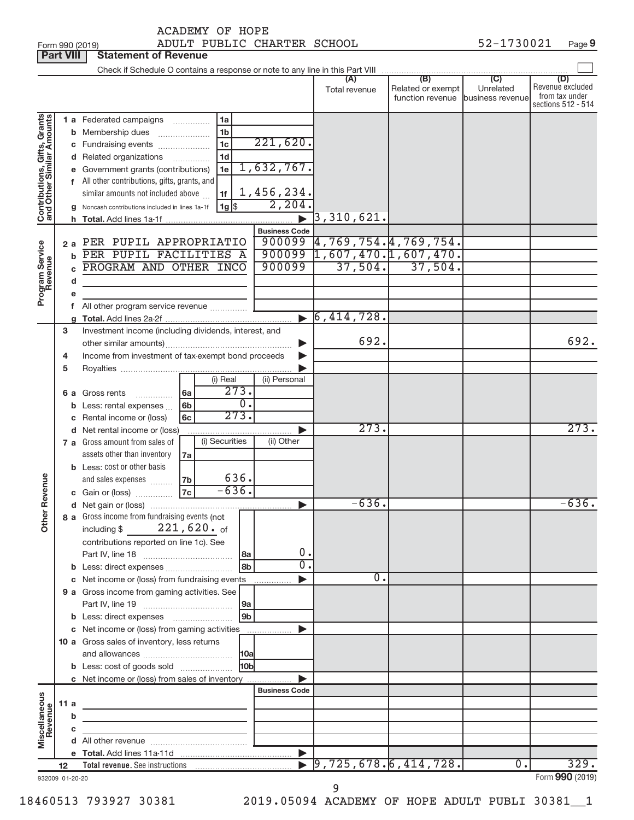Form 990 (2019) Page ADULT PUBLIC CHARTER SCHOOL 52-1730021 **Part VIII Statement of Revenue**<br>**Part VIII Statement of Revenue** 

|                                                           |         |              |                                                                            |           |                |                  |                       |                                   |                   |                  | (D)                                |
|-----------------------------------------------------------|---------|--------------|----------------------------------------------------------------------------|-----------|----------------|------------------|-----------------------|-----------------------------------|-------------------|------------------|------------------------------------|
|                                                           |         |              |                                                                            |           |                |                  |                       | Total revenue                     | Related or exempt | Unrelated        | Revenue excluded<br>from tax under |
|                                                           |         |              |                                                                            |           |                |                  |                       |                                   | function revenue  | business revenue | sections 512 - 514                 |
|                                                           |         |              |                                                                            |           |                |                  |                       |                                   |                   |                  |                                    |
| Contributions, Gifts, Grants<br>and Other Similar Amounts |         |              | 1 a Federated campaigns                                                    |           | 1a<br>.        |                  |                       |                                   |                   |                  |                                    |
|                                                           |         |              | <b>b</b> Membership dues                                                   |           | 1 <sub>b</sub> |                  | 221,620.              |                                   |                   |                  |                                    |
|                                                           |         |              | c Fundraising events                                                       |           | 1 <sub>c</sub> |                  |                       |                                   |                   |                  |                                    |
|                                                           |         |              | d Related organizations                                                    |           | 1 <sub>d</sub> |                  |                       |                                   |                   |                  |                                    |
|                                                           |         |              | e Government grants (contributions)                                        |           | 1e             |                  | 1,632,767.            |                                   |                   |                  |                                    |
|                                                           |         |              | f All other contributions, gifts, grants, and                              |           |                |                  |                       |                                   |                   |                  |                                    |
|                                                           |         |              | similar amounts not included above                                         |           | 1f             |                  | 1,456,234.            |                                   |                   |                  |                                    |
|                                                           |         |              | <b>g</b> Noncash contributions included in lines 1a-1f                     |           |                |                  | 2,204.                |                                   |                   |                  |                                    |
|                                                           |         |              |                                                                            |           |                |                  |                       | $\blacktriangleright$ 3,310,621.  |                   |                  |                                    |
|                                                           |         |              |                                                                            |           |                |                  | <b>Business Code</b>  |                                   |                   |                  |                                    |
|                                                           |         |              | 2 a PER PUPIL APPROPRIATIO                                                 |           |                |                  |                       | $900099$ 4, 769, 754.4, 769, 754. |                   |                  |                                    |
| Program Service<br>Revenue                                |         |              | <b>b</b> PER PUPIL FACILITIES A                                            |           |                |                  |                       | $900099$ 1,607,470.1,607,470.     |                   |                  |                                    |
|                                                           |         | $\mathbf{c}$ | PROGRAM AND OTHER INCO                                                     |           |                |                  | 900099                | 37,504.                           | 37,504.           |                  |                                    |
|                                                           |         | d            |                                                                            |           |                |                  |                       |                                   |                   |                  |                                    |
|                                                           |         | е            |                                                                            |           |                |                  |                       |                                   |                   |                  |                                    |
|                                                           |         |              | f All other program service revenue                                        |           |                |                  |                       |                                   |                   |                  |                                    |
|                                                           |         |              |                                                                            |           |                |                  |                       | $\triangleright$ 6,414,728.       |                   |                  |                                    |
|                                                           | 3       |              | Investment income (including dividends, interest, and                      |           |                |                  |                       |                                   |                   |                  |                                    |
|                                                           |         |              |                                                                            |           |                |                  | ▶                     | 692.                              |                   | 692.             |                                    |
|                                                           | 4       |              | Income from investment of tax-exempt bond proceeds                         |           |                |                  |                       |                                   |                   |                  |                                    |
|                                                           | 5       |              |                                                                            |           |                |                  |                       |                                   |                   |                  |                                    |
|                                                           |         |              |                                                                            |           | (i) Real       |                  | (ii) Personal         |                                   |                   |                  |                                    |
|                                                           |         |              | 6 a Gross rents                                                            | 6a        |                | 273.             |                       |                                   |                   |                  |                                    |
|                                                           |         |              |                                                                            | 6b        |                | $\overline{0}$ . |                       |                                   |                   |                  |                                    |
|                                                           |         |              | <b>b</b> Less: rental expenses                                             | 6c        |                | 273.             |                       |                                   |                   |                  |                                    |
|                                                           |         |              | c Rental income or (loss)                                                  |           |                |                  |                       | 273.                              |                   |                  | 273.                               |
|                                                           |         |              | d Net rental income or (loss)                                              |           | (i) Securities |                  | (ii) Other            |                                   |                   |                  |                                    |
|                                                           |         |              | 7 a Gross amount from sales of                                             |           |                |                  |                       |                                   |                   |                  |                                    |
|                                                           |         |              | assets other than inventory                                                | 7a        |                |                  |                       |                                   |                   |                  |                                    |
|                                                           |         |              | <b>b</b> Less: cost or other basis                                         |           |                |                  |                       |                                   |                   |                  |                                    |
|                                                           |         |              | and sales expenses                                                         | 7b        |                | 636.<br>$-636.$  |                       |                                   |                   |                  |                                    |
| her Revenue                                               |         |              | <b>c</b> Gain or (loss)                                                    | <b>7c</b> |                |                  |                       |                                   |                   |                  |                                    |
|                                                           |         |              |                                                                            |           |                |                  | $\blacktriangleright$ | $-636.$                           |                   |                  | $-636.$                            |
|                                                           |         |              | 8 a Gross income from fundraising events (not                              |           |                |                  |                       |                                   |                   |                  |                                    |
| ō                                                         |         |              | including \$                                                               |           | $221,620.$ of  |                  |                       |                                   |                   |                  |                                    |
|                                                           |         |              | contributions reported on line 1c). See                                    |           |                |                  |                       |                                   |                   |                  |                                    |
|                                                           |         |              |                                                                            |           |                | 8a               | 0.                    |                                   |                   |                  |                                    |
|                                                           |         |              |                                                                            |           |                | 8b               | $\overline{0}$ .      |                                   |                   |                  |                                    |
|                                                           |         |              | c Net income or (loss) from fundraising events                             |           |                |                  | .                     | 0.                                |                   |                  |                                    |
|                                                           |         |              | 9 a Gross income from gaming activities. See                               |           |                |                  |                       |                                   |                   |                  |                                    |
|                                                           |         |              |                                                                            |           |                | 9a               |                       |                                   |                   |                  |                                    |
|                                                           |         |              |                                                                            |           |                | 9 <sub>b</sub>   |                       |                                   |                   |                  |                                    |
|                                                           |         |              | c Net income or (loss) from gaming activities                              |           |                |                  | .                     |                                   |                   |                  |                                    |
|                                                           |         |              | 10 a Gross sales of inventory, less returns                                |           |                |                  |                       |                                   |                   |                  |                                    |
|                                                           |         |              |                                                                            |           |                | 10a              |                       |                                   |                   |                  |                                    |
|                                                           |         |              | <b>b</b> Less: cost of goods sold                                          |           |                | 10b              |                       |                                   |                   |                  |                                    |
|                                                           |         |              | <b>c</b> Net income or (loss) from sales of inventory                      |           |                |                  |                       |                                   |                   |                  |                                    |
|                                                           |         |              |                                                                            |           |                |                  | <b>Business Code</b>  |                                   |                   |                  |                                    |
| Miscellaneous<br>Revenue                                  | 11 a    |              | the control of the control of the control of the control of                |           |                |                  |                       |                                   |                   |                  |                                    |
|                                                           |         | b            | the control of the control of the control of the control of the control of |           |                |                  |                       |                                   |                   |                  |                                    |
|                                                           |         | c            |                                                                            |           |                |                  |                       |                                   |                   |                  |                                    |
|                                                           |         |              |                                                                            |           |                |                  |                       |                                   |                   |                  |                                    |
|                                                           |         |              |                                                                            |           |                |                  | $\blacktriangleright$ |                                   |                   |                  |                                    |
|                                                           | $12 \,$ |              |                                                                            |           |                |                  |                       | 9,725,678.6,414,728.              |                   | $\overline{0}$ . | 329.                               |
| 932009 01-20-20                                           |         |              |                                                                            |           |                |                  |                       |                                   |                   |                  | Form 990 (2019)                    |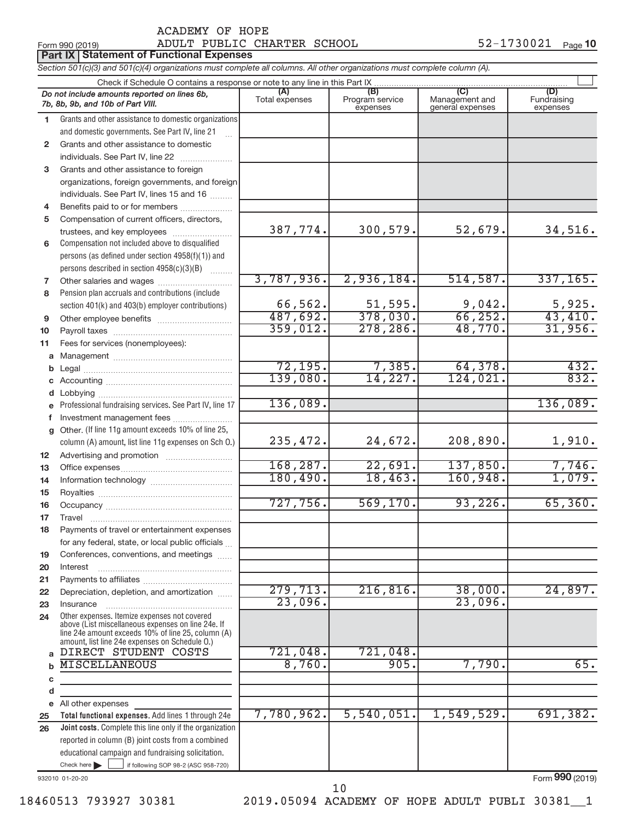|                 | ADULT PUBLIC CHARTER SCHOOL<br>Form 990 (2019)                                                                                                                                                             |                |                             |                                    | 52-1730021<br>Page 10   |
|-----------------|------------------------------------------------------------------------------------------------------------------------------------------------------------------------------------------------------------|----------------|-----------------------------|------------------------------------|-------------------------|
|                 | <b>Part IX Statement of Functional Expenses</b>                                                                                                                                                            |                |                             |                                    |                         |
|                 | Section 501(c)(3) and 501(c)(4) organizations must complete all columns. All other organizations must complete column (A).                                                                                 |                |                             |                                    |                         |
|                 | Check if Schedule O contains a response or note to any line in this Part IX                                                                                                                                | (A)            | (B)                         |                                    | (D)                     |
|                 | Do not include amounts reported on lines 6b,<br>7b, 8b, 9b, and 10b of Part VIII.                                                                                                                          | Total expenses | Program service<br>expenses | Management and<br>general expenses | Fundraising<br>expenses |
| 1.              | Grants and other assistance to domestic organizations                                                                                                                                                      |                |                             |                                    |                         |
|                 | and domestic governments. See Part IV, line 21                                                                                                                                                             |                |                             |                                    |                         |
| $\mathbf{2}$    | Grants and other assistance to domestic                                                                                                                                                                    |                |                             |                                    |                         |
|                 | individuals. See Part IV, line 22                                                                                                                                                                          |                |                             |                                    |                         |
| 3               | Grants and other assistance to foreign                                                                                                                                                                     |                |                             |                                    |                         |
|                 | organizations, foreign governments, and foreign                                                                                                                                                            |                |                             |                                    |                         |
|                 | individuals. See Part IV, lines 15 and 16                                                                                                                                                                  |                |                             |                                    |                         |
| 4               | Benefits paid to or for members                                                                                                                                                                            |                |                             |                                    |                         |
| 5               | Compensation of current officers, directors,                                                                                                                                                               | 387,774.       | 300,579.                    | 52,679.                            | 34,516.                 |
| 6               | trustees, and key employees<br>Compensation not included above to disqualified                                                                                                                             |                |                             |                                    |                         |
|                 | persons (as defined under section 4958(f)(1)) and                                                                                                                                                          |                |                             |                                    |                         |
|                 | persons described in section 4958(c)(3)(B)                                                                                                                                                                 |                |                             |                                    |                         |
| 7               | Other salaries and wages                                                                                                                                                                                   | 3,787,936.     | 2,936,184.                  | 514, 587.                          | 337, 165.               |
| 8               | Pension plan accruals and contributions (include                                                                                                                                                           |                |                             |                                    |                         |
|                 | section 401(k) and 403(b) employer contributions)                                                                                                                                                          | 66,562.        | 51,595.                     | 9,042.                             | 5,925.                  |
| 9               | Other employee benefits                                                                                                                                                                                    | 487,692.       | 378,030.                    | 66, 252.                           | 43,410.                 |
| 10              |                                                                                                                                                                                                            | 359,012.       | 278, 286.                   | 48,770.                            | 31,956.                 |
| 11              | Fees for services (nonemployees):                                                                                                                                                                          |                |                             |                                    |                         |
| a               |                                                                                                                                                                                                            |                |                             |                                    |                         |
| b               |                                                                                                                                                                                                            | 72, 195.       | 7,385.                      | 64,378.                            | 432.                    |
| С               |                                                                                                                                                                                                            | 139,080.       | 14,227.                     | 124,021.                           | 832.                    |
| d               |                                                                                                                                                                                                            |                |                             |                                    |                         |
| e               | Professional fundraising services. See Part IV, line 17                                                                                                                                                    | 136,089.       |                             |                                    | 136,089.                |
| f               | Investment management fees                                                                                                                                                                                 |                |                             |                                    |                         |
| g               | Other. (If line 11g amount exceeds 10% of line 25,                                                                                                                                                         |                |                             |                                    |                         |
|                 | column (A) amount, list line 11g expenses on Sch O.)                                                                                                                                                       | 235,472.       | 24,672.                     | 208,890.                           | 1,910.                  |
| 12 <sup>2</sup> |                                                                                                                                                                                                            | 168, 287.      | 22,691.                     | 137,850.                           | 7,746.                  |
| 13              |                                                                                                                                                                                                            | 180, 490.      | 18,463.                     | 160,948.                           | 1,079.                  |
| 14              |                                                                                                                                                                                                            |                |                             |                                    |                         |
| 15<br>16        |                                                                                                                                                                                                            | 727,756.       | 569, 170.                   | 93, 226.                           | 65,360.                 |
| 17              | Travel                                                                                                                                                                                                     |                |                             |                                    |                         |
| 18              | Payments of travel or entertainment expenses                                                                                                                                                               |                |                             |                                    |                         |
|                 | for any federal, state, or local public officials                                                                                                                                                          |                |                             |                                    |                         |
| 19              | Conferences, conventions, and meetings                                                                                                                                                                     |                |                             |                                    |                         |
| 20              | Interest                                                                                                                                                                                                   |                |                             |                                    |                         |
| 21              |                                                                                                                                                                                                            |                |                             |                                    |                         |
| 22              | Depreciation, depletion, and amortization                                                                                                                                                                  | 279, 713.      | 216, 816.                   | 38,000.                            | 24,897.                 |
| 23              | Insurance                                                                                                                                                                                                  | 23,096.        |                             | 23,096.                            |                         |
| 24              | Other expenses. Itemize expenses not covered<br>above (List miscellaneous expenses on line 24e. If<br>line 24e amount exceeds 10% of line 25, column (A)<br>amount, list line 24e expenses on Schedule O.) |                |                             |                                    |                         |
| a               | DIRECT STUDENT COSTS                                                                                                                                                                                       | 721,048.       | 721,048.                    |                                    |                         |
| $\mathbf b$     | <b>MISCELLANEOUS</b>                                                                                                                                                                                       | 8,760.         | 905.                        | 7,790.                             | 65.                     |
| c               |                                                                                                                                                                                                            |                |                             |                                    |                         |
| d               |                                                                                                                                                                                                            |                |                             |                                    |                         |
| e               | All other expenses                                                                                                                                                                                         | 7,780,962.     | 5,540,051.                  | 1,549,529.                         | 691,382.                |
| 25              | Total functional expenses. Add lines 1 through 24e                                                                                                                                                         |                |                             |                                    |                         |
| 26              | Joint costs. Complete this line only if the organization<br>reported in column (B) joint costs from a combined                                                                                             |                |                             |                                    |                         |
|                 | educational campaign and fundraising solicitation.                                                                                                                                                         |                |                             |                                    |                         |

932010 01-20-20

Form (2019) **990**

18460513 793927 30381 2019.05094 ACADEMY OF HOPE ADULT PUBLI 30381\_\_1

Check here |

Check here if following SOP 98-2 (ASC 958-720)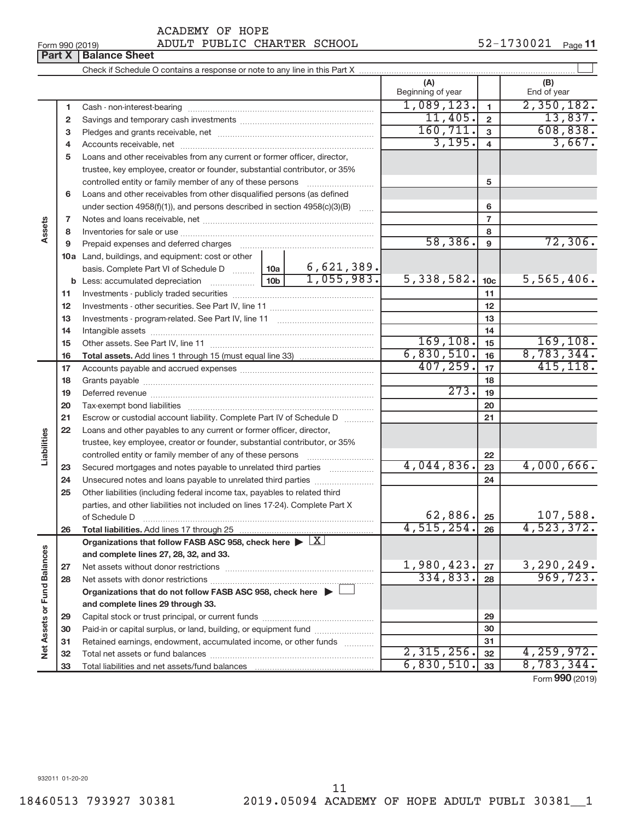| ACADEMY OF HOPE |  |
|-----------------|--|
|                 |  |

## Form 990 (2019) Page ADULT PUBLIC CHARTER SCHOOL 52-1730021

|  | <b>Part X   Balance Sheet</b> |  |
|--|-------------------------------|--|

|                             |          |                                                                                                        |                 |                          | (A)<br>Beginning of year |                         | (B)<br>End of year        |
|-----------------------------|----------|--------------------------------------------------------------------------------------------------------|-----------------|--------------------------|--------------------------|-------------------------|---------------------------|
|                             | 1        |                                                                                                        |                 |                          | 1,089,123.               | $\blacksquare$          | 2,350,182.                |
|                             | 2        |                                                                                                        |                 |                          | 11,405.                  | $\overline{2}$          | 13,837.                   |
|                             | 3        |                                                                                                        |                 |                          | 160, 711.                | $\mathbf{3}$            | 608, 838.                 |
|                             | 4        |                                                                                                        |                 |                          | 3,195.                   | $\overline{\mathbf{4}}$ | 3,667.                    |
|                             | 5        | Loans and other receivables from any current or former officer, director,                              |                 |                          |                          |                         |                           |
|                             |          | trustee, key employee, creator or founder, substantial contributor, or 35%                             |                 |                          |                          |                         |                           |
|                             |          | controlled entity or family member of any of these persons                                             |                 |                          |                          | 5                       |                           |
|                             | 6        | Loans and other receivables from other disqualified persons (as defined                                |                 |                          |                          |                         |                           |
|                             |          | under section $4958(f)(1)$ , and persons described in section $4958(c)(3)(B)$                          |                 | $\sim$                   |                          | 6                       |                           |
|                             | 7        |                                                                                                        |                 |                          |                          | $\overline{7}$          |                           |
| Assets                      | 8        |                                                                                                        |                 |                          |                          | 8                       |                           |
|                             | 9        | Prepaid expenses and deferred charges                                                                  |                 |                          | 58,386.                  | $\mathbf{9}$            | 72,306.                   |
|                             |          | 10a Land, buildings, and equipment: cost or other                                                      |                 |                          |                          |                         |                           |
|                             |          | basis. Complete Part VI of Schedule D  10a                                                             |                 | 6,621,389.<br>1,055,983. |                          |                         |                           |
|                             |          | <b>b</b> Less: accumulated depreciation                                                                | 10 <sub>b</sub> |                          | 5,338,582.               | 10 <sub>c</sub>         | 5,565,406.                |
|                             | 11       |                                                                                                        |                 | 11                       |                          |                         |                           |
|                             | 12       |                                                                                                        |                 | 12                       |                          |                         |                           |
|                             | 13       |                                                                                                        |                 |                          | 13                       |                         |                           |
|                             | 14       |                                                                                                        |                 | 169, 108.                | 14                       | 169, 108.               |                           |
|                             | 15       |                                                                                                        |                 | 6,830,510.               | 15<br>16                 | 8,783,344.              |                           |
|                             | 16       |                                                                                                        |                 |                          | 407, 259.                | 17                      | 415, 118.                 |
|                             | 17       |                                                                                                        |                 |                          |                          |                         |                           |
|                             | 18       |                                                                                                        | 273.            | 18<br>19                 |                          |                         |                           |
|                             | 19       |                                                                                                        |                 | 20                       |                          |                         |                           |
|                             | 20<br>21 | Escrow or custodial account liability. Complete Part IV of Schedule D                                  |                 |                          |                          | 21                      |                           |
|                             | 22       | Loans and other payables to any current or former officer, director,                                   |                 |                          |                          |                         |                           |
| Liabilities                 |          | trustee, key employee, creator or founder, substantial contributor, or 35%                             |                 |                          |                          |                         |                           |
|                             |          | controlled entity or family member of any of these persons                                             |                 |                          |                          | 22                      |                           |
|                             | 23       | Secured mortgages and notes payable to unrelated third parties <i>manumum</i>                          |                 |                          | 4,044,836.               | 23                      | 4,000,666.                |
|                             | 24       | Unsecured notes and loans payable to unrelated third parties                                           |                 |                          |                          | 24                      |                           |
|                             | 25       | Other liabilities (including federal income tax, payables to related third                             |                 |                          |                          |                         |                           |
|                             |          | parties, and other liabilities not included on lines 17-24). Complete Part X                           |                 |                          |                          |                         |                           |
|                             |          | of Schedule D                                                                                          |                 |                          | 62,886.                  | 25                      | 107,588.                  |
|                             | 26       |                                                                                                        |                 |                          | $4,515,254.$ 26          |                         | 4,523,372.                |
|                             |          | Organizations that follow FASB ASC 958, check here $\blacktriangleright \lfloor \underline{X} \rfloor$ |                 |                          |                          |                         |                           |
|                             |          | and complete lines 27, 28, 32, and 33.                                                                 |                 |                          |                          |                         |                           |
|                             | 27       |                                                                                                        |                 |                          | 1,980,423.               | 27                      | 3,290,249.                |
|                             | 28       |                                                                                                        |                 |                          | 334,833.                 | 28                      | 969,723.                  |
|                             |          | Organizations that do not follow FASB ASC 958, check here $\blacktriangleright$                        |                 |                          |                          |                         |                           |
|                             |          | and complete lines 29 through 33.                                                                      |                 |                          |                          |                         |                           |
|                             | 29       |                                                                                                        |                 |                          |                          | 29                      |                           |
|                             | 30       | Paid-in or capital surplus, or land, building, or equipment fund                                       |                 |                          |                          | 30                      |                           |
| Net Assets or Fund Balances | 31       | Retained earnings, endowment, accumulated income, or other funds                                       |                 |                          |                          | 31                      |                           |
|                             | 32       |                                                                                                        |                 |                          | 2,315,256.               | 32                      | 4, 259, 972.              |
|                             | 33       |                                                                                                        |                 |                          | 6,830,510.               | 33                      | 8,783,344.                |
|                             |          |                                                                                                        |                 |                          |                          |                         | $F_{\alpha r}$ 000 (2010) |

Form (2019) **990**

932011 01-20-20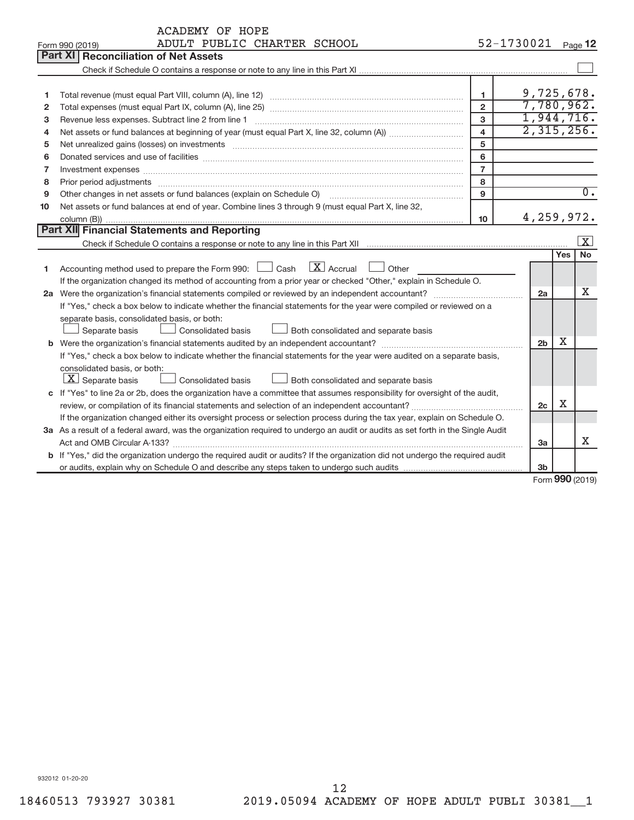|              | <b>ACADEMY OF HOPE</b>                                                                                                          |                    |                     |                         |  |  |  |  |
|--------------|---------------------------------------------------------------------------------------------------------------------------------|--------------------|---------------------|-------------------------|--|--|--|--|
|              | ADULT PUBLIC CHARTER SCHOOL<br>Form 990 (2019)                                                                                  | 52-1730021 Page 12 |                     |                         |  |  |  |  |
|              | <b>Part XI</b><br><b>Reconciliation of Net Assets</b>                                                                           |                    |                     |                         |  |  |  |  |
|              |                                                                                                                                 |                    |                     |                         |  |  |  |  |
|              |                                                                                                                                 |                    |                     |                         |  |  |  |  |
| 1            | $\mathbf{1}$                                                                                                                    |                    |                     | 9,725,678.              |  |  |  |  |
| $\mathbf{2}$ | $\overline{2}$                                                                                                                  |                    |                     | 7,780,962.              |  |  |  |  |
| 3            | 3                                                                                                                               |                    |                     | 1,944,716.              |  |  |  |  |
| 4            | $\overline{\mathbf{4}}$                                                                                                         |                    |                     | 2,315,256.              |  |  |  |  |
| 5            | 5                                                                                                                               |                    |                     |                         |  |  |  |  |
| 6            | 6                                                                                                                               |                    |                     |                         |  |  |  |  |
| 7            | $\overline{7}$<br>Investment expenses www.communication.com/www.communication.com/www.communication.com/www.com                 |                    |                     |                         |  |  |  |  |
| 8            | 8                                                                                                                               |                    |                     |                         |  |  |  |  |
| 9            | $\mathbf{Q}$<br>Other changes in net assets or fund balances (explain on Schedule O)                                            |                    |                     | $\overline{0}$ .        |  |  |  |  |
| 10           | Net assets or fund balances at end of year. Combine lines 3 through 9 (must equal Part X, line 32,                              |                    |                     |                         |  |  |  |  |
|              | 4,259,972.<br>10                                                                                                                |                    |                     |                         |  |  |  |  |
|              | Part XII Financial Statements and Reporting                                                                                     |                    |                     |                         |  |  |  |  |
|              |                                                                                                                                 |                    |                     | $\overline{\mathbf{X}}$ |  |  |  |  |
|              |                                                                                                                                 |                    | Yes                 | No                      |  |  |  |  |
| 1            | $\mathbf{X}$ Accrual<br>Accounting method used to prepare the Form 990: [130] Cash<br>Other                                     |                    |                     |                         |  |  |  |  |
|              | If the organization changed its method of accounting from a prior year or checked "Other," explain in Schedule O.               |                    |                     |                         |  |  |  |  |
|              |                                                                                                                                 |                    | 2a                  | Х                       |  |  |  |  |
|              | If "Yes," check a box below to indicate whether the financial statements for the year were compiled or reviewed on a            |                    |                     |                         |  |  |  |  |
|              | separate basis, consolidated basis, or both:                                                                                    |                    |                     |                         |  |  |  |  |
|              | Separate basis<br><b>Consolidated basis</b><br>Both consolidated and separate basis                                             |                    |                     |                         |  |  |  |  |
|              | <b>b</b> Were the organization's financial statements audited by an independent accountant?                                     |                    | x<br>2 <sub>b</sub> |                         |  |  |  |  |
|              | If "Yes," check a box below to indicate whether the financial statements for the year were audited on a separate basis,         |                    |                     |                         |  |  |  |  |
|              | consolidated basis, or both:                                                                                                    |                    |                     |                         |  |  |  |  |
|              | $\boxed{\textbf{X}}$ Separate basis<br><b>Consolidated basis</b><br>Both consolidated and separate basis                        |                    |                     |                         |  |  |  |  |
|              | c If "Yes" to line 2a or 2b, does the organization have a committee that assumes responsibility for oversight of the audit,     |                    |                     |                         |  |  |  |  |
|              | review, or compilation of its financial statements and selection of an independent accountant?                                  |                    | X<br>2c             |                         |  |  |  |  |
|              | If the organization changed either its oversight process or selection process during the tax year, explain on Schedule O.       |                    |                     |                         |  |  |  |  |
|              | 3a As a result of a federal award, was the organization required to undergo an audit or audits as set forth in the Single Audit |                    |                     |                         |  |  |  |  |
|              |                                                                                                                                 |                    | 3a                  | x                       |  |  |  |  |
|              | b If "Yes," did the organization undergo the required audit or audits? If the organization did not undergo the required audit   |                    |                     |                         |  |  |  |  |
|              |                                                                                                                                 |                    | 3 <sub>b</sub>      |                         |  |  |  |  |

Form (2019) **990**

932012 01-20-20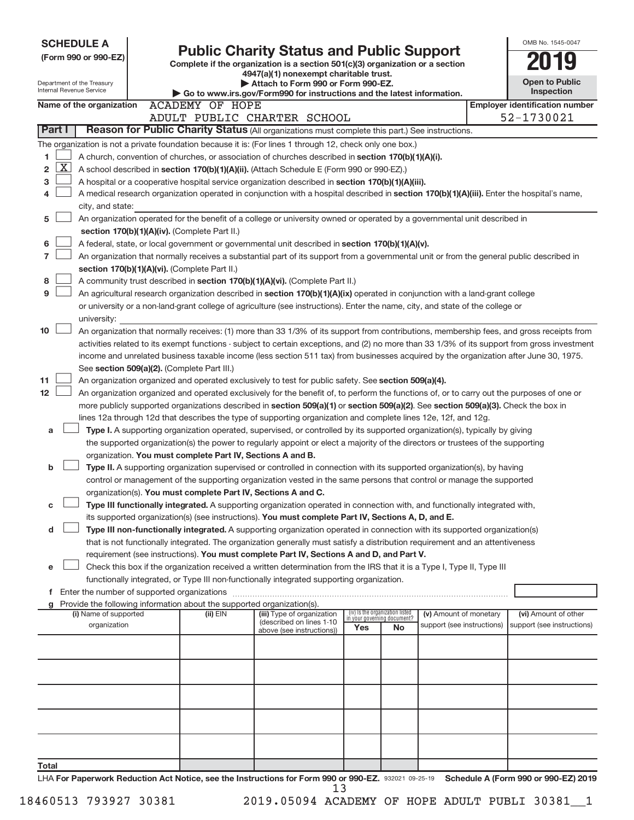| <b>SCHEDULE A</b>                                                                                                                                        |                                                                                                                                                                                                                                                    |                                                                        |                                                                                                                                                                                                                                               |     |                                                                |                            |  | OMB No. 1545-0047                     |  |  |  |  |
|----------------------------------------------------------------------------------------------------------------------------------------------------------|----------------------------------------------------------------------------------------------------------------------------------------------------------------------------------------------------------------------------------------------------|------------------------------------------------------------------------|-----------------------------------------------------------------------------------------------------------------------------------------------------------------------------------------------------------------------------------------------|-----|----------------------------------------------------------------|----------------------------|--|---------------------------------------|--|--|--|--|
| <b>Public Charity Status and Public Support</b><br>(Form 990 or 990-EZ)<br>Complete if the organization is a section 501(c)(3) organization or a section |                                                                                                                                                                                                                                                    |                                                                        |                                                                                                                                                                                                                                               |     |                                                                |                            |  |                                       |  |  |  |  |
|                                                                                                                                                          |                                                                                                                                                                                                                                                    |                                                                        | 4947(a)(1) nonexempt charitable trust.                                                                                                                                                                                                        |     |                                                                |                            |  |                                       |  |  |  |  |
| Department of the Treasury                                                                                                                               |                                                                                                                                                                                                                                                    |                                                                        | Attach to Form 990 or Form 990-EZ.                                                                                                                                                                                                            |     |                                                                |                            |  | <b>Open to Public</b>                 |  |  |  |  |
| Internal Revenue Service                                                                                                                                 |                                                                                                                                                                                                                                                    |                                                                        | Go to www.irs.gov/Form990 for instructions and the latest information.                                                                                                                                                                        |     |                                                                |                            |  | <b>Inspection</b>                     |  |  |  |  |
| Name of the organization                                                                                                                                 |                                                                                                                                                                                                                                                    | <b>ACADEMY OF HOPE</b>                                                 |                                                                                                                                                                                                                                               |     |                                                                |                            |  | <b>Employer identification number</b> |  |  |  |  |
|                                                                                                                                                          |                                                                                                                                                                                                                                                    |                                                                        | ADULT PUBLIC CHARTER SCHOOL                                                                                                                                                                                                                   |     |                                                                |                            |  | 52-1730021                            |  |  |  |  |
| Part I                                                                                                                                                   |                                                                                                                                                                                                                                                    |                                                                        | Reason for Public Charity Status (All organizations must complete this part.) See instructions.                                                                                                                                               |     |                                                                |                            |  |                                       |  |  |  |  |
| The organization is not a private foundation because it is: (For lines 1 through 12, check only one box.)                                                |                                                                                                                                                                                                                                                    |                                                                        |                                                                                                                                                                                                                                               |     |                                                                |                            |  |                                       |  |  |  |  |
| 1                                                                                                                                                        |                                                                                                                                                                                                                                                    |                                                                        | A church, convention of churches, or association of churches described in section 170(b)(1)(A)(i).                                                                                                                                            |     |                                                                |                            |  |                                       |  |  |  |  |
| <u>X  </u><br>2                                                                                                                                          |                                                                                                                                                                                                                                                    |                                                                        | A school described in section 170(b)(1)(A)(ii). (Attach Schedule E (Form 990 or 990-EZ).)                                                                                                                                                     |     |                                                                |                            |  |                                       |  |  |  |  |
| 3                                                                                                                                                        |                                                                                                                                                                                                                                                    |                                                                        | A hospital or a cooperative hospital service organization described in section 170(b)(1)(A)(iii).                                                                                                                                             |     |                                                                |                            |  |                                       |  |  |  |  |
| 4<br>city, and state:                                                                                                                                    |                                                                                                                                                                                                                                                    |                                                                        | A medical research organization operated in conjunction with a hospital described in section 170(b)(1)(A)(iii). Enter the hospital's name,                                                                                                    |     |                                                                |                            |  |                                       |  |  |  |  |
| 5                                                                                                                                                        |                                                                                                                                                                                                                                                    |                                                                        |                                                                                                                                                                                                                                               |     |                                                                |                            |  |                                       |  |  |  |  |
|                                                                                                                                                          | An organization operated for the benefit of a college or university owned or operated by a governmental unit described in<br>section 170(b)(1)(A)(iv). (Complete Part II.)                                                                         |                                                                        |                                                                                                                                                                                                                                               |     |                                                                |                            |  |                                       |  |  |  |  |
| 6                                                                                                                                                        |                                                                                                                                                                                                                                                    |                                                                        | A federal, state, or local government or governmental unit described in section 170(b)(1)(A)(v).                                                                                                                                              |     |                                                                |                            |  |                                       |  |  |  |  |
| 7                                                                                                                                                        |                                                                                                                                                                                                                                                    |                                                                        | An organization that normally receives a substantial part of its support from a governmental unit or from the general public described in                                                                                                     |     |                                                                |                            |  |                                       |  |  |  |  |
|                                                                                                                                                          |                                                                                                                                                                                                                                                    | section 170(b)(1)(A)(vi). (Complete Part II.)                          |                                                                                                                                                                                                                                               |     |                                                                |                            |  |                                       |  |  |  |  |
| 8                                                                                                                                                        |                                                                                                                                                                                                                                                    |                                                                        | A community trust described in section 170(b)(1)(A)(vi). (Complete Part II.)                                                                                                                                                                  |     |                                                                |                            |  |                                       |  |  |  |  |
| 9                                                                                                                                                        |                                                                                                                                                                                                                                                    |                                                                        | An agricultural research organization described in section 170(b)(1)(A)(ix) operated in conjunction with a land-grant college                                                                                                                 |     |                                                                |                            |  |                                       |  |  |  |  |
|                                                                                                                                                          |                                                                                                                                                                                                                                                    |                                                                        | or university or a non-land-grant college of agriculture (see instructions). Enter the name, city, and state of the college or                                                                                                                |     |                                                                |                            |  |                                       |  |  |  |  |
| university:                                                                                                                                              |                                                                                                                                                                                                                                                    |                                                                        |                                                                                                                                                                                                                                               |     |                                                                |                            |  |                                       |  |  |  |  |
| 10                                                                                                                                                       |                                                                                                                                                                                                                                                    |                                                                        | An organization that normally receives: (1) more than 33 1/3% of its support from contributions, membership fees, and gross receipts from                                                                                                     |     |                                                                |                            |  |                                       |  |  |  |  |
|                                                                                                                                                          |                                                                                                                                                                                                                                                    |                                                                        | activities related to its exempt functions - subject to certain exceptions, and (2) no more than 33 1/3% of its support from gross investment                                                                                                 |     |                                                                |                            |  |                                       |  |  |  |  |
|                                                                                                                                                          |                                                                                                                                                                                                                                                    |                                                                        | income and unrelated business taxable income (less section 511 tax) from businesses acquired by the organization after June 30, 1975.                                                                                                         |     |                                                                |                            |  |                                       |  |  |  |  |
|                                                                                                                                                          |                                                                                                                                                                                                                                                    | See section 509(a)(2). (Complete Part III.)                            |                                                                                                                                                                                                                                               |     |                                                                |                            |  |                                       |  |  |  |  |
| 11                                                                                                                                                       | An organization organized and operated exclusively to test for public safety. See section 509(a)(4).<br>An organization organized and operated exclusively for the benefit of, to perform the functions of, or to carry out the purposes of one or |                                                                        |                                                                                                                                                                                                                                               |     |                                                                |                            |  |                                       |  |  |  |  |
| 12                                                                                                                                                       |                                                                                                                                                                                                                                                    |                                                                        |                                                                                                                                                                                                                                               |     |                                                                |                            |  |                                       |  |  |  |  |
|                                                                                                                                                          |                                                                                                                                                                                                                                                    |                                                                        | more publicly supported organizations described in section 509(a)(1) or section 509(a)(2). See section 509(a)(3). Check the box in                                                                                                            |     |                                                                |                            |  |                                       |  |  |  |  |
| a                                                                                                                                                        |                                                                                                                                                                                                                                                    |                                                                        | lines 12a through 12d that describes the type of supporting organization and complete lines 12e, 12f, and 12g.<br>Type I. A supporting organization operated, supervised, or controlled by its supported organization(s), typically by giving |     |                                                                |                            |  |                                       |  |  |  |  |
|                                                                                                                                                          |                                                                                                                                                                                                                                                    |                                                                        | the supported organization(s) the power to regularly appoint or elect a majority of the directors or trustees of the supporting                                                                                                               |     |                                                                |                            |  |                                       |  |  |  |  |
|                                                                                                                                                          |                                                                                                                                                                                                                                                    | organization. You must complete Part IV, Sections A and B.             |                                                                                                                                                                                                                                               |     |                                                                |                            |  |                                       |  |  |  |  |
| b                                                                                                                                                        |                                                                                                                                                                                                                                                    |                                                                        | Type II. A supporting organization supervised or controlled in connection with its supported organization(s), by having                                                                                                                       |     |                                                                |                            |  |                                       |  |  |  |  |
|                                                                                                                                                          |                                                                                                                                                                                                                                                    |                                                                        | control or management of the supporting organization vested in the same persons that control or manage the supported                                                                                                                          |     |                                                                |                            |  |                                       |  |  |  |  |
|                                                                                                                                                          |                                                                                                                                                                                                                                                    | organization(s). You must complete Part IV, Sections A and C.          |                                                                                                                                                                                                                                               |     |                                                                |                            |  |                                       |  |  |  |  |
| с                                                                                                                                                        |                                                                                                                                                                                                                                                    |                                                                        | Type III functionally integrated. A supporting organization operated in connection with, and functionally integrated with,                                                                                                                    |     |                                                                |                            |  |                                       |  |  |  |  |
|                                                                                                                                                          |                                                                                                                                                                                                                                                    |                                                                        | its supported organization(s) (see instructions). You must complete Part IV, Sections A, D, and E.                                                                                                                                            |     |                                                                |                            |  |                                       |  |  |  |  |
| d                                                                                                                                                        |                                                                                                                                                                                                                                                    |                                                                        | Type III non-functionally integrated. A supporting organization operated in connection with its supported organization(s)                                                                                                                     |     |                                                                |                            |  |                                       |  |  |  |  |
|                                                                                                                                                          |                                                                                                                                                                                                                                                    |                                                                        | that is not functionally integrated. The organization generally must satisfy a distribution requirement and an attentiveness                                                                                                                  |     |                                                                |                            |  |                                       |  |  |  |  |
|                                                                                                                                                          |                                                                                                                                                                                                                                                    |                                                                        | requirement (see instructions). You must complete Part IV, Sections A and D, and Part V.                                                                                                                                                      |     |                                                                |                            |  |                                       |  |  |  |  |
| е                                                                                                                                                        |                                                                                                                                                                                                                                                    |                                                                        | Check this box if the organization received a written determination from the IRS that it is a Type I, Type II, Type III                                                                                                                       |     |                                                                |                            |  |                                       |  |  |  |  |
|                                                                                                                                                          |                                                                                                                                                                                                                                                    |                                                                        | functionally integrated, or Type III non-functionally integrated supporting organization.                                                                                                                                                     |     |                                                                |                            |  |                                       |  |  |  |  |
| f Enter the number of supported organizations                                                                                                            |                                                                                                                                                                                                                                                    | Provide the following information about the supported organization(s). |                                                                                                                                                                                                                                               |     |                                                                |                            |  |                                       |  |  |  |  |
| (i) Name of supported                                                                                                                                    |                                                                                                                                                                                                                                                    | (ii) EIN                                                               | (iii) Type of organization                                                                                                                                                                                                                    |     | (iv) Is the organization listed<br>in your governing document? | (v) Amount of monetary     |  | (vi) Amount of other                  |  |  |  |  |
| organization                                                                                                                                             |                                                                                                                                                                                                                                                    |                                                                        | (described on lines 1-10<br>above (see instructions))                                                                                                                                                                                         | Yes | <b>No</b>                                                      | support (see instructions) |  | support (see instructions)            |  |  |  |  |
|                                                                                                                                                          |                                                                                                                                                                                                                                                    |                                                                        |                                                                                                                                                                                                                                               |     |                                                                |                            |  |                                       |  |  |  |  |
|                                                                                                                                                          |                                                                                                                                                                                                                                                    |                                                                        |                                                                                                                                                                                                                                               |     |                                                                |                            |  |                                       |  |  |  |  |
|                                                                                                                                                          |                                                                                                                                                                                                                                                    |                                                                        |                                                                                                                                                                                                                                               |     |                                                                |                            |  |                                       |  |  |  |  |
|                                                                                                                                                          |                                                                                                                                                                                                                                                    |                                                                        |                                                                                                                                                                                                                                               |     |                                                                |                            |  |                                       |  |  |  |  |
|                                                                                                                                                          |                                                                                                                                                                                                                                                    |                                                                        |                                                                                                                                                                                                                                               |     |                                                                |                            |  |                                       |  |  |  |  |
|                                                                                                                                                          |                                                                                                                                                                                                                                                    |                                                                        |                                                                                                                                                                                                                                               |     |                                                                |                            |  |                                       |  |  |  |  |
|                                                                                                                                                          |                                                                                                                                                                                                                                                    |                                                                        |                                                                                                                                                                                                                                               |     |                                                                |                            |  |                                       |  |  |  |  |
|                                                                                                                                                          |                                                                                                                                                                                                                                                    |                                                                        |                                                                                                                                                                                                                                               |     |                                                                |                            |  |                                       |  |  |  |  |
|                                                                                                                                                          |                                                                                                                                                                                                                                                    |                                                                        |                                                                                                                                                                                                                                               |     |                                                                |                            |  |                                       |  |  |  |  |
|                                                                                                                                                          |                                                                                                                                                                                                                                                    |                                                                        |                                                                                                                                                                                                                                               |     |                                                                |                            |  |                                       |  |  |  |  |
| Total                                                                                                                                                    |                                                                                                                                                                                                                                                    |                                                                        | LHA For Paperwork Reduction Act Notice, see the Instructions for Form 990 or 990-FZ, 932021 09-25-19 Schedule A (Form 990 or 990-FZ) 2019                                                                                                     |     |                                                                |                            |  |                                       |  |  |  |  |

932021 09-25-19 **For Paperwork Reduction Act Notice, see the Instructions for Form 990 or 990-EZ. Schedule A (Form 990 or 990-EZ) 2019** LHA  $\frac{13}{13}$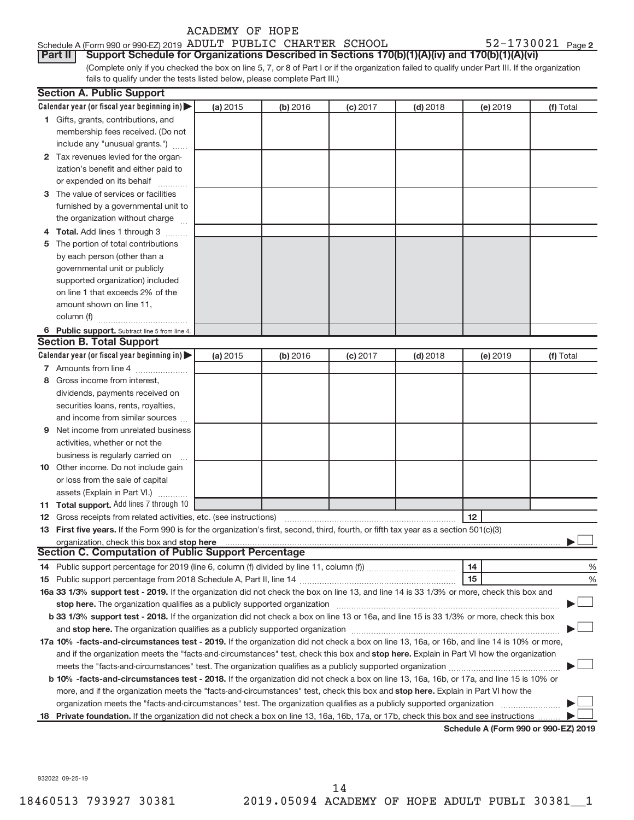| ACADEMY OF HOPE                                                                                                                                 |                       |  |  |  |  |  |  |  |  |
|-------------------------------------------------------------------------------------------------------------------------------------------------|-----------------------|--|--|--|--|--|--|--|--|
| Schedule A (Form 990 or 990-EZ) 2019 ADULT PUBLIC CHARTER SCHOOL                                                                                | $52 - 1730021$ Page 2 |  |  |  |  |  |  |  |  |
| Support Schedule for Organizations Described in Sections 170(b)(1)(A)(iv) and 170(b)(1)(A)(vi)<br><b>Part II</b>                                |                       |  |  |  |  |  |  |  |  |
| (Complete only if you checked the box on line 5, 7, or 8 of Part I or if the organization failed to qualify under Part III. If the organization |                       |  |  |  |  |  |  |  |  |
| fails to qualify under the tests listed below, please complete Part III.)                                                                       |                       |  |  |  |  |  |  |  |  |
| <b>Section A. Public Support</b>                                                                                                                |                       |  |  |  |  |  |  |  |  |

|     | Calendar year (or fiscal year beginning in) $\blacktriangleright$                                                                          | (a) 2015 | (b) 2016 | (c) 2017 | $(d)$ 2018 | (e) 2019                             | (f) Total |
|-----|--------------------------------------------------------------------------------------------------------------------------------------------|----------|----------|----------|------------|--------------------------------------|-----------|
|     | 1 Gifts, grants, contributions, and                                                                                                        |          |          |          |            |                                      |           |
|     | membership fees received. (Do not                                                                                                          |          |          |          |            |                                      |           |
|     | include any "unusual grants.")                                                                                                             |          |          |          |            |                                      |           |
|     | 2 Tax revenues levied for the organ-                                                                                                       |          |          |          |            |                                      |           |
|     | ization's benefit and either paid to                                                                                                       |          |          |          |            |                                      |           |
|     | or expended on its behalf                                                                                                                  |          |          |          |            |                                      |           |
|     | 3 The value of services or facilities                                                                                                      |          |          |          |            |                                      |           |
|     | furnished by a governmental unit to                                                                                                        |          |          |          |            |                                      |           |
|     | the organization without charge                                                                                                            |          |          |          |            |                                      |           |
|     | <b>Total.</b> Add lines 1 through 3                                                                                                        |          |          |          |            |                                      |           |
|     | 5 The portion of total contributions                                                                                                       |          |          |          |            |                                      |           |
|     | by each person (other than a                                                                                                               |          |          |          |            |                                      |           |
|     | governmental unit or publicly                                                                                                              |          |          |          |            |                                      |           |
|     | supported organization) included                                                                                                           |          |          |          |            |                                      |           |
|     | on line 1 that exceeds 2% of the                                                                                                           |          |          |          |            |                                      |           |
|     | amount shown on line 11,                                                                                                                   |          |          |          |            |                                      |           |
|     | column (f)                                                                                                                                 |          |          |          |            |                                      |           |
|     | 6 Public support. Subtract line 5 from line 4.                                                                                             |          |          |          |            |                                      |           |
|     | <b>Section B. Total Support</b>                                                                                                            |          |          |          |            |                                      |           |
|     | Calendar year (or fiscal year beginning in)                                                                                                | (a) 2015 | (b) 2016 | (c) 2017 | $(d)$ 2018 | (e) 2019                             | (f) Total |
|     | 7 Amounts from line 4                                                                                                                      |          |          |          |            |                                      |           |
| 8   | Gross income from interest,                                                                                                                |          |          |          |            |                                      |           |
|     | dividends, payments received on                                                                                                            |          |          |          |            |                                      |           |
|     | securities loans, rents, royalties,                                                                                                        |          |          |          |            |                                      |           |
|     | and income from similar sources                                                                                                            |          |          |          |            |                                      |           |
| 9   | Net income from unrelated business<br>activities, whether or not the                                                                       |          |          |          |            |                                      |           |
|     | business is regularly carried on                                                                                                           |          |          |          |            |                                      |           |
|     | 10 Other income. Do not include gain                                                                                                       |          |          |          |            |                                      |           |
|     | or loss from the sale of capital                                                                                                           |          |          |          |            |                                      |           |
|     | assets (Explain in Part VI.)                                                                                                               |          |          |          |            |                                      |           |
| 11. | <b>Total support.</b> Add lines 7 through 10                                                                                               |          |          |          |            |                                      |           |
| 12  | Gross receipts from related activities, etc. (see instructions)                                                                            |          |          |          |            | 12                                   |           |
|     | 13 First five years. If the Form 990 is for the organization's first, second, third, fourth, or fifth tax year as a section 501(c)(3)      |          |          |          |            |                                      |           |
|     | organization, check this box and stop here                                                                                                 |          |          |          |            |                                      |           |
|     | Section C. Computation of Public Support Percentage                                                                                        |          |          |          |            |                                      |           |
| 14  |                                                                                                                                            |          |          |          |            | 14                                   | %         |
| 15. |                                                                                                                                            |          |          |          |            | 15                                   | %         |
|     | 16a 33 1/3% support test - 2019. If the organization did not check the box on line 13, and line 14 is 33 1/3% or more, check this box and  |          |          |          |            |                                      |           |
|     |                                                                                                                                            |          |          |          |            |                                      |           |
|     | b 33 1/3% support test - 2018. If the organization did not check a box on line 13 or 16a, and line 15 is 33 1/3% or more, check this box   |          |          |          |            |                                      |           |
|     |                                                                                                                                            |          |          |          |            |                                      |           |
|     | 17a 10% -facts-and-circumstances test - 2019. If the organization did not check a box on line 13, 16a, or 16b, and line 14 is 10% or more, |          |          |          |            |                                      |           |
|     | and if the organization meets the "facts-and-circumstances" test, check this box and stop here. Explain in Part VI how the organization    |          |          |          |            |                                      |           |
|     |                                                                                                                                            |          |          |          |            |                                      |           |
|     | b 10% -facts-and-circumstances test - 2018. If the organization did not check a box on line 13, 16a, 16b, or 17a, and line 15 is 10% or    |          |          |          |            |                                      |           |
|     | more, and if the organization meets the "facts-and-circumstances" test, check this box and stop here. Explain in Part VI how the           |          |          |          |            |                                      |           |
|     |                                                                                                                                            |          |          |          |            |                                      |           |
| 18. | Private foundation. If the organization did not check a box on line 13, 16a, 16b, 17a, or 17b, check this box and see instructions         |          |          |          |            |                                      |           |
|     |                                                                                                                                            |          |          |          |            | Schedule A (Form 990 or 990-EZ) 2019 |           |

932022 09-25-19

**Section**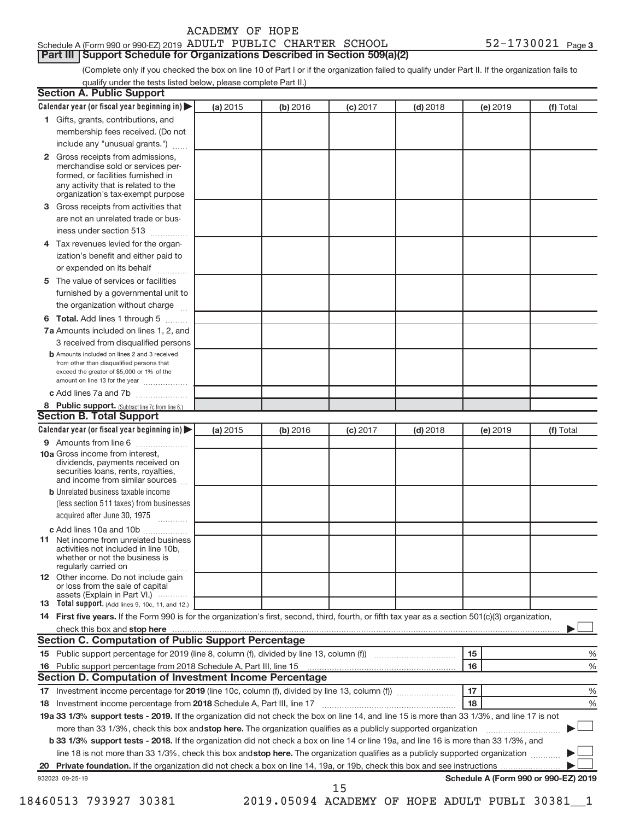| ACADEMY OF HOPE |  |  |
|-----------------|--|--|
|-----------------|--|--|

## Schedule A (Form 990 or 990-EZ) 2019 ADULT PUBLIC CHARTER SCHOOL  $52-1730021$  Page **Part III | Support Schedule for Organizations Described in Section 509(a)(2)**

(Complete only if you checked the box on line 10 of Part I or if the organization failed to qualify under Part II. If the organization fails to qualify under the tests listed below, please complete Part II.)

| Calendar year (or fiscal year beginning in)                                                                                                         | (a) 2015 | (b) 2016 | (c) 2017 | $(d)$ 2018 | (e) 2019 | (f) Total                            |
|-----------------------------------------------------------------------------------------------------------------------------------------------------|----------|----------|----------|------------|----------|--------------------------------------|
| 1 Gifts, grants, contributions, and                                                                                                                 |          |          |          |            |          |                                      |
| membership fees received. (Do not                                                                                                                   |          |          |          |            |          |                                      |
| include any "unusual grants.")                                                                                                                      |          |          |          |            |          |                                      |
| Gross receipts from admissions,<br>$\mathbf{2}$                                                                                                     |          |          |          |            |          |                                      |
| merchandise sold or services per-                                                                                                                   |          |          |          |            |          |                                      |
| formed, or facilities furnished in                                                                                                                  |          |          |          |            |          |                                      |
| any activity that is related to the<br>organization's tax-exempt purpose                                                                            |          |          |          |            |          |                                      |
| Gross receipts from activities that<br>3                                                                                                            |          |          |          |            |          |                                      |
| are not an unrelated trade or bus-                                                                                                                  |          |          |          |            |          |                                      |
| iness under section 513                                                                                                                             |          |          |          |            |          |                                      |
| Tax revenues levied for the organ-<br>4                                                                                                             |          |          |          |            |          |                                      |
| ization's benefit and either paid to                                                                                                                |          |          |          |            |          |                                      |
| or expended on its behalf                                                                                                                           |          |          |          |            |          |                                      |
| The value of services or facilities<br>5                                                                                                            |          |          |          |            |          |                                      |
| furnished by a governmental unit to                                                                                                                 |          |          |          |            |          |                                      |
| the organization without charge                                                                                                                     |          |          |          |            |          |                                      |
| Total. Add lines 1 through 5<br>6                                                                                                                   |          |          |          |            |          |                                      |
| 7a Amounts included on lines 1, 2, and                                                                                                              |          |          |          |            |          |                                      |
| 3 received from disqualified persons                                                                                                                |          |          |          |            |          |                                      |
| <b>b</b> Amounts included on lines 2 and 3 received                                                                                                 |          |          |          |            |          |                                      |
| from other than disqualified persons that                                                                                                           |          |          |          |            |          |                                      |
| exceed the greater of \$5,000 or 1% of the<br>amount on line 13 for the year                                                                        |          |          |          |            |          |                                      |
| c Add lines 7a and 7b                                                                                                                               |          |          |          |            |          |                                      |
| 8 Public support. (Subtract line 7c from line 6.)                                                                                                   |          |          |          |            |          |                                      |
| <b>Section B. Total Support</b>                                                                                                                     |          |          |          |            |          |                                      |
| Calendar year (or fiscal year beginning in)                                                                                                         | (a) 2015 | (b) 2016 | (c) 2017 | $(d)$ 2018 | (e) 2019 | (f) Total                            |
| 9 Amounts from line 6                                                                                                                               |          |          |          |            |          |                                      |
| <b>10a</b> Gross income from interest,<br>dividends, payments received on<br>securities loans, rents, royalties,<br>and income from similar sources |          |          |          |            |          |                                      |
| <b>b</b> Unrelated business taxable income                                                                                                          |          |          |          |            |          |                                      |
| (less section 511 taxes) from businesses                                                                                                            |          |          |          |            |          |                                      |
| acquired after June 30, 1975                                                                                                                        |          |          |          |            |          |                                      |
| c Add lines 10a and 10b                                                                                                                             |          |          |          |            |          |                                      |
| <b>11</b> Net income from unrelated business<br>activities not included in line 10b.<br>whether or not the business is<br>regularly carried on      |          |          |          |            |          |                                      |
| 12 Other income. Do not include gain                                                                                                                |          |          |          |            |          |                                      |
| or loss from the sale of capital<br>assets (Explain in Part VI.)                                                                                    |          |          |          |            |          |                                      |
| 13 Total support. (Add lines 9, 10c, 11, and 12.)                                                                                                   |          |          |          |            |          |                                      |
| 14 First five years. If the Form 990 is for the organization's first, second, third, fourth, or fifth tax year as a section 501(c)(3) organization, |          |          |          |            |          |                                      |
|                                                                                                                                                     |          |          |          |            |          |                                      |
| <b>Section C. Computation of Public Support Percentage</b>                                                                                          |          |          |          |            |          |                                      |
|                                                                                                                                                     |          |          |          |            | 15       | %                                    |
| 16                                                                                                                                                  |          |          |          |            | 16       | %                                    |
| <b>Section D. Computation of Investment Income Percentage</b>                                                                                       |          |          |          |            |          |                                      |
|                                                                                                                                                     |          |          |          |            | 17       | %                                    |
| 18                                                                                                                                                  |          |          |          |            | 18       | $\%$                                 |
| 19a 33 1/3% support tests - 2019. If the organization did not check the box on line 14, and line 15 is more than 33 1/3%, and line 17 is not        |          |          |          |            |          |                                      |
| more than 33 1/3%, check this box and stop here. The organization qualifies as a publicly supported organization                                    |          |          |          |            |          |                                      |
| b 33 1/3% support tests - 2018. If the organization did not check a box on line 14 or line 19a, and line 16 is more than 33 1/3%, and               |          |          |          |            |          |                                      |
| line 18 is not more than 33 1/3%, check this box and stop here. The organization qualifies as a publicly supported organization                     |          |          |          |            |          |                                      |
|                                                                                                                                                     |          |          |          |            |          |                                      |
|                                                                                                                                                     |          |          |          |            |          | Schedule A (Form 990 or 990-EZ) 2019 |
|                                                                                                                                                     |          |          |          |            |          |                                      |
| 932023 09-25-19                                                                                                                                     |          |          | 15       |            |          |                                      |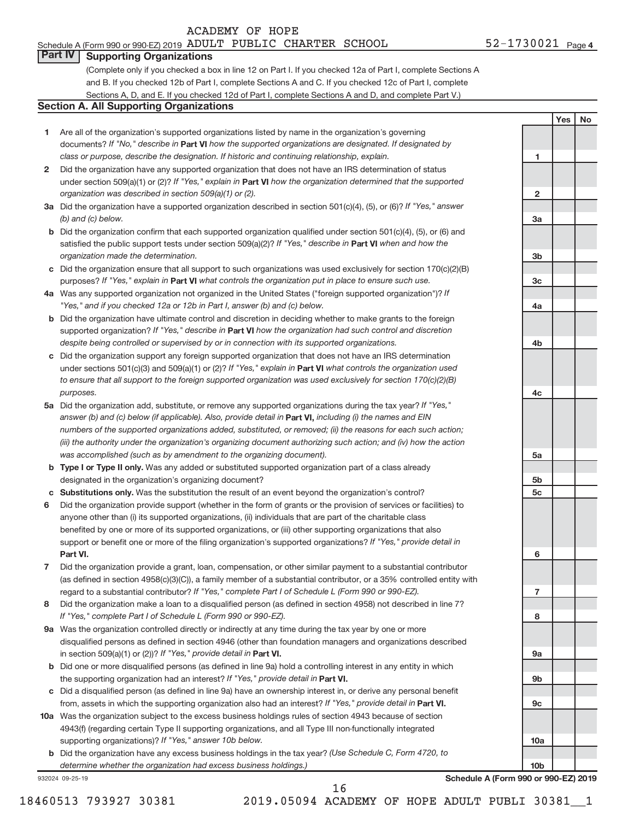# Schedule A (Form 990 or 990-EZ) 2019 ADULT PUBLIC CHARTER SCHOOL  $52-1730021$  Page

**1**

**2**

**3a**

**3b**

**3c**

**4a**

**4b**

**4c**

**5a**

**5b 5c**

**6**

**7**

**8**

**9a**

**9b**

**9c**

**10a**

**10b**

**Yes No**

# **Part IV Supporting Organizations**

(Complete only if you checked a box in line 12 on Part I. If you checked 12a of Part I, complete Sections A and B. If you checked 12b of Part I, complete Sections A and C. If you checked 12c of Part I, complete Sections A, D, and E. If you checked 12d of Part I, complete Sections A and D, and complete Part V.)

## **Section A. All Supporting Organizations**

- **1** Are all of the organization's supported organizations listed by name in the organization's governing documents? If "No," describe in Part VI how the supported organizations are designated. If designated by *class or purpose, describe the designation. If historic and continuing relationship, explain.*
- **2** Did the organization have any supported organization that does not have an IRS determination of status under section 509(a)(1) or (2)? If "Yes," explain in Part **VI** how the organization determined that the supported *organization was described in section 509(a)(1) or (2).*
- **3a** Did the organization have a supported organization described in section 501(c)(4), (5), or (6)? If "Yes," answer *(b) and (c) below.*
- **b** Did the organization confirm that each supported organization qualified under section 501(c)(4), (5), or (6) and satisfied the public support tests under section 509(a)(2)? If "Yes," describe in Part VI when and how the *organization made the determination.*
- **c** Did the organization ensure that all support to such organizations was used exclusively for section 170(c)(2)(B) purposes? If "Yes," explain in Part VI what controls the organization put in place to ensure such use.
- **4 a** *If* Was any supported organization not organized in the United States ("foreign supported organization")? *"Yes," and if you checked 12a or 12b in Part I, answer (b) and (c) below.*
- **b** Did the organization have ultimate control and discretion in deciding whether to make grants to the foreign supported organization? If "Yes," describe in Part VI how the organization had such control and discretion *despite being controlled or supervised by or in connection with its supported organizations.*
- **c** Did the organization support any foreign supported organization that does not have an IRS determination under sections 501(c)(3) and 509(a)(1) or (2)? If "Yes," explain in Part VI what controls the organization used *to ensure that all support to the foreign supported organization was used exclusively for section 170(c)(2)(B) purposes.*
- **5a** Did the organization add, substitute, or remove any supported organizations during the tax year? If "Yes," answer (b) and (c) below (if applicable). Also, provide detail in **Part VI,** including (i) the names and EIN *numbers of the supported organizations added, substituted, or removed; (ii) the reasons for each such action; (iii) the authority under the organization's organizing document authorizing such action; and (iv) how the action was accomplished (such as by amendment to the organizing document).*
- **b** Type I or Type II only. Was any added or substituted supported organization part of a class already designated in the organization's organizing document?
- **c Substitutions only.**  Was the substitution the result of an event beyond the organization's control?
- **6** Did the organization provide support (whether in the form of grants or the provision of services or facilities) to **Part VI.** support or benefit one or more of the filing organization's supported organizations? If "Yes," provide detail in anyone other than (i) its supported organizations, (ii) individuals that are part of the charitable class benefited by one or more of its supported organizations, or (iii) other supporting organizations that also
- **7** Did the organization provide a grant, loan, compensation, or other similar payment to a substantial contributor regard to a substantial contributor? If "Yes," complete Part I of Schedule L (Form 990 or 990-EZ). (as defined in section 4958(c)(3)(C)), a family member of a substantial contributor, or a 35% controlled entity with
- **8** Did the organization make a loan to a disqualified person (as defined in section 4958) not described in line 7? *If "Yes," complete Part I of Schedule L (Form 990 or 990-EZ).*
- **9 a** Was the organization controlled directly or indirectly at any time during the tax year by one or more in section 509(a)(1) or (2))? If "Yes," provide detail in **Part VI.** disqualified persons as defined in section 4946 (other than foundation managers and organizations described
- **b** Did one or more disqualified persons (as defined in line 9a) hold a controlling interest in any entity in which the supporting organization had an interest? If "Yes," provide detail in Part VI.
- **c** Did a disqualified person (as defined in line 9a) have an ownership interest in, or derive any personal benefit from, assets in which the supporting organization also had an interest? If "Yes," provide detail in Part VI.
- **10 a** Was the organization subject to the excess business holdings rules of section 4943 because of section supporting organizations)? If "Yes," answer 10b below. 4943(f) (regarding certain Type II supporting organizations, and all Type III non-functionally integrated
	- **b** Did the organization have any excess business holdings in the tax year? (Use Schedule C, Form 4720, to *determine whether the organization had excess business holdings.)*

932024 09-25-19

**Schedule A (Form 990 or 990-EZ) 2019**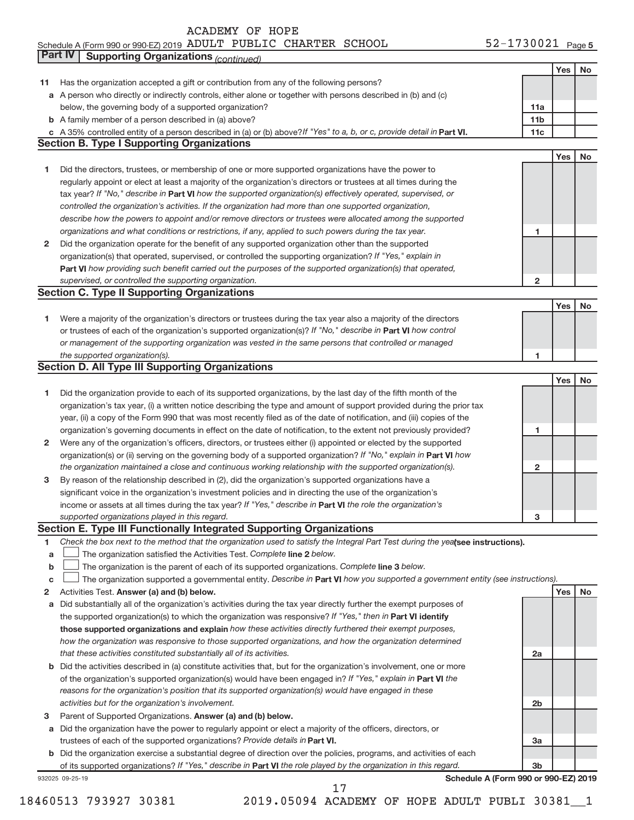### Schedule A (Form 990 or 990-EZ) 2019 ADULT PUBLIC CHARTER SCHOOL 5 Z = 1 / 3 U U Z L Page ADULT PUBLIC CHARTER SCHOOL 52-1730021

|    | Part IV<br><b>Supporting Organizations (continued)</b>                                                                          |                 |     |    |
|----|---------------------------------------------------------------------------------------------------------------------------------|-----------------|-----|----|
|    |                                                                                                                                 |                 | Yes | No |
| 11 | Has the organization accepted a gift or contribution from any of the following persons?                                         |                 |     |    |
|    | a A person who directly or indirectly controls, either alone or together with persons described in (b) and (c)                  |                 |     |    |
|    | below, the governing body of a supported organization?                                                                          | 11a             |     |    |
|    | <b>b</b> A family member of a person described in (a) above?                                                                    | 11 <sub>b</sub> |     |    |
|    | c A 35% controlled entity of a person described in (a) or (b) above? If "Yes" to a, b, or c, provide detail in Part VI.         | 11c             |     |    |
|    | <b>Section B. Type I Supporting Organizations</b>                                                                               |                 |     |    |
|    |                                                                                                                                 |                 | Yes | No |
| 1  | Did the directors, trustees, or membership of one or more supported organizations have the power to                             |                 |     |    |
|    | regularly appoint or elect at least a majority of the organization's directors or trustees at all times during the              |                 |     |    |
|    | tax year? If "No," describe in Part VI how the supported organization(s) effectively operated, supervised, or                   |                 |     |    |
|    | controlled the organization's activities. If the organization had more than one supported organization,                         |                 |     |    |
|    | describe how the powers to appoint and/or remove directors or trustees were allocated among the supported                       |                 |     |    |
|    | organizations and what conditions or restrictions, if any, applied to such powers during the tax year.                          | 1               |     |    |
| 2  | Did the organization operate for the benefit of any supported organization other than the supported                             |                 |     |    |
|    | organization(s) that operated, supervised, or controlled the supporting organization? If "Yes," explain in                      |                 |     |    |
|    | Part VI how providing such benefit carried out the purposes of the supported organization(s) that operated,                     |                 |     |    |
|    | supervised, or controlled the supporting organization.                                                                          | $\mathbf{2}$    |     |    |
|    | <b>Section C. Type II Supporting Organizations</b>                                                                              |                 |     |    |
|    |                                                                                                                                 |                 | Yes | No |
| 1  | Were a majority of the organization's directors or trustees during the tax year also a majority of the directors                |                 |     |    |
|    | or trustees of each of the organization's supported organization(s)? If "No," describe in Part VI how control                   |                 |     |    |
|    | or management of the supporting organization was vested in the same persons that controlled or managed                          |                 |     |    |
|    | the supported organization(s).                                                                                                  | 1               |     |    |
|    | <b>Section D. All Type III Supporting Organizations</b>                                                                         |                 |     |    |
|    |                                                                                                                                 |                 | Yes | No |
| 1  | Did the organization provide to each of its supported organizations, by the last day of the fifth month of the                  |                 |     |    |
|    | organization's tax year, (i) a written notice describing the type and amount of support provided during the prior tax           |                 |     |    |
|    | year, (ii) a copy of the Form 990 that was most recently filed as of the date of notification, and (iii) copies of the          |                 |     |    |
|    | organization's governing documents in effect on the date of notification, to the extent not previously provided?                | 1               |     |    |
| 2  | Were any of the organization's officers, directors, or trustees either (i) appointed or elected by the supported                |                 |     |    |
|    | organization(s) or (ii) serving on the governing body of a supported organization? If "No," explain in Part VI how              |                 |     |    |
|    | the organization maintained a close and continuous working relationship with the supported organization(s).                     | $\mathbf{2}$    |     |    |
| з  | By reason of the relationship described in (2), did the organization's supported organizations have a                           |                 |     |    |
|    | significant voice in the organization's investment policies and in directing the use of the organization's                      |                 |     |    |
|    | income or assets at all times during the tax year? If "Yes," describe in Part VI the role the organization's                    |                 |     |    |
|    | supported organizations played in this regard.                                                                                  | з               |     |    |
|    | Section E. Type III Functionally Integrated Supporting Organizations                                                            |                 |     |    |
| 1  | Check the box next to the method that the organization used to satisfy the Integral Part Test during the yealsee instructions). |                 |     |    |
| a  | The organization satisfied the Activities Test. Complete line 2 below.                                                          |                 |     |    |
| b  | The organization is the parent of each of its supported organizations. Complete line 3 below.                                   |                 |     |    |
| C  | The organization supported a governmental entity. Describe in Part VI how you supported a government entity (see instructions). |                 |     |    |
| 2  | Activities Test. Answer (a) and (b) below.                                                                                      |                 | Yes | No |
| а  | Did substantially all of the organization's activities during the tax year directly further the exempt purposes of              |                 |     |    |
|    | the supported organization(s) to which the organization was responsive? If "Yes," then in Part VI identify                      |                 |     |    |
|    | those supported organizations and explain how these activities directly furthered their exempt purposes,                        |                 |     |    |
|    | how the organization was responsive to those supported organizations, and how the organization determined                       |                 |     |    |
|    | that these activities constituted substantially all of its activities.                                                          | 2a              |     |    |
|    | b Did the activities described in (a) constitute activities that, but for the organization's involvement, one or more           |                 |     |    |
|    | of the organization's supported organization(s) would have been engaged in? If "Yes," explain in Part VI the                    |                 |     |    |
|    | reasons for the organization's position that its supported organization(s) would have engaged in these                          |                 |     |    |
|    | activities but for the organization's involvement.                                                                              | 2 <sub>b</sub>  |     |    |
| з  | Parent of Supported Organizations. Answer (a) and (b) below.                                                                    |                 |     |    |
| а  | Did the organization have the power to regularly appoint or elect a majority of the officers, directors, or                     |                 |     |    |
|    | trustees of each of the supported organizations? Provide details in Part VI.                                                    | 3a              |     |    |
|    | b Did the organization exercise a substantial degree of direction over the policies, programs, and activities of each           |                 |     |    |
|    | of its supported organizations? If "Yes," describe in Part VI the role played by the organization in this regard.               | 3b              |     |    |
|    | Schedule A (Form 990 or 990-EZ) 2019<br>932025 09-25-19                                                                         |                 |     |    |

18460513 793927 30381 2019.05094 ACADEMY OF HOPE ADULT PUBLI 30381\_\_1 17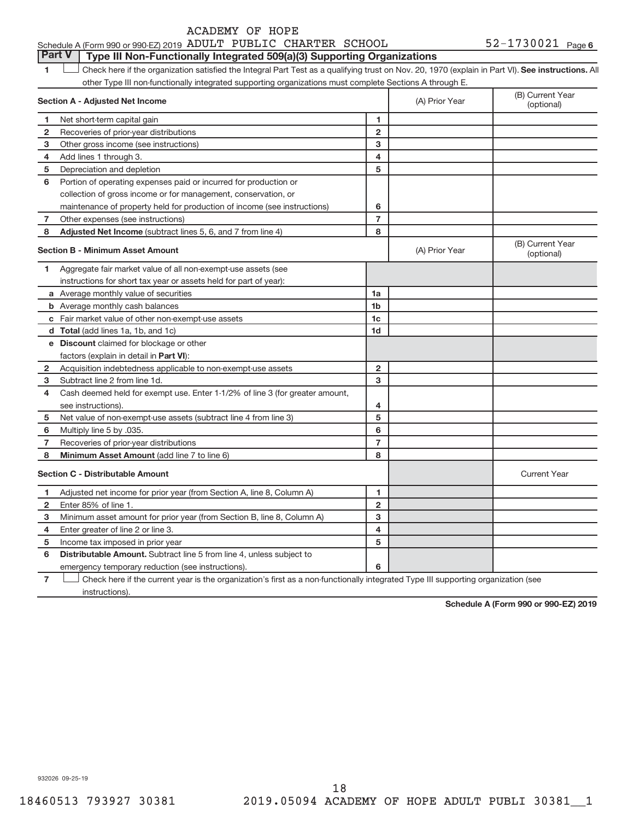**1 Lett** Check here if the organization satisfied the Integral Part Test as a qualifying trust on Nov. 20, 1970 (explain in Part VI). See instructions. All **Section A - Adjusted Net Income 1 2 1 2** other Type III non-functionally integrated supporting organizations must complete Sections A through E. (B) Current Year (A) Prior Year Net short-term capital gain Recoveries of prior-year distributions **Part V Type III Non-Functionally Integrated 509(a)(3) Supporting Organizations**   $\begin{array}{c} \hline \end{array}$ 

| 3              | Other gross income (see instructions)                                        | 3              |                |                                |
|----------------|------------------------------------------------------------------------------|----------------|----------------|--------------------------------|
| 4              | Add lines 1 through 3.                                                       | 4              |                |                                |
| 5              | Depreciation and depletion                                                   | 5              |                |                                |
| 6              | Portion of operating expenses paid or incurred for production or             |                |                |                                |
|                | collection of gross income or for management, conservation, or               |                |                |                                |
|                | maintenance of property held for production of income (see instructions)     | 6              |                |                                |
| 7              | Other expenses (see instructions)                                            | $\overline{7}$ |                |                                |
| 8              | Adjusted Net Income (subtract lines 5, 6, and 7 from line 4)                 | 8              |                |                                |
|                | <b>Section B - Minimum Asset Amount</b>                                      |                | (A) Prior Year | (B) Current Year<br>(optional) |
| 1              | Aggregate fair market value of all non-exempt-use assets (see                |                |                |                                |
|                | instructions for short tax year or assets held for part of year):            |                |                |                                |
|                | a Average monthly value of securities                                        | 1a             |                |                                |
|                | <b>b</b> Average monthly cash balances                                       | 1b             |                |                                |
|                | c Fair market value of other non-exempt-use assets                           | 1c             |                |                                |
|                | d Total (add lines 1a, 1b, and 1c)                                           | 1 <sub>d</sub> |                |                                |
|                | e Discount claimed for blockage or other                                     |                |                |                                |
|                | factors (explain in detail in Part VI):                                      |                |                |                                |
| $\mathbf{2}$   | Acquisition indebtedness applicable to non-exempt-use assets                 | $\mathbf{2}$   |                |                                |
| 3              | Subtract line 2 from line 1d.                                                | 3              |                |                                |
| 4              | Cash deemed held for exempt use. Enter 1-1/2% of line 3 (for greater amount, |                |                |                                |
|                | see instructions).                                                           | 4              |                |                                |
| 5              | Net value of non-exempt-use assets (subtract line 4 from line 3)             | 5              |                |                                |
| 6              | Multiply line 5 by .035.                                                     | 6              |                |                                |
| 7              | Recoveries of prior-year distributions                                       | $\overline{7}$ |                |                                |
| 8              | Minimum Asset Amount (add line 7 to line 6)                                  | 8              |                |                                |
|                | <b>Section C - Distributable Amount</b>                                      |                |                | <b>Current Year</b>            |
| 1              | Adjusted net income for prior year (from Section A, line 8, Column A)        | 1              |                |                                |
| $\overline{2}$ | Enter 85% of line 1.                                                         | $\overline{2}$ |                |                                |
| 3              | Minimum asset amount for prior year (from Section B, line 8, Column A)       | 3              |                |                                |
| 4              | Enter greater of line 2 or line 3.                                           | 4              |                |                                |
| 5              | Income tax imposed in prior year                                             | 5              |                |                                |
| 6              | Distributable Amount. Subtract line 5 from line 4, unless subject to         |                |                |                                |
|                | emergency temporary reduction (see instructions).                            | 6              |                |                                |

**7** Check here if the current year is the organization's first as a non-functionally integrated Type III supporting organization (see instructions).

**Schedule A (Form 990 or 990-EZ) 2019**

932026 09-25-19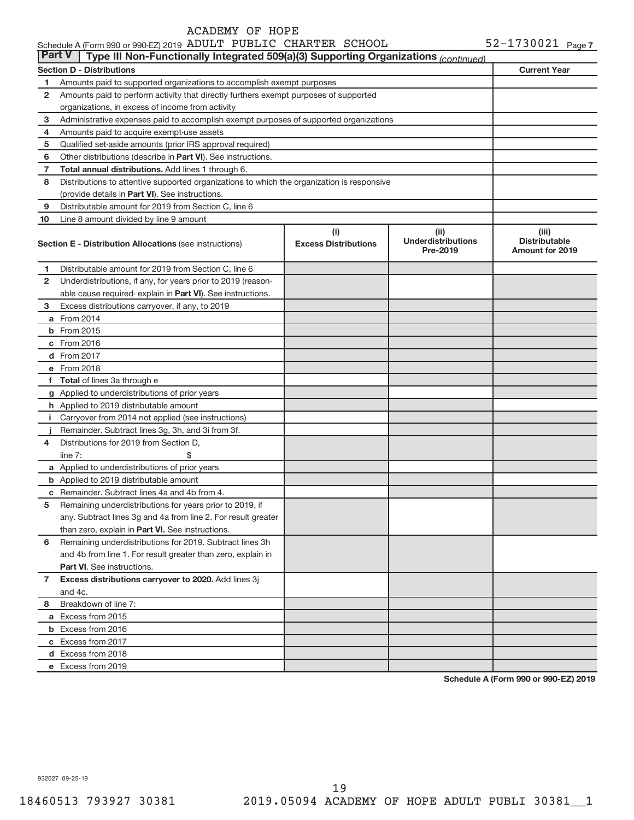### **Section D - Distributions Current Year 1 2 3 4 5 6 7 8 9 10** Other distributions (describe in Part VI). See instructions. **Total annual distributions.** Add lines 1 through 6. (provide details in Part VI). See instructions. **(i) Excess Distributions (ii) Underdistributions Pre-2019 (iii) Distributable**<br>**Amount for 2019** Section E - Distribution Allocations (see instructions) **Bection E - Excess Distributions and Amount For 2019**<br>Amount for 2019 **1 2 3 4 5 6** Remaining underdistributions for 2019. Subtract lines 3h **7 8** Breakdown of line 7: able cause required- explain in Part VI). See instructions. **a** From 2014 **b** From 2015 **c** From 2016 **d** From 2017 **e** From 2018 **f Total**  of lines 3a through e **g** Applied to underdistributions of prior years **h** Applied to 2019 distributable amount **i** Carryover from 2014 not applied (see instructions) **j a** Applied to underdistributions of prior years **b** Applied to 2019 distributable amount **c** Remainder. Subtract lines 4a and 4b from 4. than zero, explain in Part VI. See instructions. **Part VI** . See instructions. **Excess distributions carryover to 2020.**  Add lines 3j **a** Excess from 2015 **b** Excess from 2016 **c** Excess from 2017 **d** Excess from 2018 **e** Excess from 2019 Schedule A (Form 990 or 990-EZ) 2019 ADULT PUBLIC CHARTER SCHOOL  $52-1730021$  Page Amounts paid to supported organizations to accomplish exempt purposes Amounts paid to perform activity that directly furthers exempt purposes of supported organizations, in excess of income from activity Administrative expenses paid to accomplish exempt purposes of supported organizations Amounts paid to acquire exempt-use assets Qualified set-aside amounts (prior IRS approval required) Distributions to attentive supported organizations to which the organization is responsive Distributable amount for 2019 from Section C, line 6 Line 8 amount divided by line 9 amount Distributable amount for 2019 from Section C, line 6 Underdistributions, if any, for years prior to 2019 (reason-Excess distributions carryover, if any, to 2019 Remainder. Subtract lines 3g, 3h, and 3i from 3f. Distributions for 2019 from Section D,  $line 7:$   $\$ Remaining underdistributions for years prior to 2019, if any. Subtract lines 3g and 4a from line 2. For result greater and 4b from line 1. For result greater than zero, explain in and 4c. **Part V Type III Non-Functionally Integrated 509(a)(3) Supporting Organizations** *(continued)*

**Schedule A (Form 990 or 990-EZ) 2019**

932027 09-25-19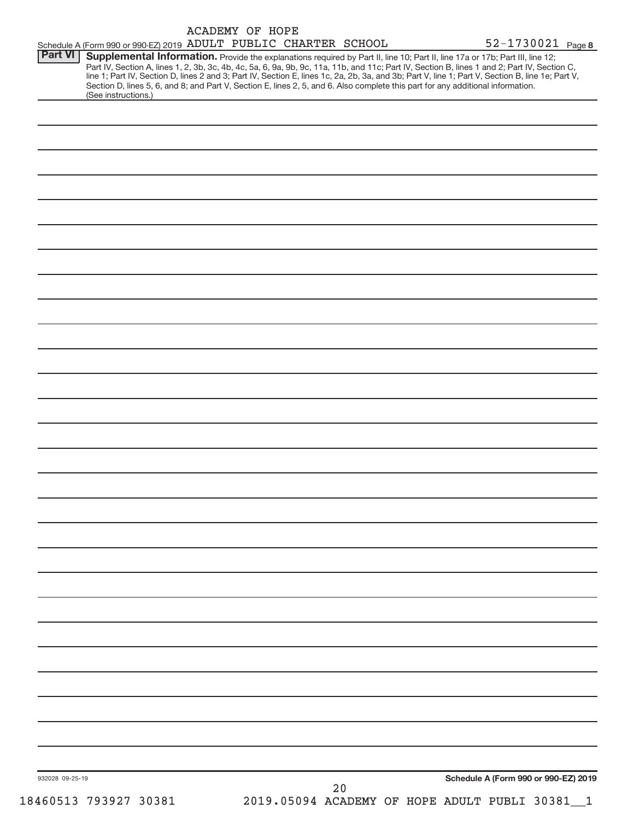|                 | Schedule A (Form 990 or 990-EZ) 2019 ADULT PUBLIC CHARTER SCHOOL                                                                                                                                                                                                                                                                                                                                                                                                                                                                                                                            | <b>ACADEMY OF HOPE</b> |  |    |                                              | 52-1730021 Page 8                    |                            |
|-----------------|---------------------------------------------------------------------------------------------------------------------------------------------------------------------------------------------------------------------------------------------------------------------------------------------------------------------------------------------------------------------------------------------------------------------------------------------------------------------------------------------------------------------------------------------------------------------------------------------|------------------------|--|----|----------------------------------------------|--------------------------------------|----------------------------|
| Part VI         | Supplemental Information. Provide the explanations required by Part II, line 10; Part II, line 17a or 17b; Part III, line 12;<br>Part IV, Section A, lines 1, 2, 3b, 3c, 4b, 4c, 5a, 6, 9a, 9b, 9c, 11a, 11b, and 11c; Part IV, Section B, lines 1 and 2; Part IV, Section C,<br>line 1; Part IV, Section D, lines 2 and 3; Part IV, Section E, lines 1c, 2a, 2b, 3a, and 3b; Part V, line 1; Part V, Section B, line 1e; Part V,<br>Section D, lines 5, 6, and 8; and Part V, Section E, lines 2, 5, and 6. Also complete this part for any additional information.<br>(See instructions.) |                        |  |    |                                              |                                      |                            |
|                 |                                                                                                                                                                                                                                                                                                                                                                                                                                                                                                                                                                                             |                        |  |    |                                              |                                      |                            |
|                 |                                                                                                                                                                                                                                                                                                                                                                                                                                                                                                                                                                                             |                        |  |    |                                              |                                      |                            |
|                 |                                                                                                                                                                                                                                                                                                                                                                                                                                                                                                                                                                                             |                        |  |    |                                              |                                      |                            |
|                 |                                                                                                                                                                                                                                                                                                                                                                                                                                                                                                                                                                                             |                        |  |    |                                              |                                      |                            |
|                 |                                                                                                                                                                                                                                                                                                                                                                                                                                                                                                                                                                                             |                        |  |    |                                              |                                      |                            |
|                 |                                                                                                                                                                                                                                                                                                                                                                                                                                                                                                                                                                                             |                        |  |    |                                              |                                      |                            |
|                 |                                                                                                                                                                                                                                                                                                                                                                                                                                                                                                                                                                                             |                        |  |    |                                              |                                      |                            |
|                 |                                                                                                                                                                                                                                                                                                                                                                                                                                                                                                                                                                                             |                        |  |    |                                              |                                      |                            |
|                 |                                                                                                                                                                                                                                                                                                                                                                                                                                                                                                                                                                                             |                        |  |    |                                              |                                      |                            |
|                 |                                                                                                                                                                                                                                                                                                                                                                                                                                                                                                                                                                                             |                        |  |    |                                              |                                      |                            |
|                 |                                                                                                                                                                                                                                                                                                                                                                                                                                                                                                                                                                                             |                        |  |    |                                              |                                      |                            |
|                 |                                                                                                                                                                                                                                                                                                                                                                                                                                                                                                                                                                                             |                        |  |    |                                              |                                      |                            |
|                 |                                                                                                                                                                                                                                                                                                                                                                                                                                                                                                                                                                                             |                        |  |    |                                              |                                      |                            |
|                 |                                                                                                                                                                                                                                                                                                                                                                                                                                                                                                                                                                                             |                        |  |    |                                              |                                      |                            |
|                 |                                                                                                                                                                                                                                                                                                                                                                                                                                                                                                                                                                                             |                        |  |    |                                              |                                      |                            |
|                 |                                                                                                                                                                                                                                                                                                                                                                                                                                                                                                                                                                                             |                        |  |    |                                              |                                      |                            |
|                 |                                                                                                                                                                                                                                                                                                                                                                                                                                                                                                                                                                                             |                        |  |    |                                              |                                      |                            |
|                 |                                                                                                                                                                                                                                                                                                                                                                                                                                                                                                                                                                                             |                        |  |    |                                              |                                      |                            |
|                 |                                                                                                                                                                                                                                                                                                                                                                                                                                                                                                                                                                                             |                        |  |    |                                              |                                      |                            |
|                 |                                                                                                                                                                                                                                                                                                                                                                                                                                                                                                                                                                                             |                        |  |    |                                              |                                      |                            |
|                 |                                                                                                                                                                                                                                                                                                                                                                                                                                                                                                                                                                                             |                        |  |    |                                              |                                      |                            |
|                 |                                                                                                                                                                                                                                                                                                                                                                                                                                                                                                                                                                                             |                        |  |    |                                              |                                      |                            |
|                 |                                                                                                                                                                                                                                                                                                                                                                                                                                                                                                                                                                                             |                        |  |    |                                              |                                      |                            |
|                 |                                                                                                                                                                                                                                                                                                                                                                                                                                                                                                                                                                                             |                        |  |    |                                              |                                      |                            |
|                 |                                                                                                                                                                                                                                                                                                                                                                                                                                                                                                                                                                                             |                        |  |    |                                              |                                      |                            |
|                 |                                                                                                                                                                                                                                                                                                                                                                                                                                                                                                                                                                                             |                        |  |    |                                              |                                      |                            |
|                 |                                                                                                                                                                                                                                                                                                                                                                                                                                                                                                                                                                                             |                        |  |    |                                              |                                      |                            |
|                 |                                                                                                                                                                                                                                                                                                                                                                                                                                                                                                                                                                                             |                        |  |    |                                              |                                      |                            |
|                 |                                                                                                                                                                                                                                                                                                                                                                                                                                                                                                                                                                                             |                        |  |    |                                              |                                      |                            |
|                 |                                                                                                                                                                                                                                                                                                                                                                                                                                                                                                                                                                                             |                        |  |    |                                              |                                      |                            |
|                 |                                                                                                                                                                                                                                                                                                                                                                                                                                                                                                                                                                                             |                        |  |    |                                              |                                      |                            |
| 932028 09-25-19 |                                                                                                                                                                                                                                                                                                                                                                                                                                                                                                                                                                                             |                        |  |    |                                              | Schedule A (Form 990 or 990-EZ) 2019 |                            |
|                 | 18460513 793927 30381                                                                                                                                                                                                                                                                                                                                                                                                                                                                                                                                                                       |                        |  | 20 | 2019.05094 ACADEMY OF HOPE ADULT PUBLI 30381 |                                      | $\overline{\phantom{0}}$ 1 |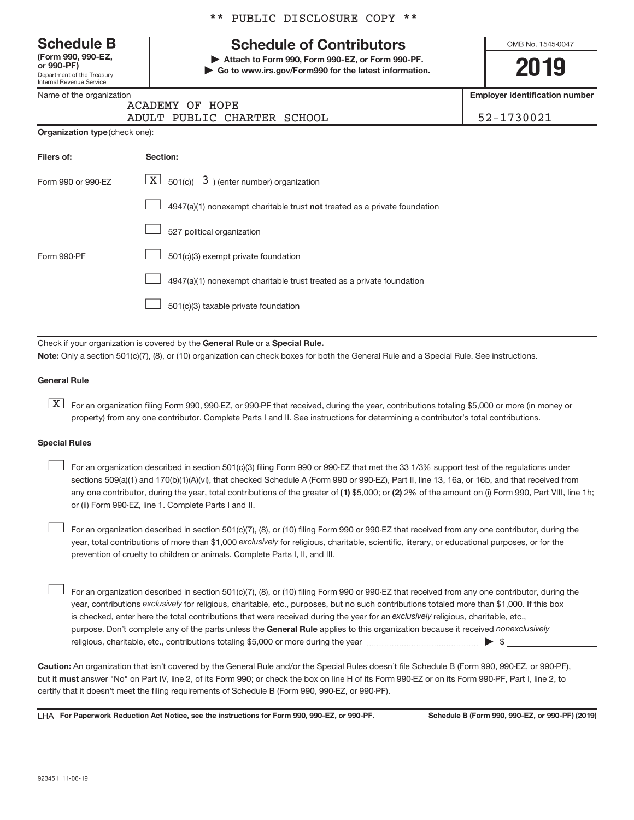Department of the Treasury Internal Revenue Service **(Form 990, 990-EZ,**

Name of the organization

|  |  | ** PUBLIC DISCLOSURE COPY ** |  |  |
|--|--|------------------------------|--|--|
|--|--|------------------------------|--|--|

# **Schedule B Schedule of Contributors**

**or 990-PF) | Attach to Form 990, Form 990-EZ, or Form 990-PF. | Go to www.irs.gov/Form990 for the latest information.** OMB No. 1545-0047

**2019**

**Employer identification number**

|                                       | ACADEMY OF HOPE                                                           |            |
|---------------------------------------|---------------------------------------------------------------------------|------------|
|                                       | ADULT PUBLIC CHARTER SCHOOL                                               | 52-1730021 |
| <b>Organization type (check one):</b> |                                                                           |            |
| Filers of:                            | Section:                                                                  |            |
| Form 990 or 990-EZ                    | $\boxed{\textbf{X}}$ 501(c)( 3) (enter number) organization               |            |
|                                       | 4947(a)(1) nonexempt charitable trust not treated as a private foundation |            |
|                                       | 527 political organization                                                |            |
| Form 990-PF                           | 501(c)(3) exempt private foundation                                       |            |
|                                       | 4947(a)(1) nonexempt charitable trust treated as a private foundation     |            |
|                                       | 501(c)(3) taxable private foundation                                      |            |

Check if your organization is covered by the General Rule or a Special Rule. **Note:**  Only a section 501(c)(7), (8), or (10) organization can check boxes for both the General Rule and a Special Rule. See instructions.

## **General Rule**

**K** For an organization filing Form 990, 990-EZ, or 990-PF that received, during the year, contributions totaling \$5,000 or more (in money or property) from any one contributor. Complete Parts I and II. See instructions for determining a contributor's total contributions.

## **Special Rules**

 $\begin{array}{c} \hline \end{array}$ 

 $\begin{array}{c} \hline \end{array}$ 

any one contributor, during the year, total contributions of the greater of (1) \$5,000; or (2) 2% of the amount on (i) Form 990, Part VIII, line 1h; For an organization described in section 501(c)(3) filing Form 990 or 990-EZ that met the 33 1/3% support test of the regulations under sections 509(a)(1) and 170(b)(1)(A)(vi), that checked Schedule A (Form 990 or 990-EZ), Part II, line 13, 16a, or 16b, and that received from or (ii) Form 990-EZ, line 1. Complete Parts I and II.  $\begin{array}{c} \hline \end{array}$ 

year, total contributions of more than \$1,000 exclusively for religious, charitable, scientific, literary, or educational purposes, or for the For an organization described in section 501(c)(7), (8), or (10) filing Form 990 or 990-EZ that received from any one contributor, during the prevention of cruelty to children or animals. Complete Parts I, II, and III.

purpose. Don't complete any of the parts unless the General Rule applies to this organization because it received nonexclusively year, contributions exclusively for religious, charitable, etc., purposes, but no such contributions totaled more than \$1,000. If this box is checked, enter here the total contributions that were received during the year for an exclusively religious, charitable, etc., For an organization described in section 501(c)(7), (8), or (10) filing Form 990 or 990-EZ that received from any one contributor, during the religious, charitable, etc., contributions totaling \$5,000 or more during the year  $~\ldots\ldots\ldots\ldots\ldots\ldots\ldots\ldots\blacktriangleright~$ \$

**Caution:**  An organization that isn't covered by the General Rule and/or the Special Rules doesn't file Schedule B (Form 990, 990-EZ, or 990-PF),  **must** but it answer "No" on Part IV, line 2, of its Form 990; or check the box on line H of its Form 990-EZ or on its Form 990-PF, Part I, line 2, to certify that it doesn't meet the filing requirements of Schedule B (Form 990, 990-EZ, or 990-PF).

LHA For Paperwork Reduction Act Notice, see the instructions for Form 990, 990-EZ, or 990-PF. Schedule B (Form 990, 990-EZ, or 990-PF) (2019)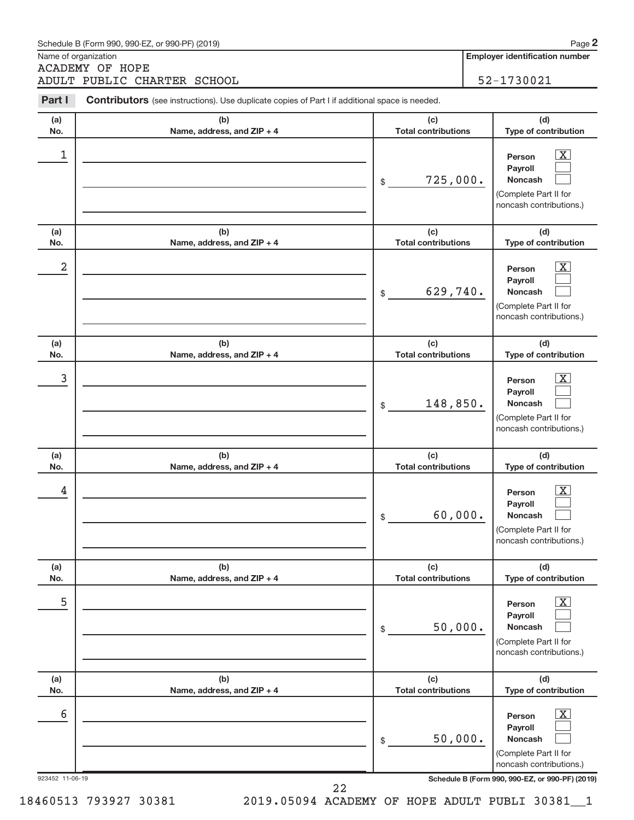|                 | Schedule B (Form 990, 990-EZ, or 990-PF) (2019)                                                       |                                   | Page 2                                                                                                           |
|-----------------|-------------------------------------------------------------------------------------------------------|-----------------------------------|------------------------------------------------------------------------------------------------------------------|
|                 | Name of organization<br><b>ACADEMY OF HOPE</b>                                                        |                                   | <b>Employer identification number</b>                                                                            |
|                 | ADULT PUBLIC CHARTER SCHOOL                                                                           |                                   | 52-1730021                                                                                                       |
| Part I          | <b>Contributors</b> (see instructions). Use duplicate copies of Part I if additional space is needed. |                                   |                                                                                                                  |
| (a)<br>No.      | (b)<br>Name, address, and ZIP + 4                                                                     | (c)<br><b>Total contributions</b> | (d)<br>Type of contribution                                                                                      |
| 1               |                                                                                                       | 725,000.<br>\$                    | $\overline{\text{X}}$<br>Person<br>Payroll<br><b>Noncash</b><br>(Complete Part II for<br>noncash contributions.) |
| (a)<br>No.      | (b)<br>Name, address, and ZIP + 4                                                                     | (c)<br><b>Total contributions</b> | (d)<br>Type of contribution                                                                                      |
| 2               |                                                                                                       | 629,740.<br>\$                    | $\mathbf{X}$<br>Person<br>Payroll<br><b>Noncash</b><br>(Complete Part II for<br>noncash contributions.)          |
| (a)<br>No.      | (b)<br>Name, address, and ZIP + 4                                                                     | (c)<br><b>Total contributions</b> | (d)<br>Type of contribution                                                                                      |
| 3               |                                                                                                       | 148,850.<br>\$                    | х<br>Person<br>Payroll<br><b>Noncash</b><br>(Complete Part II for<br>noncash contributions.)                     |
| (a)<br>No.      | (b)<br>Name, address, and ZIP + 4                                                                     | (c)<br><b>Total contributions</b> | (d)<br>Type of contribution                                                                                      |
| 4               |                                                                                                       | 60,000.<br>\$                     | $\overline{\text{X}}$<br>Person<br>Payroll<br>Noncash<br>(Complete Part II for<br>noncash contributions.)        |
| (a)<br>No.      | (b)<br>Name, address, and ZIP + 4                                                                     | (c)<br><b>Total contributions</b> | (d)<br>Type of contribution                                                                                      |
| 5               |                                                                                                       | 50,000.<br>\$                     | $\mathbf X$<br>Person<br>Payroll<br>Noncash<br>(Complete Part II for<br>noncash contributions.)                  |
| (a)<br>No.      | (b)<br>Name, address, and ZIP + 4                                                                     | (c)<br><b>Total contributions</b> | (d)<br>Type of contribution                                                                                      |
| 6               |                                                                                                       | 50,000.<br>\$                     | $\mathbf X$<br>Person<br>Payroll<br>Noncash<br>(Complete Part II for<br>noncash contributions.)                  |
| 923452 11-06-19 | 22                                                                                                    |                                   | Schedule B (Form 990, 990-EZ, or 990-PF) (2019)                                                                  |

 $\alpha$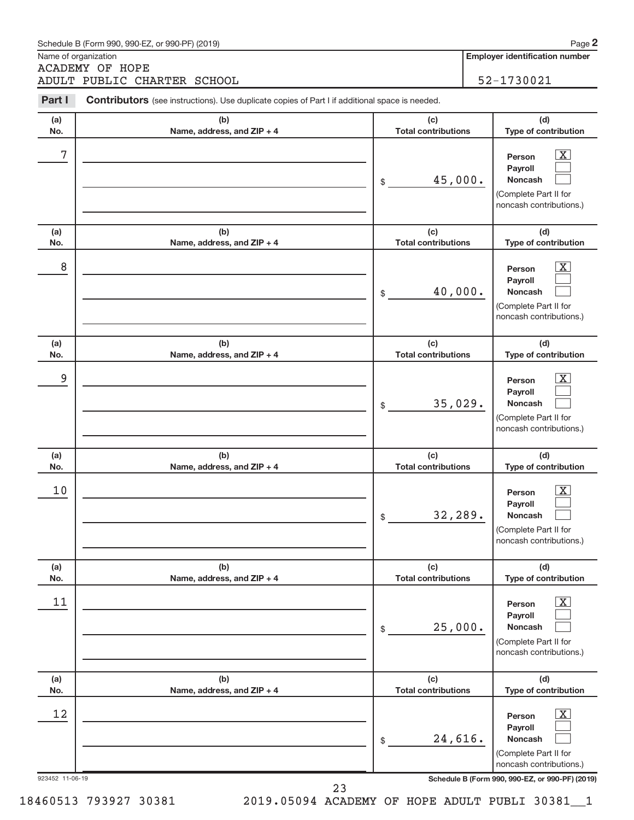|                 | Schedule B (Form 990, 990-EZ, or 990-PF) (2019)                                                |                                   | Page 2                                                                                                           |
|-----------------|------------------------------------------------------------------------------------------------|-----------------------------------|------------------------------------------------------------------------------------------------------------------|
|                 | Name of organization<br><b>ACADEMY OF HOPE</b>                                                 |                                   | <b>Employer identification number</b>                                                                            |
|                 | ADULT PUBLIC CHARTER SCHOOL                                                                    |                                   | 52-1730021                                                                                                       |
| Part I          | Contributors (see instructions). Use duplicate copies of Part I if additional space is needed. |                                   |                                                                                                                  |
| (a)<br>No.      | (b)<br>Name, address, and ZIP + 4                                                              | (c)<br><b>Total contributions</b> | (d)<br>Type of contribution                                                                                      |
| 7               |                                                                                                | 45,000.<br>\$                     | $\overline{\text{X}}$<br>Person<br>Payroll<br><b>Noncash</b><br>(Complete Part II for<br>noncash contributions.) |
| (a)<br>No.      | (b)<br>Name, address, and ZIP + 4                                                              | (c)<br><b>Total contributions</b> | (d)<br>Type of contribution                                                                                      |
| 8               |                                                                                                | 40,000.<br>\$                     | $\overline{\text{X}}$<br>Person<br>Payroll<br><b>Noncash</b><br>(Complete Part II for<br>noncash contributions.) |
| (a)<br>No.      | (b)<br>Name, address, and ZIP + 4                                                              | (c)<br><b>Total contributions</b> | (d)<br>Type of contribution                                                                                      |
| 9               |                                                                                                | 35,029.<br>\$                     | X<br>Person<br>Payroll<br><b>Noncash</b><br>(Complete Part II for<br>noncash contributions.)                     |
| (a)<br>No.      | (b)<br>Name, address, and ZIP + 4                                                              | (c)<br><b>Total contributions</b> | (d)<br>Type of contribution                                                                                      |
| 10              |                                                                                                | 32,289.<br>\$                     | $\overline{\text{X}}$<br>Person<br>Payroll<br>Noncash<br>(Complete Part II for<br>noncash contributions.)        |
| (a)<br>No.      | (b)<br>Name, address, and ZIP + 4                                                              | (c)<br><b>Total contributions</b> | (d)<br>Type of contribution                                                                                      |
| 11              |                                                                                                | 25,000.<br>\$                     | <u>x</u><br>Person<br>Payroll<br>Noncash<br>(Complete Part II for<br>noncash contributions.)                     |
| (a)<br>No.      | (b)<br>Name, address, and ZIP + 4                                                              | (c)<br><b>Total contributions</b> | (d)<br>Type of contribution                                                                                      |
| 12              |                                                                                                | 24,616.<br>\$                     | <u>x</u><br>Person<br>Payroll<br>Noncash<br>(Complete Part II for<br>noncash contributions.)                     |
| 923452 11-06-19 | 23                                                                                             |                                   | Schedule B (Form 990, 990-EZ, or 990-PF) (2019)                                                                  |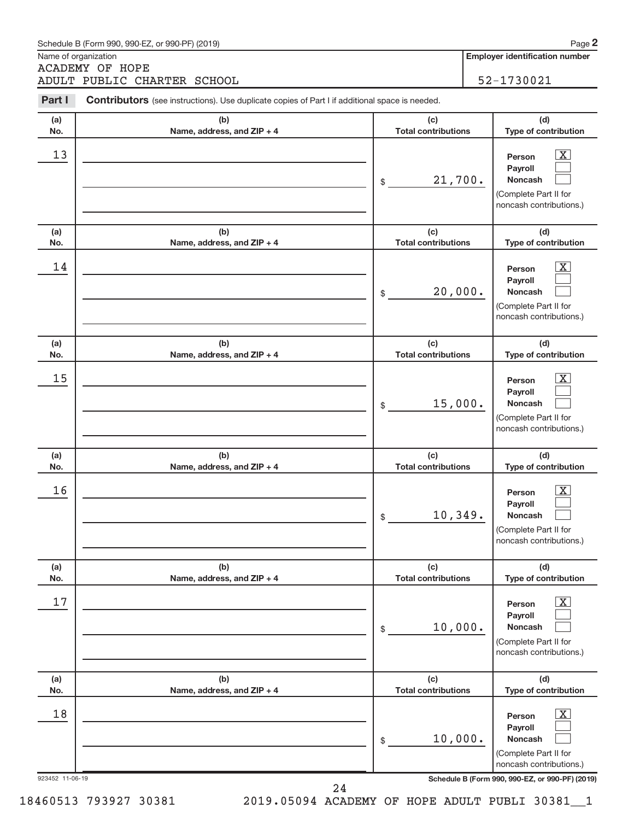|                 | Schedule B (Form 990, 990-EZ, or 990-PF) (2019)                                                |                                   | Page 2                                                                                                      |
|-----------------|------------------------------------------------------------------------------------------------|-----------------------------------|-------------------------------------------------------------------------------------------------------------|
|                 | Name of organization<br><b>ACADEMY OF HOPE</b>                                                 |                                   | <b>Employer identification number</b>                                                                       |
|                 | ADULT PUBLIC CHARTER SCHOOL                                                                    |                                   | 52-1730021                                                                                                  |
| Part I          | Contributors (see instructions). Use duplicate copies of Part I if additional space is needed. |                                   |                                                                                                             |
| (a)<br>No.      | (b)<br>Name, address, and ZIP + 4                                                              | (c)<br><b>Total contributions</b> | (d)<br>Type of contribution                                                                                 |
| 13              |                                                                                                | 21,700.<br>\$                     | <u>x</u><br>Person<br>Payroll<br><b>Noncash</b><br>(Complete Part II for<br>noncash contributions.)         |
| (a)<br>No.      | (b)<br>Name, address, and ZIP + 4                                                              | (c)<br><b>Total contributions</b> | (d)<br>Type of contribution                                                                                 |
| 14              |                                                                                                | 20,000.<br>\$                     | X<br>Person<br>Payroll<br>Noncash<br>(Complete Part II for<br>noncash contributions.)                       |
| (a)<br>No.      | (b)<br>Name, address, and ZIP + 4                                                              | (c)<br><b>Total contributions</b> | (d)<br>Type of contribution                                                                                 |
| 15              |                                                                                                | 15,000.<br>\$                     | x<br>Person<br>Payroll<br><b>Noncash</b><br>(Complete Part II for<br>noncash contributions.)                |
| (a)<br>No.      | (b)<br>Name, address, and ZIP + 4                                                              | (c)<br><b>Total contributions</b> | (d)<br>Type of contribution                                                                                 |
| 16              |                                                                                                | 10,349.<br>\$                     | $\overline{\mathbf{X}}$<br>Person<br>Payroll<br>Noncash<br>(Complete Part II for<br>noncash contributions.) |
| (a)<br>No.      | (b)<br>Name, address, and ZIP + 4                                                              | (c)<br><b>Total contributions</b> | (d)<br>Type of contribution                                                                                 |
| 17              |                                                                                                | 10,000.<br>\$                     | $\overline{\mathbf{X}}$<br>Person<br>Payroll<br>Noncash<br>(Complete Part II for<br>noncash contributions.) |
| (a)<br>No.      | (b)<br>Name, address, and ZIP + 4                                                              | (c)<br><b>Total contributions</b> | (d)<br>Type of contribution                                                                                 |
| 18              |                                                                                                | 10,000.<br>\$                     | $\overline{\mathbf{X}}$<br>Person<br>Payroll<br>Noncash<br>(Complete Part II for<br>noncash contributions.) |
| 923452 11-06-19 | $\Omega$                                                                                       |                                   | Schedule B (Form 990, 990-EZ, or 990-PF) (2019)                                                             |

24

n≏ 2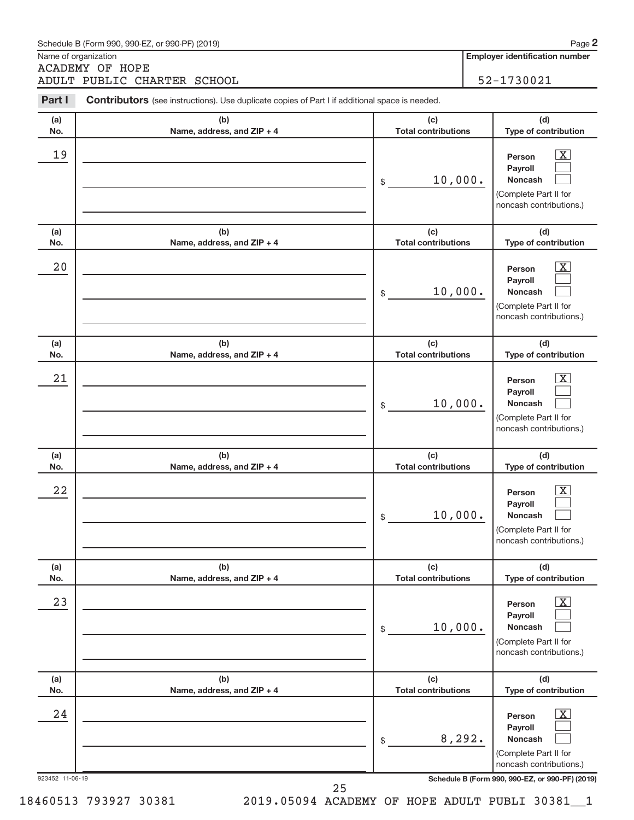|                 | Schedule B (Form 990, 990-EZ, or 990-PF) (2019)                                                |                                   | Page 2                                                                                                           |
|-----------------|------------------------------------------------------------------------------------------------|-----------------------------------|------------------------------------------------------------------------------------------------------------------|
|                 | Name of organization<br><b>ACADEMY OF HOPE</b>                                                 |                                   | <b>Employer identification number</b>                                                                            |
|                 | ADULT PUBLIC CHARTER SCHOOL                                                                    |                                   | 52-1730021                                                                                                       |
| Part I          | Contributors (see instructions). Use duplicate copies of Part I if additional space is needed. |                                   |                                                                                                                  |
| (a)<br>No.      | (b)<br>Name, address, and ZIP + 4                                                              | (c)<br><b>Total contributions</b> | (d)<br>Type of contribution                                                                                      |
| 19              |                                                                                                | 10,000.<br>\$                     | $\overline{\text{X}}$<br>Person<br>Payroll<br><b>Noncash</b><br>(Complete Part II for<br>noncash contributions.) |
| (a)<br>No.      | (b)<br>Name, address, and ZIP + 4                                                              | (c)<br><b>Total contributions</b> | (d)<br>Type of contribution                                                                                      |
| 20              |                                                                                                | 10,000.<br>\$                     | $\overline{\text{X}}$<br>Person<br>Payroll<br><b>Noncash</b><br>(Complete Part II for<br>noncash contributions.) |
| (a)<br>No.      | (b)<br>Name, address, and ZIP + 4                                                              | (c)<br><b>Total contributions</b> | (d)<br>Type of contribution                                                                                      |
| 21              |                                                                                                | 10,000.<br>\$                     | X<br>Person<br>Payroll<br><b>Noncash</b><br>(Complete Part II for<br>noncash contributions.)                     |
| (a)<br>No.      | (b)<br>Name, address, and ZIP + 4                                                              | (c)<br><b>Total contributions</b> | (d)<br>Type of contribution                                                                                      |
| 22              |                                                                                                | 10,000.<br>\$                     | $\overline{\text{X}}$<br>Person<br>Payroll<br>Noncash<br>(Complete Part II for<br>noncash contributions.)        |
| (a)<br>No.      | (b)<br>Name, address, and ZIP + 4                                                              | (c)<br><b>Total contributions</b> | (d)<br>Type of contribution                                                                                      |
| 23              |                                                                                                | 10,000.<br>\$                     | <u>x</u><br>Person<br>Payroll<br>Noncash<br>(Complete Part II for<br>noncash contributions.)                     |
| (a)<br>No.      | (b)<br>Name, address, and ZIP + 4                                                              | (c)<br><b>Total contributions</b> | (d)<br>Type of contribution                                                                                      |
| 24              |                                                                                                | 8,292.<br>\$                      | $\overline{\text{X}}$<br>Person<br>Payroll<br>Noncash<br>(Complete Part II for<br>noncash contributions.)        |
| 923452 11-06-19 | $\Omega$                                                                                       |                                   | Schedule B (Form 990, 990-EZ, or 990-PF) (2019)                                                                  |

25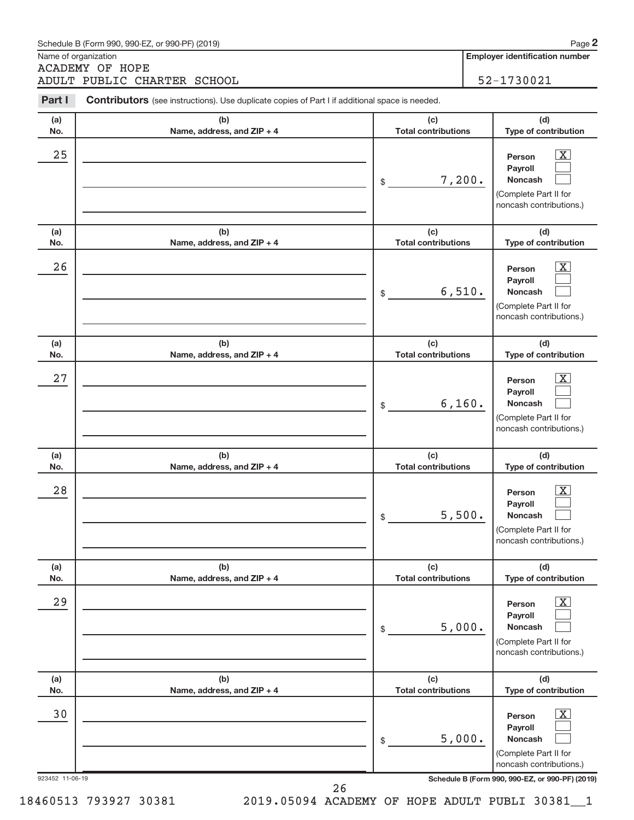|                 | Schedule B (Form 990, 990-EZ, or 990-PF) (2019)                                                |                                   | Page 2                                                                                                              |
|-----------------|------------------------------------------------------------------------------------------------|-----------------------------------|---------------------------------------------------------------------------------------------------------------------|
|                 | Name of organization<br><b>ACADEMY OF HOPE</b>                                                 |                                   | <b>Employer identification number</b>                                                                               |
|                 | ADULT PUBLIC CHARTER SCHOOL                                                                    |                                   | 52-1730021                                                                                                          |
| Part I          | Contributors (see instructions). Use duplicate copies of Part I if additional space is needed. |                                   |                                                                                                                     |
| (a)<br>No.      | (b)<br>Name, address, and ZIP + 4                                                              | (c)<br><b>Total contributions</b> | (d)<br>Type of contribution                                                                                         |
| 25              |                                                                                                | \$                                | $\overline{\text{X}}$<br>Person<br>Payroll<br>7,200.<br>Noncash<br>(Complete Part II for<br>noncash contributions.) |
| (a)<br>No.      | (b)<br>Name, address, and ZIP + 4                                                              | (c)<br><b>Total contributions</b> | (d)<br>Type of contribution                                                                                         |
| 26              |                                                                                                | \$                                | $\overline{\text{X}}$<br>Person<br>Payroll<br>6,510.<br>Noncash<br>(Complete Part II for<br>noncash contributions.) |
| (a)<br>No.      | (b)<br>Name, address, and ZIP + 4                                                              | (c)<br><b>Total contributions</b> | (d)<br>Type of contribution                                                                                         |
| 27              |                                                                                                | \$                                | X<br>Person<br>Payroll<br>6,160.<br>Noncash<br>(Complete Part II for<br>noncash contributions.)                     |
| (a)<br>No.      | (b)<br>Name, address, and ZIP + 4                                                              | (c)<br><b>Total contributions</b> | (d)<br>Type of contribution                                                                                         |
| 28              |                                                                                                | \$                                | $\overline{\text{X}}$<br>Person<br>Payroll<br>5,500.<br>Noncash<br>(Complete Part II for<br>noncash contributions.) |
| (a)<br>No.      | (b)<br>Name, address, and ZIP + 4                                                              | (c)<br><b>Total contributions</b> | (d)<br>Type of contribution                                                                                         |
| 29              |                                                                                                | \$                                | $\mathbf{X}$<br>Person<br>Payroll<br>5,000.<br>Noncash<br>(Complete Part II for<br>noncash contributions.)          |
| (a)<br>No.      | (b)<br>Name, address, and ZIP + 4                                                              | (c)<br><b>Total contributions</b> | (d)<br>Type of contribution                                                                                         |
| 30              |                                                                                                | \$                                | $\overline{\text{X}}$<br>Person<br>Payroll<br>5,000.<br>Noncash<br>(Complete Part II for<br>noncash contributions.) |
| 923452 11-06-19 | 26                                                                                             |                                   | Schedule B (Form 990, 990-EZ, or 990-PF) (2019)                                                                     |

26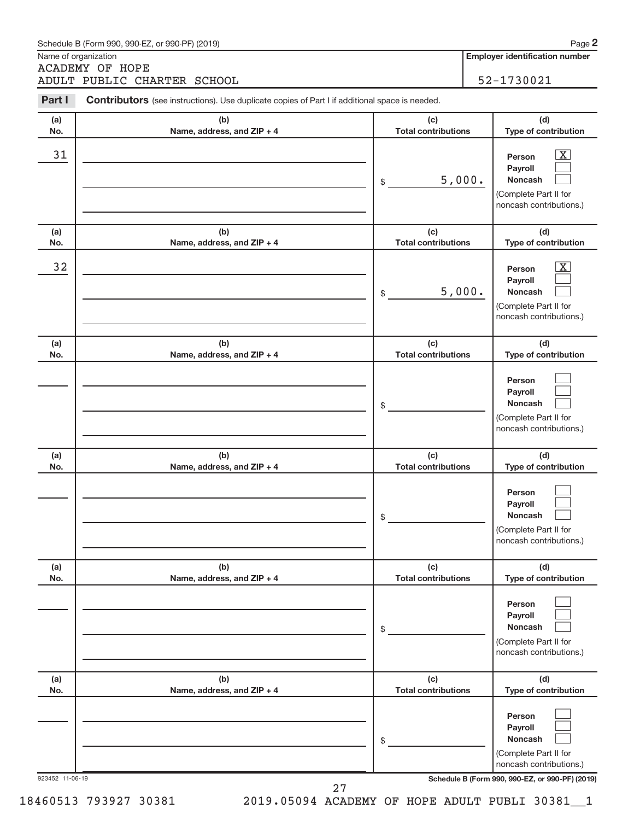|                 | Schedule B (Form 990, 990-EZ, or 990-PF) (2019)                                                       |                                   | Page 2                                                                                                     |
|-----------------|-------------------------------------------------------------------------------------------------------|-----------------------------------|------------------------------------------------------------------------------------------------------------|
|                 | Name of organization<br><b>ACADEMY OF HOPE</b>                                                        |                                   | <b>Employer identification number</b>                                                                      |
|                 | ADULT PUBLIC CHARTER SCHOOL                                                                           |                                   | 52-1730021                                                                                                 |
| Part I          | <b>Contributors</b> (see instructions). Use duplicate copies of Part I if additional space is needed. |                                   |                                                                                                            |
| (a)<br>No.      | (b)<br>Name, address, and ZIP + 4                                                                     | (c)<br><b>Total contributions</b> | (d)<br>Type of contribution                                                                                |
| 31              |                                                                                                       | \$                                | $\mathbf{X}$<br>Person<br>Payroll<br>5,000.<br>Noncash<br>(Complete Part II for<br>noncash contributions.) |
| (a)<br>No.      | (b)<br>Name, address, and ZIP + 4                                                                     | (c)<br><b>Total contributions</b> | (d)<br>Type of contribution                                                                                |
| 32              |                                                                                                       | \$                                | X<br>Person<br>Payroll<br>5,000.<br><b>Noncash</b><br>(Complete Part II for<br>noncash contributions.)     |
| (a)<br>No.      | (b)<br>Name, address, and ZIP + 4                                                                     | (c)<br><b>Total contributions</b> | (d)<br>Type of contribution                                                                                |
|                 |                                                                                                       | \$                                | Person<br>Payroll<br><b>Noncash</b><br>(Complete Part II for<br>noncash contributions.)                    |
| (a)<br>No.      | (b)<br>Name, address, and ZIP + 4                                                                     | (c)<br><b>Total contributions</b> | (d)<br>Type of contribution                                                                                |
|                 |                                                                                                       | \$                                | Person<br>Payroll<br><b>Noncash</b><br>(Complete Part II for<br>noncash contributions.)                    |
| (a)<br>No.      | (b)<br>Name, address, and ZIP + 4                                                                     | (c)<br><b>Total contributions</b> | (d)<br>Type of contribution                                                                                |
|                 |                                                                                                       | \$                                | Person<br>Payroll<br><b>Noncash</b><br>(Complete Part II for<br>noncash contributions.)                    |
| (a)<br>No.      | (b)<br>Name, address, and ZIP + 4                                                                     | (c)<br><b>Total contributions</b> | (d)<br>Type of contribution                                                                                |
|                 |                                                                                                       | \$                                | Person<br>Payroll<br><b>Noncash</b><br>(Complete Part II for<br>noncash contributions.)                    |
| 923452 11-06-19 | 27                                                                                                    |                                   | Schedule B (Form 990, 990-EZ, or 990-PF) (2019)                                                            |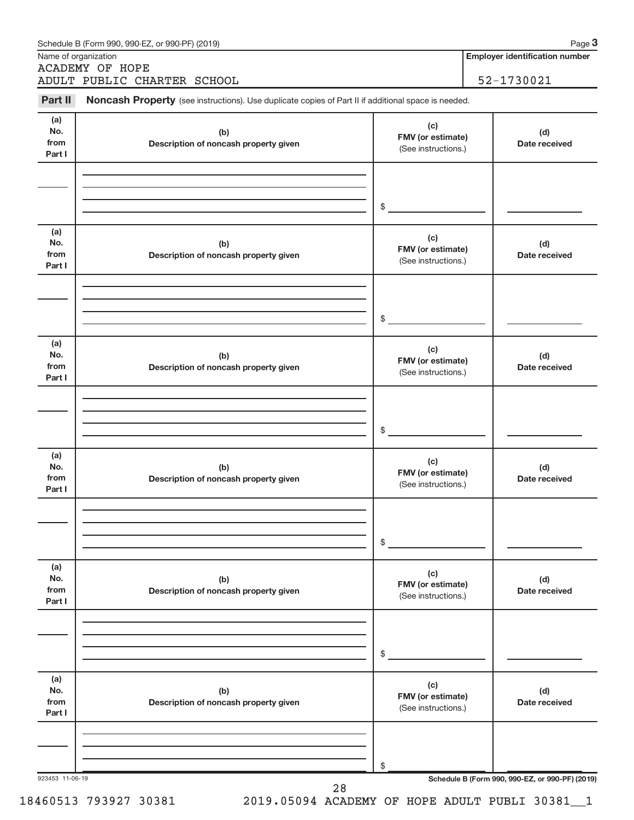|                              | Schedule B (Form 990, 990-EZ, or 990-PF) (2019)<br>Name of organization                             |                                                                  | Page 3<br><b>Employer identification number</b> |
|------------------------------|-----------------------------------------------------------------------------------------------------|------------------------------------------------------------------|-------------------------------------------------|
|                              | <b>ACADEMY OF HOPE</b>                                                                              |                                                                  |                                                 |
|                              | ADULT PUBLIC CHARTER SCHOOL                                                                         |                                                                  | 52-1730021                                      |
| Part II                      | Noncash Property (see instructions). Use duplicate copies of Part II if additional space is needed. |                                                                  |                                                 |
| (a)<br>No.<br>from<br>Part I | (b)<br>Description of noncash property given                                                        | (d)<br>FMV (or estimate)<br>Date received<br>(See instructions.) |                                                 |
|                              |                                                                                                     |                                                                  |                                                 |
|                              |                                                                                                     | $\frac{1}{2}$                                                    |                                                 |
| (a)<br>No.<br>from<br>Part I | (b)<br>Description of noncash property given                                                        | (c)<br>FMV (or estimate)<br>(See instructions.)                  | (d)<br>Date received                            |
|                              |                                                                                                     |                                                                  |                                                 |
|                              |                                                                                                     | $\frac{1}{2}$                                                    |                                                 |
| (a)<br>No.<br>from<br>Part I | (b)<br>Description of noncash property given                                                        | (c)<br>FMV (or estimate)<br>(See instructions.)                  | (d)<br>Date received                            |
|                              |                                                                                                     |                                                                  |                                                 |
|                              |                                                                                                     | $\frac{1}{2}$                                                    |                                                 |
| (a)<br>No.<br>from<br>Part I | (b)<br>Description of noncash property given                                                        | (c)<br>FMV (or estimate)<br>(See instructions.)                  | (d)<br>Date received                            |
|                              |                                                                                                     |                                                                  |                                                 |
|                              |                                                                                                     | \$                                                               |                                                 |
| (a)<br>No.<br>from<br>Part I | (b)<br>Description of noncash property given                                                        | (c)<br>FMV (or estimate)<br>(See instructions.)                  | (d)<br>Date received                            |
|                              |                                                                                                     |                                                                  |                                                 |
|                              |                                                                                                     | \$                                                               |                                                 |
| (a)<br>No.<br>from<br>Part I | (b)<br>Description of noncash property given                                                        | (c)<br>FMV (or estimate)<br>(See instructions.)                  | (d)<br>Date received                            |
|                              |                                                                                                     |                                                                  |                                                 |
|                              |                                                                                                     | \$                                                               |                                                 |
| 923453 11-06-19              | 28                                                                                                  |                                                                  | Schedule B (Form 990, 990-EZ, or 990-PF) (2019) |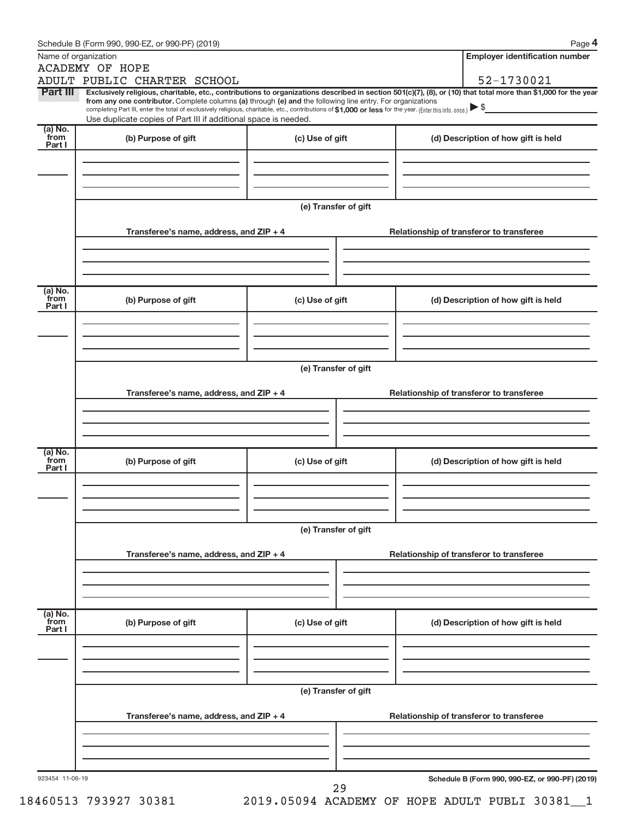|                           | Name of organization<br><b>ACADEMY OF HOPE</b>                                                                                                                                                                                                                         |                      | <b>Employer identification number</b>                                                                                                                          |
|---------------------------|------------------------------------------------------------------------------------------------------------------------------------------------------------------------------------------------------------------------------------------------------------------------|----------------------|----------------------------------------------------------------------------------------------------------------------------------------------------------------|
|                           | ADULT PUBLIC CHARTER SCHOOL                                                                                                                                                                                                                                            |                      | 52-1730021                                                                                                                                                     |
| Part III                  |                                                                                                                                                                                                                                                                        |                      | Exclusively religious, charitable, etc., contributions to organizations described in section 501(c)(7), (8), or (10) that total more than \$1,000 for the year |
|                           | from any one contributor. Complete columns (a) through (e) and the following line entry. For organizations<br>completing Part III, enter the total of exclusively religious, charitable, etc., contributions of \$1,000 or less for the year. (Enter this info. once.) |                      |                                                                                                                                                                |
|                           | Use duplicate copies of Part III if additional space is needed.                                                                                                                                                                                                        |                      |                                                                                                                                                                |
| (a) No.<br>from           | (b) Purpose of gift                                                                                                                                                                                                                                                    | (c) Use of gift      | (d) Description of how gift is held                                                                                                                            |
| Part I                    |                                                                                                                                                                                                                                                                        |                      |                                                                                                                                                                |
|                           |                                                                                                                                                                                                                                                                        |                      |                                                                                                                                                                |
|                           |                                                                                                                                                                                                                                                                        |                      |                                                                                                                                                                |
|                           |                                                                                                                                                                                                                                                                        |                      |                                                                                                                                                                |
|                           |                                                                                                                                                                                                                                                                        | (e) Transfer of gift |                                                                                                                                                                |
|                           |                                                                                                                                                                                                                                                                        |                      |                                                                                                                                                                |
|                           | Transferee's name, address, and ZIP + 4                                                                                                                                                                                                                                |                      | Relationship of transferor to transferee                                                                                                                       |
|                           |                                                                                                                                                                                                                                                                        |                      |                                                                                                                                                                |
|                           |                                                                                                                                                                                                                                                                        |                      |                                                                                                                                                                |
|                           |                                                                                                                                                                                                                                                                        |                      |                                                                                                                                                                |
| (a) No.<br>from           | (b) Purpose of gift                                                                                                                                                                                                                                                    | (c) Use of gift      | (d) Description of how gift is held                                                                                                                            |
| Part I                    |                                                                                                                                                                                                                                                                        |                      |                                                                                                                                                                |
|                           |                                                                                                                                                                                                                                                                        |                      |                                                                                                                                                                |
|                           |                                                                                                                                                                                                                                                                        |                      |                                                                                                                                                                |
|                           |                                                                                                                                                                                                                                                                        |                      |                                                                                                                                                                |
|                           |                                                                                                                                                                                                                                                                        | (e) Transfer of gift |                                                                                                                                                                |
|                           |                                                                                                                                                                                                                                                                        |                      |                                                                                                                                                                |
|                           | Transferee's name, address, and ZIP + 4                                                                                                                                                                                                                                |                      | Relationship of transferor to transferee                                                                                                                       |
|                           |                                                                                                                                                                                                                                                                        |                      |                                                                                                                                                                |
|                           |                                                                                                                                                                                                                                                                        |                      |                                                                                                                                                                |
|                           |                                                                                                                                                                                                                                                                        |                      |                                                                                                                                                                |
| (a) No.<br>from<br>Part I | (b) Purpose of gift                                                                                                                                                                                                                                                    | (c) Use of gift      | (d) Description of how gift is held                                                                                                                            |
|                           |                                                                                                                                                                                                                                                                        |                      |                                                                                                                                                                |
|                           |                                                                                                                                                                                                                                                                        |                      |                                                                                                                                                                |
|                           |                                                                                                                                                                                                                                                                        |                      |                                                                                                                                                                |
|                           |                                                                                                                                                                                                                                                                        |                      |                                                                                                                                                                |
|                           |                                                                                                                                                                                                                                                                        | (e) Transfer of gift |                                                                                                                                                                |
|                           | Transferee's name, address, and ZIP + 4                                                                                                                                                                                                                                |                      | Relationship of transferor to transferee                                                                                                                       |
|                           |                                                                                                                                                                                                                                                                        |                      |                                                                                                                                                                |
|                           |                                                                                                                                                                                                                                                                        |                      |                                                                                                                                                                |
|                           |                                                                                                                                                                                                                                                                        |                      |                                                                                                                                                                |
| (a) No.<br>from           |                                                                                                                                                                                                                                                                        |                      |                                                                                                                                                                |
| Part I                    | (b) Purpose of gift                                                                                                                                                                                                                                                    | (c) Use of gift      | (d) Description of how gift is held                                                                                                                            |
|                           |                                                                                                                                                                                                                                                                        |                      |                                                                                                                                                                |
|                           |                                                                                                                                                                                                                                                                        |                      |                                                                                                                                                                |
|                           |                                                                                                                                                                                                                                                                        |                      |                                                                                                                                                                |
|                           |                                                                                                                                                                                                                                                                        | (e) Transfer of gift |                                                                                                                                                                |
|                           |                                                                                                                                                                                                                                                                        |                      |                                                                                                                                                                |
|                           | Transferee's name, address, and ZIP + 4                                                                                                                                                                                                                                |                      | Relationship of transferor to transferee                                                                                                                       |
|                           |                                                                                                                                                                                                                                                                        |                      |                                                                                                                                                                |
|                           |                                                                                                                                                                                                                                                                        |                      |                                                                                                                                                                |
|                           |                                                                                                                                                                                                                                                                        |                      |                                                                                                                                                                |
|                           |                                                                                                                                                                                                                                                                        |                      |                                                                                                                                                                |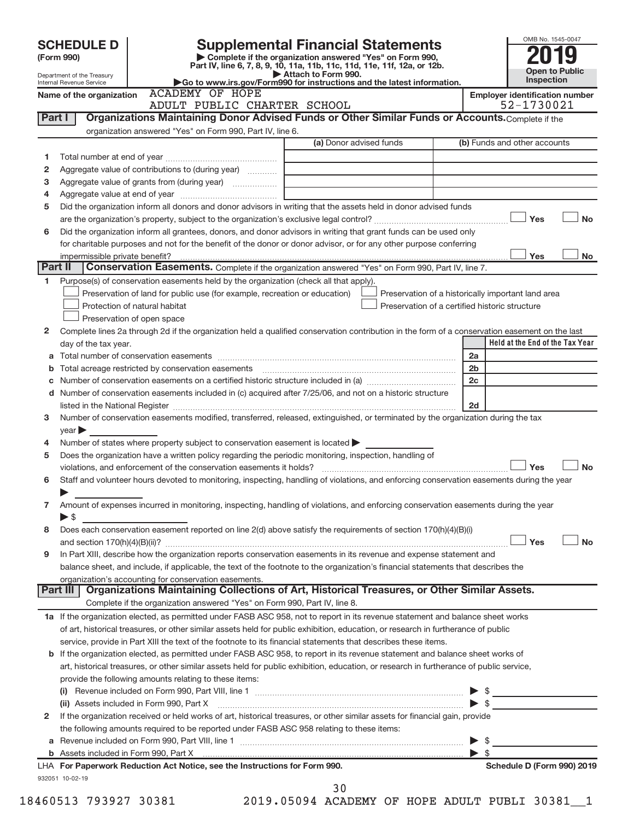|         | <b>SCHEDULE D</b>                                                                                                                |                                                                                                        | <b>Supplemental Financial Statements</b>                                                                                                                                                                                                            | OMB No. 1545-0047                                  |  |  |  |  |  |
|---------|----------------------------------------------------------------------------------------------------------------------------------|--------------------------------------------------------------------------------------------------------|-----------------------------------------------------------------------------------------------------------------------------------------------------------------------------------------------------------------------------------------------------|----------------------------------------------------|--|--|--|--|--|
|         | (Form 990)                                                                                                                       |                                                                                                        | Complete if the organization answered "Yes" on Form 990,<br>Part IV, line 6, 7, 8, 9, 10, 11a, 11b, 11c, 11d, 11e, 11f, 12a, or 12b.                                                                                                                |                                                    |  |  |  |  |  |
|         | Department of the Treasury                                                                                                       |                                                                                                        | Attach to Form 990.<br>Go to www.irs.gov/Form990 for instructions and the latest information.                                                                                                                                                       | <b>Open to Public</b><br>Inspection                |  |  |  |  |  |
|         | Internal Revenue Service<br>Name of the organization                                                                             | <b>ACADEMY OF HOPE</b>                                                                                 |                                                                                                                                                                                                                                                     | <b>Employer identification number</b>              |  |  |  |  |  |
|         |                                                                                                                                  | ADULT PUBLIC CHARTER SCHOOL                                                                            |                                                                                                                                                                                                                                                     | 52-1730021                                         |  |  |  |  |  |
| Part I  |                                                                                                                                  |                                                                                                        | Organizations Maintaining Donor Advised Funds or Other Similar Funds or Accounts. Complete if the                                                                                                                                                   |                                                    |  |  |  |  |  |
|         |                                                                                                                                  | organization answered "Yes" on Form 990, Part IV, line 6.                                              |                                                                                                                                                                                                                                                     |                                                    |  |  |  |  |  |
|         |                                                                                                                                  |                                                                                                        | (a) Donor advised funds                                                                                                                                                                                                                             | (b) Funds and other accounts                       |  |  |  |  |  |
| 1       |                                                                                                                                  |                                                                                                        |                                                                                                                                                                                                                                                     |                                                    |  |  |  |  |  |
| 2       |                                                                                                                                  | Aggregate value of contributions to (during year)                                                      |                                                                                                                                                                                                                                                     |                                                    |  |  |  |  |  |
| з       |                                                                                                                                  | Aggregate value of grants from (during year)                                                           | the control of the control of the control of the control of the control of                                                                                                                                                                          |                                                    |  |  |  |  |  |
| 4       |                                                                                                                                  |                                                                                                        |                                                                                                                                                                                                                                                     |                                                    |  |  |  |  |  |
| 5       |                                                                                                                                  |                                                                                                        | Did the organization inform all donors and donor advisors in writing that the assets held in donor advised funds                                                                                                                                    |                                                    |  |  |  |  |  |
|         |                                                                                                                                  |                                                                                                        |                                                                                                                                                                                                                                                     | Yes<br><b>No</b>                                   |  |  |  |  |  |
| 6       |                                                                                                                                  |                                                                                                        | Did the organization inform all grantees, donors, and donor advisors in writing that grant funds can be used only                                                                                                                                   |                                                    |  |  |  |  |  |
|         |                                                                                                                                  |                                                                                                        | for charitable purposes and not for the benefit of the donor or donor advisor, or for any other purpose conferring                                                                                                                                  |                                                    |  |  |  |  |  |
|         | impermissible private benefit?                                                                                                   |                                                                                                        |                                                                                                                                                                                                                                                     | Yes<br>No                                          |  |  |  |  |  |
| Part II |                                                                                                                                  |                                                                                                        | Conservation Easements. Complete if the organization answered "Yes" on Form 990, Part IV, line 7.                                                                                                                                                   |                                                    |  |  |  |  |  |
| 1.      |                                                                                                                                  | Purpose(s) of conservation easements held by the organization (check all that apply).                  |                                                                                                                                                                                                                                                     |                                                    |  |  |  |  |  |
|         |                                                                                                                                  | Preservation of land for public use (for example, recreation or education)                             |                                                                                                                                                                                                                                                     | Preservation of a historically important land area |  |  |  |  |  |
|         |                                                                                                                                  | Protection of natural habitat                                                                          |                                                                                                                                                                                                                                                     | Preservation of a certified historic structure     |  |  |  |  |  |
|         |                                                                                                                                  | Preservation of open space                                                                             |                                                                                                                                                                                                                                                     |                                                    |  |  |  |  |  |
| 2       |                                                                                                                                  |                                                                                                        | Complete lines 2a through 2d if the organization held a qualified conservation contribution in the form of a conservation easement on the last                                                                                                      | Held at the End of the Tax Year                    |  |  |  |  |  |
|         | day of the tax year.                                                                                                             |                                                                                                        |                                                                                                                                                                                                                                                     | 2a                                                 |  |  |  |  |  |
|         |                                                                                                                                  |                                                                                                        |                                                                                                                                                                                                                                                     | 2 <sub>b</sub>                                     |  |  |  |  |  |
| b<br>с  |                                                                                                                                  |                                                                                                        |                                                                                                                                                                                                                                                     | 2c                                                 |  |  |  |  |  |
| d       |                                                                                                                                  |                                                                                                        | Number of conservation easements included in (c) acquired after 7/25/06, and not on a historic structure                                                                                                                                            |                                                    |  |  |  |  |  |
|         |                                                                                                                                  |                                                                                                        |                                                                                                                                                                                                                                                     | 2d                                                 |  |  |  |  |  |
| 3       | Number of conservation easements modified, transferred, released, extinguished, or terminated by the organization during the tax |                                                                                                        |                                                                                                                                                                                                                                                     |                                                    |  |  |  |  |  |
|         | $year \triangleright$                                                                                                            |                                                                                                        |                                                                                                                                                                                                                                                     |                                                    |  |  |  |  |  |
| 4       |                                                                                                                                  | Number of states where property subject to conservation easement is located $\blacktriangleright$      |                                                                                                                                                                                                                                                     |                                                    |  |  |  |  |  |
| 5       |                                                                                                                                  | Does the organization have a written policy regarding the periodic monitoring, inspection, handling of |                                                                                                                                                                                                                                                     |                                                    |  |  |  |  |  |
|         |                                                                                                                                  |                                                                                                        |                                                                                                                                                                                                                                                     | Yes<br><b>No</b>                                   |  |  |  |  |  |
| 6       |                                                                                                                                  |                                                                                                        | Staff and volunteer hours devoted to monitoring, inspecting, handling of violations, and enforcing conservation easements during the year                                                                                                           |                                                    |  |  |  |  |  |
|         |                                                                                                                                  |                                                                                                        |                                                                                                                                                                                                                                                     |                                                    |  |  |  |  |  |
| 7       |                                                                                                                                  |                                                                                                        | Amount of expenses incurred in monitoring, inspecting, handling of violations, and enforcing conservation easements during the year                                                                                                                 |                                                    |  |  |  |  |  |
|         | $\blacktriangleright$ \$                                                                                                         |                                                                                                        |                                                                                                                                                                                                                                                     |                                                    |  |  |  |  |  |
| 8       |                                                                                                                                  |                                                                                                        | Does each conservation easement reported on line 2(d) above satisfy the requirements of section 170(h)(4)(B)(i)                                                                                                                                     |                                                    |  |  |  |  |  |
|         |                                                                                                                                  |                                                                                                        |                                                                                                                                                                                                                                                     | Yes<br><b>No</b>                                   |  |  |  |  |  |
| 9       |                                                                                                                                  |                                                                                                        | In Part XIII, describe how the organization reports conservation easements in its revenue and expense statement and                                                                                                                                 |                                                    |  |  |  |  |  |
|         |                                                                                                                                  |                                                                                                        | balance sheet, and include, if applicable, the text of the footnote to the organization's financial statements that describes the                                                                                                                   |                                                    |  |  |  |  |  |
|         |                                                                                                                                  | organization's accounting for conservation easements.                                                  |                                                                                                                                                                                                                                                     |                                                    |  |  |  |  |  |
|         | Part III                                                                                                                         |                                                                                                        | Organizations Maintaining Collections of Art, Historical Treasures, or Other Similar Assets.                                                                                                                                                        |                                                    |  |  |  |  |  |
|         |                                                                                                                                  | Complete if the organization answered "Yes" on Form 990, Part IV, line 8.                              |                                                                                                                                                                                                                                                     |                                                    |  |  |  |  |  |
|         |                                                                                                                                  |                                                                                                        | 1a If the organization elected, as permitted under FASB ASC 958, not to report in its revenue statement and balance sheet works                                                                                                                     |                                                    |  |  |  |  |  |
|         |                                                                                                                                  |                                                                                                        | of art, historical treasures, or other similar assets held for public exhibition, education, or research in furtherance of public<br>service, provide in Part XIII the text of the footnote to its financial statements that describes these items. |                                                    |  |  |  |  |  |
|         |                                                                                                                                  |                                                                                                        | b If the organization elected, as permitted under FASB ASC 958, to report in its revenue statement and balance sheet works of                                                                                                                       |                                                    |  |  |  |  |  |
|         |                                                                                                                                  |                                                                                                        | art, historical treasures, or other similar assets held for public exhibition, education, or research in furtherance of public service,                                                                                                             |                                                    |  |  |  |  |  |
|         |                                                                                                                                  | provide the following amounts relating to these items:                                                 |                                                                                                                                                                                                                                                     |                                                    |  |  |  |  |  |
|         |                                                                                                                                  |                                                                                                        |                                                                                                                                                                                                                                                     |                                                    |  |  |  |  |  |
|         |                                                                                                                                  | (ii) Assets included in Form 990, Part X                                                               |                                                                                                                                                                                                                                                     | $\blacktriangleright$ s                            |  |  |  |  |  |
| 2       |                                                                                                                                  |                                                                                                        | If the organization received or held works of art, historical treasures, or other similar assets for financial gain, provide                                                                                                                        |                                                    |  |  |  |  |  |
|         |                                                                                                                                  | the following amounts required to be reported under FASB ASC 958 relating to these items:              |                                                                                                                                                                                                                                                     |                                                    |  |  |  |  |  |
|         |                                                                                                                                  |                                                                                                        |                                                                                                                                                                                                                                                     | $\blacktriangleright$ s                            |  |  |  |  |  |
|         |                                                                                                                                  |                                                                                                        |                                                                                                                                                                                                                                                     | $\triangleright$ s                                 |  |  |  |  |  |
|         |                                                                                                                                  | LHA For Paperwork Reduction Act Notice, see the Instructions for Form 990.                             |                                                                                                                                                                                                                                                     | Schedule D (Form 990) 2019                         |  |  |  |  |  |
|         | 932051 10-02-19                                                                                                                  |                                                                                                        |                                                                                                                                                                                                                                                     |                                                    |  |  |  |  |  |
|         |                                                                                                                                  | $\overline{z}$                                                                                         | 30<br>$10101111707$ $\overline{1000}$ $\overline{101110}$ $\overline{1011110}$ $\overline{101017}$ $\overline{100001}$                                                                                                                              |                                                    |  |  |  |  |  |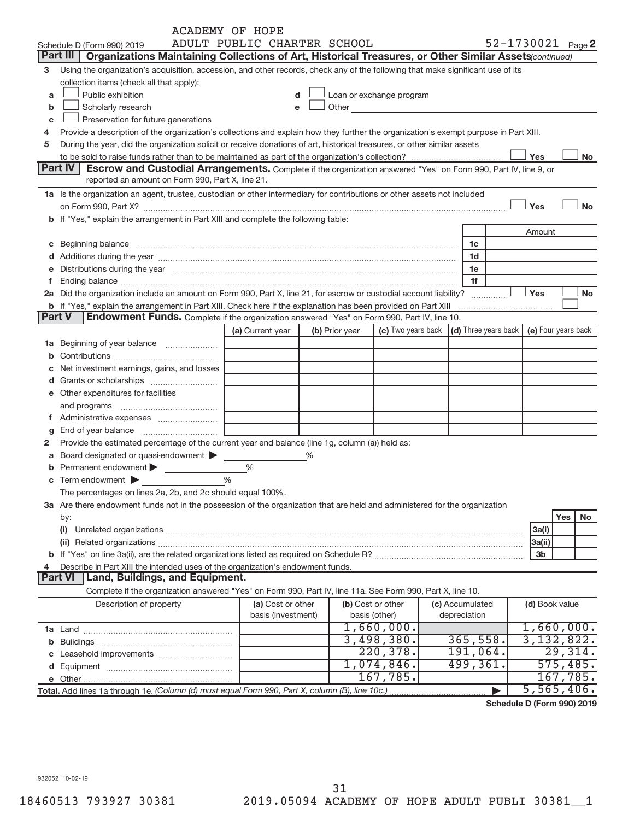|             |                                                                                                                                                                                                                               | <b>ACADEMY OF HOPE</b>      |   |                |                                                                                                                                                                                                                               |  |                                                                             |     |                |                   |
|-------------|-------------------------------------------------------------------------------------------------------------------------------------------------------------------------------------------------------------------------------|-----------------------------|---|----------------|-------------------------------------------------------------------------------------------------------------------------------------------------------------------------------------------------------------------------------|--|-----------------------------------------------------------------------------|-----|----------------|-------------------|
|             | Schedule D (Form 990) 2019                                                                                                                                                                                                    | ADULT PUBLIC CHARTER SCHOOL |   |                |                                                                                                                                                                                                                               |  |                                                                             |     |                | 52-1730021 Page 2 |
|             | <b>Part III</b><br>Organizations Maintaining Collections of Art, Historical Treasures, or Other Similar Assets (continued)                                                                                                    |                             |   |                |                                                                                                                                                                                                                               |  |                                                                             |     |                |                   |
| 3           | Using the organization's acquisition, accession, and other records, check any of the following that make significant use of its                                                                                               |                             |   |                |                                                                                                                                                                                                                               |  |                                                                             |     |                |                   |
|             | collection items (check all that apply):                                                                                                                                                                                      |                             |   |                |                                                                                                                                                                                                                               |  |                                                                             |     |                |                   |
| a           | Public exhibition                                                                                                                                                                                                             | d                           |   |                | Loan or exchange program                                                                                                                                                                                                      |  |                                                                             |     |                |                   |
| b           | Scholarly research                                                                                                                                                                                                            | e                           |   |                | Other and the contract of the contract of the contract of the contract of the contract of the contract of the contract of the contract of the contract of the contract of the contract of the contract of the contract of the |  |                                                                             |     |                |                   |
| c           | Preservation for future generations                                                                                                                                                                                           |                             |   |                |                                                                                                                                                                                                                               |  |                                                                             |     |                |                   |
| 4           | Provide a description of the organization's collections and explain how they further the organization's exempt purpose in Part XIII.                                                                                          |                             |   |                |                                                                                                                                                                                                                               |  |                                                                             |     |                |                   |
| 5           | During the year, did the organization solicit or receive donations of art, historical treasures, or other similar assets                                                                                                      |                             |   |                |                                                                                                                                                                                                                               |  |                                                                             |     |                |                   |
|             | Yes<br>No                                                                                                                                                                                                                     |                             |   |                |                                                                                                                                                                                                                               |  |                                                                             |     |                |                   |
|             | Part IV<br><b>Escrow and Custodial Arrangements.</b> Complete if the organization answered "Yes" on Form 990, Part IV, line 9, or                                                                                             |                             |   |                |                                                                                                                                                                                                                               |  |                                                                             |     |                |                   |
|             | reported an amount on Form 990, Part X, line 21.                                                                                                                                                                              |                             |   |                |                                                                                                                                                                                                                               |  |                                                                             |     |                |                   |
|             | 1a Is the organization an agent, trustee, custodian or other intermediary for contributions or other assets not included                                                                                                      |                             |   |                |                                                                                                                                                                                                                               |  |                                                                             |     |                |                   |
|             |                                                                                                                                                                                                                               |                             |   |                |                                                                                                                                                                                                                               |  |                                                                             | Yes |                | <b>No</b>         |
|             | b If "Yes," explain the arrangement in Part XIII and complete the following table:                                                                                                                                            |                             |   |                |                                                                                                                                                                                                                               |  |                                                                             |     |                |                   |
|             |                                                                                                                                                                                                                               |                             |   |                |                                                                                                                                                                                                                               |  |                                                                             |     | Amount         |                   |
|             |                                                                                                                                                                                                                               |                             |   |                |                                                                                                                                                                                                                               |  | 1c                                                                          |     |                |                   |
|             |                                                                                                                                                                                                                               |                             |   |                |                                                                                                                                                                                                                               |  | 1d                                                                          |     |                |                   |
|             |                                                                                                                                                                                                                               |                             |   |                |                                                                                                                                                                                                                               |  | 1e                                                                          |     |                |                   |
|             | e Distributions during the year manufactured and an account of the year manufactured and account of the year manufactured and account of the USA of the USA of the USA of the USA of the USA of the USA of the USA of the USA |                             |   |                |                                                                                                                                                                                                                               |  | 1f                                                                          |     |                |                   |
| f           |                                                                                                                                                                                                                               |                             |   |                |                                                                                                                                                                                                                               |  |                                                                             | Yes |                | No                |
|             | 2a Did the organization include an amount on Form 990, Part X, line 21, for escrow or custodial account liability?                                                                                                            |                             |   |                |                                                                                                                                                                                                                               |  |                                                                             |     |                |                   |
| Part V      | Endowment Funds. Complete if the organization answered "Yes" on Form 990, Part IV, line 10.                                                                                                                                   |                             |   |                |                                                                                                                                                                                                                               |  |                                                                             |     |                |                   |
|             |                                                                                                                                                                                                                               |                             |   |                |                                                                                                                                                                                                                               |  | (c) Two years back $\vert$ (d) Three years back $\vert$ (e) Four years back |     |                |                   |
|             |                                                                                                                                                                                                                               | (a) Current year            |   | (b) Prior year |                                                                                                                                                                                                                               |  |                                                                             |     |                |                   |
|             | 1a Beginning of year balance                                                                                                                                                                                                  |                             |   |                |                                                                                                                                                                                                                               |  |                                                                             |     |                |                   |
| $\mathbf b$ |                                                                                                                                                                                                                               |                             |   |                |                                                                                                                                                                                                                               |  |                                                                             |     |                |                   |
|             | Net investment earnings, gains, and losses                                                                                                                                                                                    |                             |   |                |                                                                                                                                                                                                                               |  |                                                                             |     |                |                   |
|             |                                                                                                                                                                                                                               |                             |   |                |                                                                                                                                                                                                                               |  |                                                                             |     |                |                   |
|             | e Other expenditures for facilities                                                                                                                                                                                           |                             |   |                |                                                                                                                                                                                                                               |  |                                                                             |     |                |                   |
|             | and programs                                                                                                                                                                                                                  |                             |   |                |                                                                                                                                                                                                                               |  |                                                                             |     |                |                   |
| f.          |                                                                                                                                                                                                                               |                             |   |                |                                                                                                                                                                                                                               |  |                                                                             |     |                |                   |
| g           | End of year balance                                                                                                                                                                                                           |                             |   |                |                                                                                                                                                                                                                               |  |                                                                             |     |                |                   |
| 2           | Provide the estimated percentage of the current year end balance (line 1g, column (a)) held as:                                                                                                                               |                             |   |                |                                                                                                                                                                                                                               |  |                                                                             |     |                |                   |
|             | a Board designated or quasi-endowment                                                                                                                                                                                         |                             | ℅ |                |                                                                                                                                                                                                                               |  |                                                                             |     |                |                   |
| b           | Permanent endowment                                                                                                                                                                                                           | %                           |   |                |                                                                                                                                                                                                                               |  |                                                                             |     |                |                   |
|             | Term endowment                                                                                                                                                                                                                | %                           |   |                |                                                                                                                                                                                                                               |  |                                                                             |     |                |                   |
|             | The percentages on lines 2a, 2b, and 2c should equal 100%.                                                                                                                                                                    |                             |   |                |                                                                                                                                                                                                                               |  |                                                                             |     |                |                   |
|             | 3a Are there endowment funds not in the possession of the organization that are held and administered for the organization                                                                                                    |                             |   |                |                                                                                                                                                                                                                               |  |                                                                             |     |                |                   |
|             | by:                                                                                                                                                                                                                           |                             |   |                |                                                                                                                                                                                                                               |  |                                                                             |     |                | Yes<br>No         |
|             | (i)                                                                                                                                                                                                                           |                             |   |                |                                                                                                                                                                                                                               |  |                                                                             |     | 3a(i)          |                   |
|             |                                                                                                                                                                                                                               |                             |   |                |                                                                                                                                                                                                                               |  |                                                                             |     | 3a(ii)         |                   |
|             |                                                                                                                                                                                                                               |                             |   |                |                                                                                                                                                                                                                               |  |                                                                             |     | 3 <sub>b</sub> |                   |
| 4           | Describe in Part XIII the intended uses of the organization's endowment funds.                                                                                                                                                |                             |   |                |                                                                                                                                                                                                                               |  |                                                                             |     |                |                   |
|             | <b>Part VI</b><br>Land, Buildings, and Equipment.                                                                                                                                                                             |                             |   |                |                                                                                                                                                                                                                               |  |                                                                             |     |                |                   |
|             | Complete if the organization answered "Yes" on Form 990, Part IV, line 11a. See Form 990, Part X, line 10.                                                                                                                    |                             |   |                |                                                                                                                                                                                                                               |  |                                                                             |     |                |                   |
|             | Description of property                                                                                                                                                                                                       | (a) Cost or other           |   |                | (b) Cost or other                                                                                                                                                                                                             |  | (c) Accumulated                                                             |     | (d) Book value |                   |
|             |                                                                                                                                                                                                                               | basis (investment)          |   |                | basis (other)                                                                                                                                                                                                                 |  | depreciation                                                                |     |                |                   |
|             |                                                                                                                                                                                                                               |                             |   |                | 1,660,000.                                                                                                                                                                                                                    |  |                                                                             |     |                | 1,660,000.        |
|             |                                                                                                                                                                                                                               |                             |   |                | 3,498,380.                                                                                                                                                                                                                    |  | 365,558.                                                                    |     |                | 3,132,822.        |
|             |                                                                                                                                                                                                                               |                             |   |                | 220, 378.                                                                                                                                                                                                                     |  | 191,064.                                                                    |     |                | 29,314.           |
|             |                                                                                                                                                                                                                               |                             |   |                | 1,074,846.                                                                                                                                                                                                                    |  | 499,361.                                                                    |     |                | 575,485.          |
|             |                                                                                                                                                                                                                               |                             |   |                | 167,785.                                                                                                                                                                                                                      |  |                                                                             |     |                | 167,785.          |
|             |                                                                                                                                                                                                                               |                             |   |                |                                                                                                                                                                                                                               |  | $\blacktriangleright$                                                       |     |                | 5,565,406.        |
|             |                                                                                                                                                                                                                               |                             |   |                |                                                                                                                                                                                                                               |  |                                                                             |     |                |                   |

**Schedule D (Form 990) 2019**

932052 10-02-19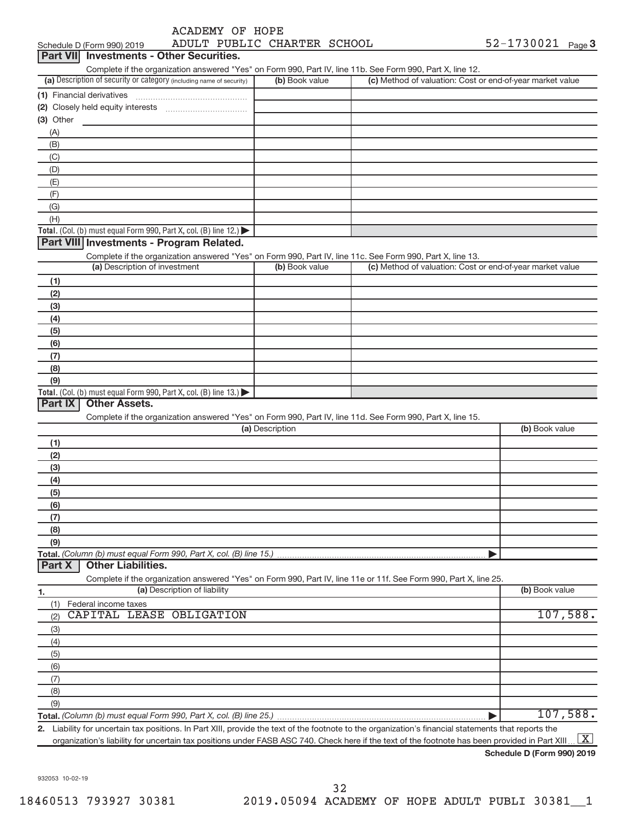| ACADEMY OF HOPE |
|-----------------|
|-----------------|

Schedule D (Form 990) 2019 Page ADULT PUBLIC CHARTER SCHOOL 52-1730021

| Part VII Investments - Other Securities.                                                                          |                 |                                                           |                |
|-------------------------------------------------------------------------------------------------------------------|-----------------|-----------------------------------------------------------|----------------|
| Complete if the organization answered "Yes" on Form 990, Part IV, line 11b. See Form 990, Part X, line 12.        |                 |                                                           |                |
| (a) Description of security or category (including name of security)                                              | (b) Book value  | (c) Method of valuation: Cost or end-of-year market value |                |
|                                                                                                                   |                 |                                                           |                |
|                                                                                                                   |                 |                                                           |                |
| (3) Other                                                                                                         |                 |                                                           |                |
| (A)                                                                                                               |                 |                                                           |                |
| (B)                                                                                                               |                 |                                                           |                |
| (C)                                                                                                               |                 |                                                           |                |
| (D)                                                                                                               |                 |                                                           |                |
| (E)                                                                                                               |                 |                                                           |                |
| (F)                                                                                                               |                 |                                                           |                |
| (G)<br>(H)                                                                                                        |                 |                                                           |                |
| Total. (Col. (b) must equal Form 990, Part X, col. (B) line 12.)                                                  |                 |                                                           |                |
| Part VIII Investments - Program Related.                                                                          |                 |                                                           |                |
| Complete if the organization answered "Yes" on Form 990, Part IV, line 11c. See Form 990, Part X, line 13.        |                 |                                                           |                |
| (a) Description of investment                                                                                     | (b) Book value  | (c) Method of valuation: Cost or end-of-year market value |                |
| (1)                                                                                                               |                 |                                                           |                |
| (2)                                                                                                               |                 |                                                           |                |
| (3)                                                                                                               |                 |                                                           |                |
| (4)                                                                                                               |                 |                                                           |                |
| (5)                                                                                                               |                 |                                                           |                |
| (6)                                                                                                               |                 |                                                           |                |
| (7)                                                                                                               |                 |                                                           |                |
| (8)                                                                                                               |                 |                                                           |                |
| (9)                                                                                                               |                 |                                                           |                |
| Total. (Col. (b) must equal Form 990, Part X, col. (B) line $13.$ )                                               |                 |                                                           |                |
| Part IX<br><b>Other Assets.</b>                                                                                   |                 |                                                           |                |
| Complete if the organization answered "Yes" on Form 990, Part IV, line 11d. See Form 990, Part X, line 15.        |                 |                                                           |                |
|                                                                                                                   | (a) Description |                                                           | (b) Book value |
| (1)                                                                                                               |                 |                                                           |                |
| (2)                                                                                                               |                 |                                                           |                |
| (3)                                                                                                               |                 |                                                           |                |
| (4)                                                                                                               |                 |                                                           |                |
| (5)                                                                                                               |                 |                                                           |                |
| (6)                                                                                                               |                 |                                                           |                |
| (7)                                                                                                               |                 |                                                           |                |
| (8)                                                                                                               |                 |                                                           |                |
| (9)                                                                                                               |                 |                                                           |                |
| Total. (Column (b) must equal Form 990, Part X, col. (B) line 15.)                                                |                 |                                                           |                |
| <b>Other Liabilities.</b><br>Part X                                                                               |                 |                                                           |                |
| Complete if the organization answered "Yes" on Form 990, Part IV, line 11e or 11f. See Form 990, Part X, line 25. |                 |                                                           |                |
| (a) Description of liability<br>1.                                                                                |                 |                                                           | (b) Book value |
| Federal income taxes<br>(1)<br>CAPITAL LEASE OBLIGATION                                                           |                 |                                                           |                |
| (2)                                                                                                               |                 |                                                           | 107,588.       |
| (3)                                                                                                               |                 |                                                           |                |
| (4)                                                                                                               |                 |                                                           |                |
| (5)                                                                                                               |                 |                                                           |                |
| (6)                                                                                                               |                 |                                                           |                |
| (7)                                                                                                               |                 |                                                           |                |
| (8)                                                                                                               |                 |                                                           |                |
| (9)                                                                                                               |                 |                                                           | 107,588.       |
| Total. (Column (b) must equal Form 990, Part X, col. (B) line 25.)                                                |                 |                                                           |                |

**2.** Liability for uncertain tax positions. In Part XIII, provide the text of the footnote to the organization's financial statements that reports the organization's liability for uncertain tax positions under FASB ASC 740. Check here if the text of the footnote has been provided in Part XIII ...  $\boxed{\mathrm{X}}$ 

**Schedule D (Form 990) 2019**

932053 10-02-19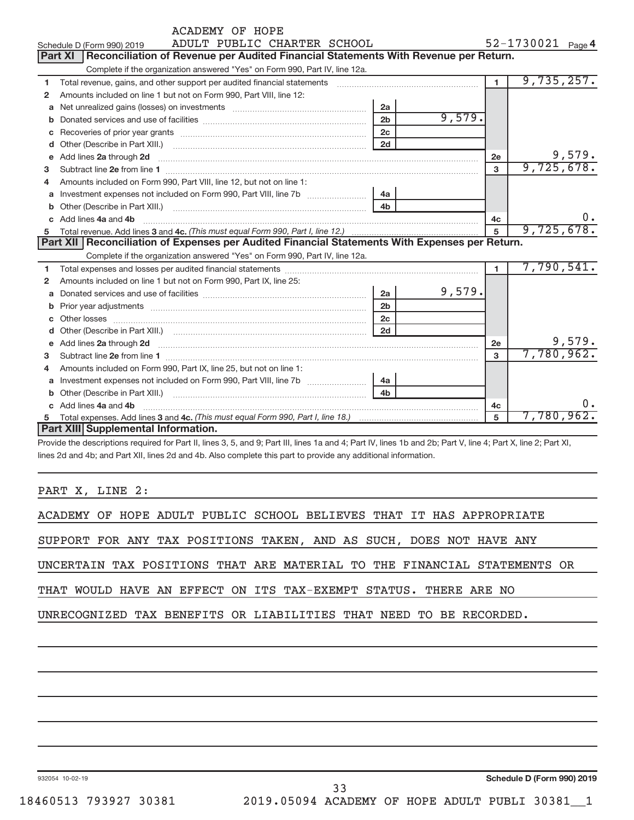|             | ACADEMY OF HOPE                                                                                                                                                                                                                    |                |            |                   |            |           |
|-------------|------------------------------------------------------------------------------------------------------------------------------------------------------------------------------------------------------------------------------------|----------------|------------|-------------------|------------|-----------|
|             | ADULT PUBLIC CHARTER SCHOOL<br>Schedule D (Form 990) 2019                                                                                                                                                                          |                |            | 52-1730021 Page 4 |            |           |
|             | <b>Part XI</b><br>Reconciliation of Revenue per Audited Financial Statements With Revenue per Return.                                                                                                                              |                |            |                   |            |           |
|             | Complete if the organization answered "Yes" on Form 990, Part IV, line 12a.                                                                                                                                                        |                |            |                   |            |           |
| 1           | Total revenue, gains, and other support per audited financial statements [111] [11] Total revenue, gains, and other support per audited financial statements                                                                       | $\blacksquare$ | 9,735,257. |                   |            |           |
| 2           | Amounts included on line 1 but not on Form 990, Part VIII, line 12:                                                                                                                                                                |                |            |                   |            |           |
| a           | Net unrealized gains (losses) on investments [111] Met unrealized main states and investments [11] Metamas and the university of the unrealized main states and the unrealized main states and the unrealized main states and      |                |            |                   |            |           |
| b           |                                                                                                                                                                                                                                    | 2 <sub>b</sub> | 9,579.     |                   |            |           |
| c           |                                                                                                                                                                                                                                    | 2c             |            |                   |            |           |
| d           |                                                                                                                                                                                                                                    | 2d             |            |                   |            |           |
| e           | Add lines 2a through 2d                                                                                                                                                                                                            |                |            | 2e                |            | 9,579.    |
| 3           |                                                                                                                                                                                                                                    |                |            | 3                 | 9,725,678. |           |
| 4           | Amounts included on Form 990, Part VIII, line 12, but not on line 1:                                                                                                                                                               |                |            |                   |            |           |
| a           |                                                                                                                                                                                                                                    | 4a             |            |                   |            |           |
| b           |                                                                                                                                                                                                                                    | 4 <sub>b</sub> |            |                   |            |           |
|             | Add lines 4a and 4b                                                                                                                                                                                                                |                |            | 4c                |            | $0 \cdot$ |
| 5           |                                                                                                                                                                                                                                    | $\overline{5}$ | 9,725,678. |                   |            |           |
|             | Part XII   Reconciliation of Expenses per Audited Financial Statements With Expenses per Return.                                                                                                                                   |                |            |                   |            |           |
|             | Complete if the organization answered "Yes" on Form 990, Part IV, line 12a.                                                                                                                                                        |                |            |                   |            |           |
| 1           |                                                                                                                                                                                                                                    |                |            | $\mathbf{1}$      | 7,790,541. |           |
| 2           | Amounts included on line 1 but not on Form 990, Part IX, line 25:                                                                                                                                                                  |                |            |                   |            |           |
| a           |                                                                                                                                                                                                                                    | 2a             | 9,579.     |                   |            |           |
| b           |                                                                                                                                                                                                                                    | 2 <sub>b</sub> |            |                   |            |           |
|             |                                                                                                                                                                                                                                    | 2c             |            |                   |            |           |
|             |                                                                                                                                                                                                                                    | 2d             |            |                   |            |           |
| $\mathbf e$ | Add lines 2a through 2d <b>contained a contained a contained a contained a</b> contained a contained a contained a contained a contact a contact a contact a contact a contact a contact a contact a contact a contact a contact a |                |            | <b>2e</b>         |            | 9,579.    |
| 3           |                                                                                                                                                                                                                                    |                |            | $\mathbf{a}$      | 7,780,962. |           |
| 4           | Amounts included on Form 990, Part IX, line 25, but not on line 1:                                                                                                                                                                 |                |            |                   |            |           |
| a           |                                                                                                                                                                                                                                    | 4a             |            |                   |            |           |
| b           |                                                                                                                                                                                                                                    | 4 <sub>h</sub> |            |                   |            |           |
| c.          | Add lines 4a and 4b                                                                                                                                                                                                                |                |            | 4c                |            |           |
| 5           |                                                                                                                                                                                                                                    |                |            | 5                 | 7,780,962. |           |
|             | Part XIII Supplemental Information.                                                                                                                                                                                                |                |            |                   |            |           |

Provide the descriptions required for Part II, lines 3, 5, and 9; Part III, lines 1a and 4; Part IV, lines 1b and 2b; Part V, line 4; Part X, line 2; Part XI, lines 2d and 4b; and Part XII, lines 2d and 4b. Also complete this part to provide any additional information.

PART X, LINE 2:

| ACADEMY OF HOPE ADULT PUBLIC SCHOOL BELIEVES THAT IT HAS APPROPRIATE     |  |  |  |  |  |  |  |
|--------------------------------------------------------------------------|--|--|--|--|--|--|--|
| SUPPORT FOR ANY TAX POSITIONS TAKEN, AND AS SUCH, DOES NOT HAVE ANY      |  |  |  |  |  |  |  |
| UNCERTAIN TAX POSITIONS THAT ARE MATERIAL TO THE FINANCIAL STATEMENTS OR |  |  |  |  |  |  |  |
| THAT WOULD HAVE AN EFFECT ON ITS TAX-EXEMPT STATUS. THERE ARE NO         |  |  |  |  |  |  |  |
| UNRECOGNIZED TAX BENEFITS OR LIABILITIES THAT NEED TO BE RECORDED.       |  |  |  |  |  |  |  |
|                                                                          |  |  |  |  |  |  |  |

932054 10-02-19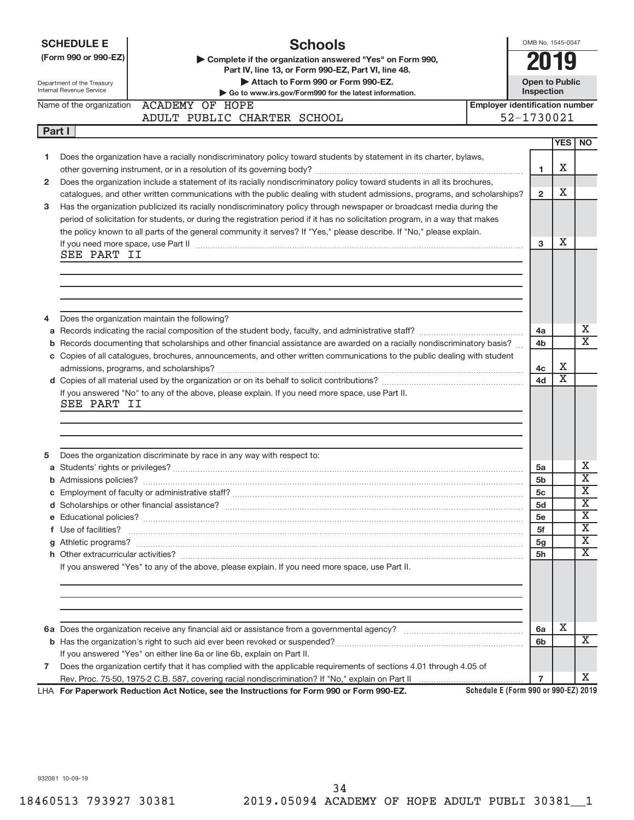|        | <b>Schools</b><br><b>SCHEDULE E</b><br>(Form 990 or 990-EZ)<br>Complete if the organization answered "Yes" on Form 990,<br>Part IV, line 13, or Form 990-EZ, Part VI, line 48.<br>Attach to Form 990 or Form 990-EZ.<br>Department of the Treasury<br><b>Internal Revenue Service</b><br>Go to www.irs.gov/Form990 for the latest information. | OMB No. 1545-0047<br><b>Open to Public</b><br>Inspection |                       |                            |
|--------|------------------------------------------------------------------------------------------------------------------------------------------------------------------------------------------------------------------------------------------------------------------------------------------------------------------------------------------------|----------------------------------------------------------|-----------------------|----------------------------|
|        | <b>ACADEMY OF HOPE</b><br><b>Employer identification number</b><br>Name of the organization                                                                                                                                                                                                                                                    |                                                          |                       |                            |
|        | ADULT PUBLIC CHARTER SCHOOL                                                                                                                                                                                                                                                                                                                    | 52-1730021                                               |                       |                            |
| Part I |                                                                                                                                                                                                                                                                                                                                                |                                                          |                       |                            |
|        |                                                                                                                                                                                                                                                                                                                                                |                                                          | <b>YES</b>            | <b>NO</b>                  |
| 1      | Does the organization have a racially nondiscriminatory policy toward students by statement in its charter, bylaws,                                                                                                                                                                                                                            |                                                          |                       |                            |
|        |                                                                                                                                                                                                                                                                                                                                                | 1                                                        | х                     |                            |
| 2      | Does the organization include a statement of its racially nondiscriminatory policy toward students in all its brochures,                                                                                                                                                                                                                       |                                                          |                       |                            |
|        | catalogues, and other written communications with the public dealing with student admissions, programs, and scholarships?                                                                                                                                                                                                                      | $\mathbf{2}$                                             | х                     |                            |
| 3      | Has the organization publicized its racially nondiscriminatory policy through newspaper or broadcast media during the                                                                                                                                                                                                                          |                                                          |                       |                            |
|        | period of solicitation for students, or during the registration period if it has no solicitation program, in a way that makes<br>the policy known to all parts of the general community it serves? If "Yes," please describe. If "No," please explain.                                                                                         |                                                          |                       |                            |
|        | If you need more space, use Part II measurements are constructed in the state of the control of the state of the state of the state of the state of the state of the state of the state of the state of the state of the state                                                                                                                 | 3                                                        | х                     |                            |
|        | SEE PART II                                                                                                                                                                                                                                                                                                                                    |                                                          |                       |                            |
|        |                                                                                                                                                                                                                                                                                                                                                |                                                          |                       |                            |
|        |                                                                                                                                                                                                                                                                                                                                                |                                                          |                       |                            |
|        |                                                                                                                                                                                                                                                                                                                                                |                                                          |                       |                            |
|        |                                                                                                                                                                                                                                                                                                                                                |                                                          |                       |                            |
| 4      | Does the organization maintain the following?                                                                                                                                                                                                                                                                                                  |                                                          |                       |                            |
|        |                                                                                                                                                                                                                                                                                                                                                | 4a                                                       |                       | X                          |
| b      | Records documenting that scholarships and other financial assistance are awarded on a racially nondiscriminatory basis?                                                                                                                                                                                                                        | 4b                                                       |                       | $\overline{\mathtt{x}}$    |
|        | c Copies of all catalogues, brochures, announcements, and other written communications to the public dealing with student                                                                                                                                                                                                                      |                                                          |                       |                            |
|        |                                                                                                                                                                                                                                                                                                                                                | 4с                                                       | х                     |                            |
|        |                                                                                                                                                                                                                                                                                                                                                | 4d                                                       | $\overline{\text{x}}$ |                            |
|        | If you answered "No" to any of the above, please explain. If you need more space, use Part II.                                                                                                                                                                                                                                                 |                                                          |                       |                            |
|        | SEE PART II                                                                                                                                                                                                                                                                                                                                    |                                                          |                       |                            |
|        |                                                                                                                                                                                                                                                                                                                                                |                                                          |                       |                            |
|        |                                                                                                                                                                                                                                                                                                                                                |                                                          |                       |                            |
|        |                                                                                                                                                                                                                                                                                                                                                |                                                          |                       |                            |
| 5      | Does the organization discriminate by race in any way with respect to:                                                                                                                                                                                                                                                                         |                                                          |                       |                            |
|        |                                                                                                                                                                                                                                                                                                                                                | 5a                                                       |                       | X<br>$\overline{\text{x}}$ |
|        |                                                                                                                                                                                                                                                                                                                                                | 5 <sub>b</sub>                                           |                       | $\overline{\textbf{x}}$    |
|        |                                                                                                                                                                                                                                                                                                                                                | 5c<br>5d                                                 |                       | $\overline{\text{x}}$      |
|        |                                                                                                                                                                                                                                                                                                                                                | 5e                                                       |                       | $\overline{\text{X}}$      |
|        | f Use of facilities? <b>We are also assumed as the contract of the contract of the contract of the contract of the contract of the contract of the contract of the contract of the contract of the contract of the contract of t</b>                                                                                                           | 5f                                                       |                       | $\overline{\text{X}}$      |
|        |                                                                                                                                                                                                                                                                                                                                                | 5g                                                       |                       | $\overline{\text{X}}$      |
|        |                                                                                                                                                                                                                                                                                                                                                | 5h                                                       |                       | $\overline{\texttt{x}}$    |
|        | If you answered "Yes" to any of the above, please explain. If you need more space, use Part II.                                                                                                                                                                                                                                                |                                                          |                       |                            |
|        |                                                                                                                                                                                                                                                                                                                                                |                                                          |                       |                            |
|        |                                                                                                                                                                                                                                                                                                                                                |                                                          |                       |                            |
|        |                                                                                                                                                                                                                                                                                                                                                |                                                          |                       |                            |
|        |                                                                                                                                                                                                                                                                                                                                                |                                                          |                       |                            |
|        |                                                                                                                                                                                                                                                                                                                                                | 6a                                                       | х                     |                            |
|        |                                                                                                                                                                                                                                                                                                                                                | 6b                                                       |                       | X                          |
|        | If you answered "Yes" on either line 6a or line 6b, explain on Part II.                                                                                                                                                                                                                                                                        |                                                          |                       |                            |
| 7      | Does the organization certify that it has complied with the applicable requirements of sections 4.01 through 4.05 of                                                                                                                                                                                                                           |                                                          |                       |                            |
|        |                                                                                                                                                                                                                                                                                                                                                | $\overline{7}$                                           |                       | X.                         |
|        | Schedule E (Form 990 or 990-EZ) 2019<br>LHA For Paperwork Reduction Act Notice, see the Instructions for Form 990 or Form 990-EZ.                                                                                                                                                                                                              |                                                          |                       |                            |

932061 10-09-19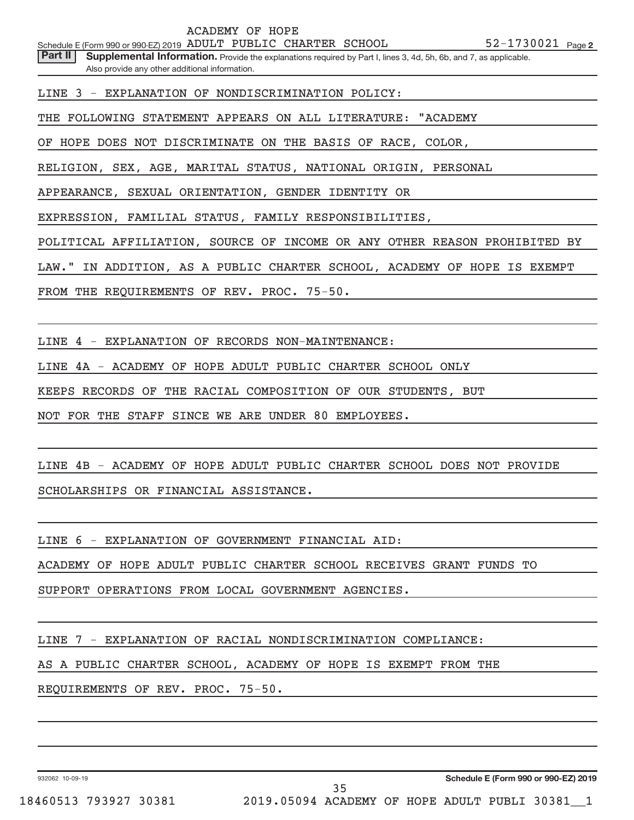Part II | Supplemental Information. Provide the explanations required by Part I, lines 3, 4d, 5h, 6b, and 7, as applicable. Also provide any other additional information.

LINE 3 - EXPLANATION OF NONDISCRIMINATION POLICY:

THE FOLLOWING STATEMENT APPEARS ON ALL LITERATURE: "ACADEMY

OF HOPE DOES NOT DISCRIMINATE ON THE BASIS OF RACE, COLOR,

RELIGION, SEX, AGE, MARITAL STATUS, NATIONAL ORIGIN, PERSONAL

APPEARANCE, SEXUAL ORIENTATION, GENDER IDENTITY OR

EXPRESSION, FAMILIAL STATUS, FAMILY RESPONSIBILITIES,

POLITICAL AFFILIATION, SOURCE OF INCOME OR ANY OTHER REASON PROHIBITED BY

LAW." IN ADDITION, AS A PUBLIC CHARTER SCHOOL, ACADEMY OF HOPE IS EXEMPT

FROM THE REQUIREMENTS OF REV. PROC. 75-50.

LINE 4 - EXPLANATION OF RECORDS NON-MAINTENANCE:

LINE 4A - ACADEMY OF HOPE ADULT PUBLIC CHARTER SCHOOL ONLY

KEEPS RECORDS OF THE RACIAL COMPOSITION OF OUR STUDENTS, BUT

NOT FOR THE STAFF SINCE WE ARE UNDER 80 EMPLOYEES.

LINE 4B - ACADEMY OF HOPE ADULT PUBLIC CHARTER SCHOOL DOES NOT PROVIDE SCHOLARSHIPS OR FINANCIAL ASSISTANCE.

LINE 6 - EXPLANATION OF GOVERNMENT FINANCIAL AID:

ACADEMY OF HOPE ADULT PUBLIC CHARTER SCHOOL RECEIVES GRANT FUNDS TO

SUPPORT OPERATIONS FROM LOCAL GOVERNMENT AGENCIES.

LINE 7 - EXPLANATION OF RACIAL NONDISCRIMINATION COMPLIANCE:

AS A PUBLIC CHARTER SCHOOL, ACADEMY OF HOPE IS EXEMPT FROM THE

REQUIREMENTS OF REV. PROC. 75-50.

932062 10-09-19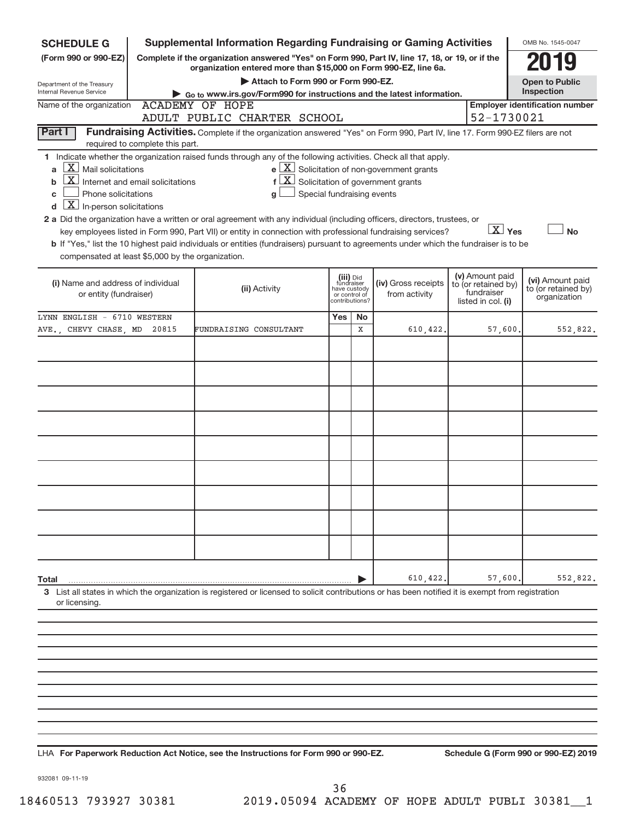| <b>SCHEDULE G</b><br>(Form 990 or 990-EZ)                                                                                                                        |                                                                                                                                                                                                                                                                                   | <b>Supplemental Information Regarding Fundraising or Gaming Activities</b><br>Complete if the organization answered "Yes" on Form 990, Part IV, line 17, 18, or 19, or if the                                                                                                                                                                                                                                                                                                                                                                                                                             |  |         |                                                                         |         |                        | OMB No. 1545-0047                                       |  |  |  |
|------------------------------------------------------------------------------------------------------------------------------------------------------------------|-----------------------------------------------------------------------------------------------------------------------------------------------------------------------------------------------------------------------------------------------------------------------------------|-----------------------------------------------------------------------------------------------------------------------------------------------------------------------------------------------------------------------------------------------------------------------------------------------------------------------------------------------------------------------------------------------------------------------------------------------------------------------------------------------------------------------------------------------------------------------------------------------------------|--|---------|-------------------------------------------------------------------------|---------|------------------------|---------------------------------------------------------|--|--|--|
|                                                                                                                                                                  |                                                                                                                                                                                                                                                                                   | organization entered more than \$15,000 on Form 990-EZ, line 6a.                                                                                                                                                                                                                                                                                                                                                                                                                                                                                                                                          |  |         |                                                                         |         |                        |                                                         |  |  |  |
| Department of the Treasury<br>Internal Revenue Service                                                                                                           | Attach to Form 990 or Form 990-EZ.<br><b>Open to Public</b><br>Inspection<br>Go to www.irs.gov/Form990 for instructions and the latest information.                                                                                                                               |                                                                                                                                                                                                                                                                                                                                                                                                                                                                                                                                                                                                           |  |         |                                                                         |         |                        |                                                         |  |  |  |
|                                                                                                                                                                  | <b>Employer identification number</b><br>Name of the organization<br><b>ACADEMY OF HOPE</b>                                                                                                                                                                                       |                                                                                                                                                                                                                                                                                                                                                                                                                                                                                                                                                                                                           |  |         |                                                                         |         |                        |                                                         |  |  |  |
| 52-1730021<br>ADULT PUBLIC CHARTER SCHOOL                                                                                                                        |                                                                                                                                                                                                                                                                                   |                                                                                                                                                                                                                                                                                                                                                                                                                                                                                                                                                                                                           |  |         |                                                                         |         |                        |                                                         |  |  |  |
| Part I                                                                                                                                                           | required to complete this part.                                                                                                                                                                                                                                                   | Fundraising Activities. Complete if the organization answered "Yes" on Form 990, Part IV, line 17. Form 990-EZ filers are not                                                                                                                                                                                                                                                                                                                                                                                                                                                                             |  |         |                                                                         |         |                        |                                                         |  |  |  |
| $X$ Mail solicitations<br>a<br>b<br>Phone solicitations<br>c<br>$\overline{X}$ In-person solicitations<br>d<br>compensated at least \$5,000 by the organization. | Internet and email solicitations                                                                                                                                                                                                                                                  | 1 Indicate whether the organization raised funds through any of the following activities. Check all that apply.<br>$f\left[\frac{X}{X}\right]$ Solicitation of government grants<br>Special fundraising events<br>g<br>2 a Did the organization have a written or oral agreement with any individual (including officers, directors, trustees, or<br>key employees listed in Form 990, Part VII) or entity in connection with professional fundraising services?<br>b If "Yes," list the 10 highest paid individuals or entities (fundraisers) pursuant to agreements under which the fundraiser is to be |  |         | $\mathbf{e}$ $\boxed{\mathbf{X}}$ Solicitation of non-government grants |         | $\boxed{\text{X}}$ Yes | <b>No</b>                                               |  |  |  |
|                                                                                                                                                                  | (v) Amount paid<br>(iii) Did<br>fundraiser<br>(i) Name and address of individual<br>(iv) Gross receipts<br>to (or retained by)<br>(ii) Activity<br>have custody<br>fundraiser<br>or entity (fundraiser)<br>from activity<br>or control of<br>listed in col. (i)<br>contributions? |                                                                                                                                                                                                                                                                                                                                                                                                                                                                                                                                                                                                           |  |         |                                                                         |         |                        | (vi) Amount paid<br>to (or retained by)<br>organization |  |  |  |
| LYNN ENGLISH - 6710 WESTERN<br>AVE., CHEVY CHASE, MD                                                                                                             | 20815                                                                                                                                                                                                                                                                             | FUNDRAISING CONSULTANT                                                                                                                                                                                                                                                                                                                                                                                                                                                                                                                                                                                    |  | No<br>X | 610, 422.                                                               | 57,600. |                        | 552,822.                                                |  |  |  |
|                                                                                                                                                                  |                                                                                                                                                                                                                                                                                   |                                                                                                                                                                                                                                                                                                                                                                                                                                                                                                                                                                                                           |  |         |                                                                         |         |                        |                                                         |  |  |  |
| Total<br>or licensing.                                                                                                                                           |                                                                                                                                                                                                                                                                                   | 3 List all states in which the organization is registered or licensed to solicit contributions or has been notified it is exempt from registration                                                                                                                                                                                                                                                                                                                                                                                                                                                        |  |         | 610,422                                                                 |         | 57,600                 | 552,822.                                                |  |  |  |
|                                                                                                                                                                  |                                                                                                                                                                                                                                                                                   |                                                                                                                                                                                                                                                                                                                                                                                                                                                                                                                                                                                                           |  |         |                                                                         |         |                        |                                                         |  |  |  |

**For Paperwork Reduction Act Notice, see the Instructions for Form 990 or 990-EZ. Schedule G (Form 990 or 990-EZ) 2019** LHA

932081 09-11-19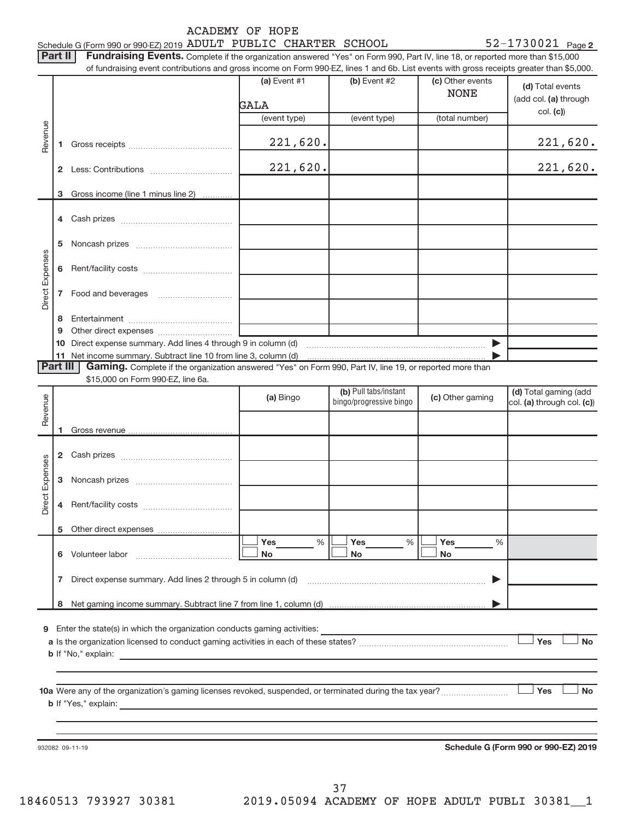|                 | Part II                                 | <b>ACADEMY OF HOPE</b><br>Schedule G (Form 990 or 990-EZ) 2019 ADULT PUBLIC CHARTER SCHOOL<br>Fundraising Events. Complete if the organization answered "Yes" on Form 990, Part IV, line 18, or reported more than \$15,000<br>of fundraising event contributions and gross income on Form 990-EZ, lines 1 and 6b. List events with gross receipts greater than \$5,000. |                                                  |                                 | $52 - 1730021$ Page 2                                 |
|-----------------|-----------------------------------------|--------------------------------------------------------------------------------------------------------------------------------------------------------------------------------------------------------------------------------------------------------------------------------------------------------------------------------------------------------------------------|--------------------------------------------------|---------------------------------|-------------------------------------------------------|
|                 |                                         | (a) Event $#1$<br>GALA                                                                                                                                                                                                                                                                                                                                                   | (b) Event #2                                     | (c) Other events<br><b>NONE</b> | (d) Total events<br>(add col. (a) through<br>col. (c) |
|                 |                                         | (event type)                                                                                                                                                                                                                                                                                                                                                             | (event type)                                     | (total number)                  |                                                       |
| Revenue         | 1                                       | 221,620.                                                                                                                                                                                                                                                                                                                                                                 |                                                  |                                 | 221,620.                                              |
|                 |                                         | 221,620.                                                                                                                                                                                                                                                                                                                                                                 |                                                  |                                 | 221,620.                                              |
|                 | Gross income (line 1 minus line 2)<br>3 |                                                                                                                                                                                                                                                                                                                                                                          |                                                  |                                 |                                                       |
|                 |                                         |                                                                                                                                                                                                                                                                                                                                                                          |                                                  |                                 |                                                       |
|                 |                                         |                                                                                                                                                                                                                                                                                                                                                                          |                                                  |                                 |                                                       |
|                 | 6                                       |                                                                                                                                                                                                                                                                                                                                                                          |                                                  |                                 |                                                       |
| Direct Expenses | 7                                       |                                                                                                                                                                                                                                                                                                                                                                          |                                                  |                                 |                                                       |
|                 | 8<br>9                                  |                                                                                                                                                                                                                                                                                                                                                                          |                                                  |                                 |                                                       |
|                 |                                         |                                                                                                                                                                                                                                                                                                                                                                          |                                                  |                                 |                                                       |
|                 | Part III                                | Gaming. Complete if the organization answered "Yes" on Form 990, Part IV, line 19, or reported more than                                                                                                                                                                                                                                                                 |                                                  |                                 |                                                       |
|                 | \$15,000 on Form 990-EZ, line 6a.       |                                                                                                                                                                                                                                                                                                                                                                          |                                                  |                                 |                                                       |
| Revenue         |                                         | (a) Bingo                                                                                                                                                                                                                                                                                                                                                                | (b) Pull tabs/instant<br>bingo/progressive bingo | (c) Other gaming                | (d) Total gaming (add<br>col. (a) through col. (c))   |
|                 | 1                                       |                                                                                                                                                                                                                                                                                                                                                                          |                                                  |                                 |                                                       |
| ses             |                                         |                                                                                                                                                                                                                                                                                                                                                                          |                                                  |                                 |                                                       |
|                 | з                                       |                                                                                                                                                                                                                                                                                                                                                                          |                                                  |                                 |                                                       |
| Direct Exper    | 4                                       |                                                                                                                                                                                                                                                                                                                                                                          |                                                  |                                 |                                                       |
|                 | 5                                       |                                                                                                                                                                                                                                                                                                                                                                          |                                                  |                                 |                                                       |
|                 |                                         | Yes<br>$\frac{0}{6}$<br>No                                                                                                                                                                                                                                                                                                                                               | Yes<br>%<br><b>No</b>                            | Yes _____<br>%<br>No            |                                                       |
|                 | 7                                       |                                                                                                                                                                                                                                                                                                                                                                          |                                                  |                                 |                                                       |
|                 |                                         |                                                                                                                                                                                                                                                                                                                                                                          |                                                  |                                 |                                                       |
|                 |                                         |                                                                                                                                                                                                                                                                                                                                                                          |                                                  |                                 |                                                       |
|                 |                                         | 9 Enter the state(s) in which the organization conducts gaming activities:                                                                                                                                                                                                                                                                                               |                                                  |                                 | Yes<br><b>No</b>                                      |
|                 |                                         |                                                                                                                                                                                                                                                                                                                                                                          |                                                  |                                 |                                                       |
|                 |                                         |                                                                                                                                                                                                                                                                                                                                                                          |                                                  |                                 | ∫ Yes<br><b>No</b>                                    |
|                 |                                         |                                                                                                                                                                                                                                                                                                                                                                          |                                                  |                                 |                                                       |
|                 |                                         |                                                                                                                                                                                                                                                                                                                                                                          |                                                  |                                 |                                                       |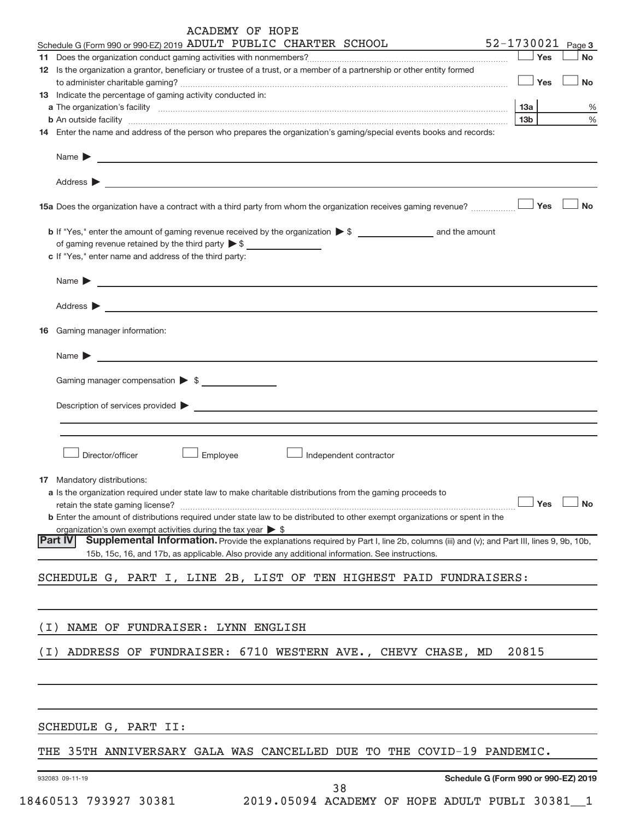|     | ACADEMY OF HOPE                                                                                                                                                                                                                                                                                                              |                   |               |
|-----|------------------------------------------------------------------------------------------------------------------------------------------------------------------------------------------------------------------------------------------------------------------------------------------------------------------------------|-------------------|---------------|
|     | Schedule G (Form 990 or 990-EZ) 2019 ADULT PUBLIC CHARTER SCHOOL                                                                                                                                                                                                                                                             | 52-1730021 Page 3 |               |
|     |                                                                                                                                                                                                                                                                                                                              | Yes               | <b>No</b>     |
|     | 12 Is the organization a grantor, beneficiary or trustee of a trust, or a member of a partnership or other entity formed                                                                                                                                                                                                     | Yes               | <b>No</b>     |
|     | 13 Indicate the percentage of gaming activity conducted in:                                                                                                                                                                                                                                                                  |                   |               |
|     |                                                                                                                                                                                                                                                                                                                              | 13а               | %             |
|     |                                                                                                                                                                                                                                                                                                                              | 13 <sub>b</sub>   | $\frac{0}{0}$ |
|     | 14 Enter the name and address of the person who prepares the organization's gaming/special events books and records:                                                                                                                                                                                                         |                   |               |
|     | Name $\blacktriangleright$<br><u> 1989 - Jan Stern Harry Harry Harry Harry Harry Harry Harry Harry Harry Harry Harry Harry Harry Harry Harry Ha</u>                                                                                                                                                                          |                   |               |
|     | Address $\blacktriangleright$<br>the control of the control of the control of the control of the control of the control of the control of the control of the control of the control of the control of the control of the control of the control of the control                                                               |                   |               |
|     | 15a Does the organization have a contract with a third party from whom the organization receives gaming revenue?                                                                                                                                                                                                             | Yes               | <b>No</b>     |
|     | of gaming revenue retained by the third party $\triangleright$ \$<br>c If "Yes," enter name and address of the third party:                                                                                                                                                                                                  |                   |               |
|     | Name $\blacktriangleright$                                                                                                                                                                                                                                                                                                   |                   |               |
|     | Address $\blacktriangleright$<br><u> 1989 - Johann Barn, amerikansk politiker (d. 1989)</u>                                                                                                                                                                                                                                  |                   |               |
|     | 16 Gaming manager information:                                                                                                                                                                                                                                                                                               |                   |               |
|     | Name $\blacktriangleright$<br><u> 1989 - Johann Barn, fransk politik (d. 1989)</u>                                                                                                                                                                                                                                           |                   |               |
|     | Gaming manager compensation > \$                                                                                                                                                                                                                                                                                             |                   |               |
|     | Description of services provided ><br><u> Alexandria (m. 1888)</u>                                                                                                                                                                                                                                                           |                   |               |
|     |                                                                                                                                                                                                                                                                                                                              |                   |               |
|     | Director/officer<br>Employee<br>Independent contractor                                                                                                                                                                                                                                                                       |                   |               |
|     | <b>17</b> Mandatory distributions:<br>a Is the organization required under state law to make charitable distributions from the gaming proceeds to<br>retain the state gaming license?<br><b>b</b> Enter the amount of distributions required under state law to be distributed to other exempt organizations or spent in the | Yes               | <b>No</b>     |
|     | organization's own exempt activities during the tax year $\triangleright$ \$<br><b>Part IV</b><br>Supplemental Information. Provide the explanations required by Part I, line 2b, columns (iii) and (v); and Part III, lines 9, 9b, 10b,                                                                                     |                   |               |
|     | 15b, 15c, 16, and 17b, as applicable. Also provide any additional information. See instructions.                                                                                                                                                                                                                             |                   |               |
|     | SCHEDULE G, PART I, LINE 2B, LIST OF TEN HIGHEST PAID FUNDRAISERS:                                                                                                                                                                                                                                                           |                   |               |
|     |                                                                                                                                                                                                                                                                                                                              |                   |               |
| (I) | NAME OF FUNDRAISER: LYNN ENGLISH                                                                                                                                                                                                                                                                                             |                   |               |
| (I) | ADDRESS OF FUNDRAISER: 6710 WESTERN AVE., CHEVY CHASE, MD                                                                                                                                                                                                                                                                    | 20815             |               |
|     |                                                                                                                                                                                                                                                                                                                              |                   |               |
|     |                                                                                                                                                                                                                                                                                                                              |                   |               |
|     | SCHEDULE G, PART II:                                                                                                                                                                                                                                                                                                         |                   |               |
|     | THE 35TH ANNIVERSARY GALA WAS CANCELLED DUE TO THE COVID-19 PANDEMIC.                                                                                                                                                                                                                                                        |                   |               |
|     | Schedule G (Form 990 or 990-EZ) 2019<br>932083 09-11-19<br>38                                                                                                                                                                                                                                                                |                   |               |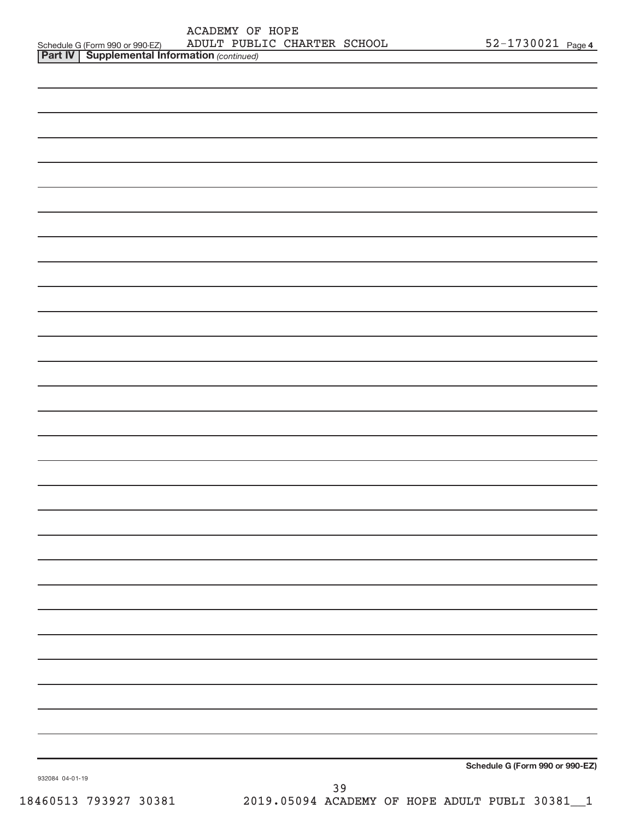|                                                     | ACADEMY OF HOPE |                             |                       |  |
|-----------------------------------------------------|-----------------|-----------------------------|-----------------------|--|
| Schedule G (Form 990 or 990-EZ)                     |                 | ADULT PUBLIC CHARTER SCHOOL | $52 - 1730021$ Page 4 |  |
| <b>Dart IV Supplemental Information</b> (continued) |                 |                             |                       |  |

| <b>Part IV   Supplemental Information (continued)</b> |                                                |
|-------------------------------------------------------|------------------------------------------------|
|                                                       |                                                |
|                                                       |                                                |
|                                                       |                                                |
|                                                       |                                                |
|                                                       |                                                |
|                                                       |                                                |
|                                                       |                                                |
|                                                       |                                                |
|                                                       |                                                |
|                                                       |                                                |
|                                                       |                                                |
|                                                       |                                                |
|                                                       |                                                |
|                                                       |                                                |
|                                                       |                                                |
|                                                       |                                                |
|                                                       |                                                |
|                                                       |                                                |
|                                                       |                                                |
|                                                       |                                                |
|                                                       |                                                |
|                                                       |                                                |
|                                                       |                                                |
|                                                       |                                                |
|                                                       |                                                |
|                                                       |                                                |
|                                                       |                                                |
|                                                       |                                                |
|                                                       |                                                |
|                                                       |                                                |
|                                                       |                                                |
|                                                       |                                                |
|                                                       |                                                |
|                                                       |                                                |
|                                                       |                                                |
|                                                       | Schedule G (Form 990 or 990-EZ)                |
| 932084 04-01-19                                       | 39                                             |
| 18460513 793927 30381                                 | 2019.05094 ACADEMY OF HOPE ADULT PUBLI 30381_1 |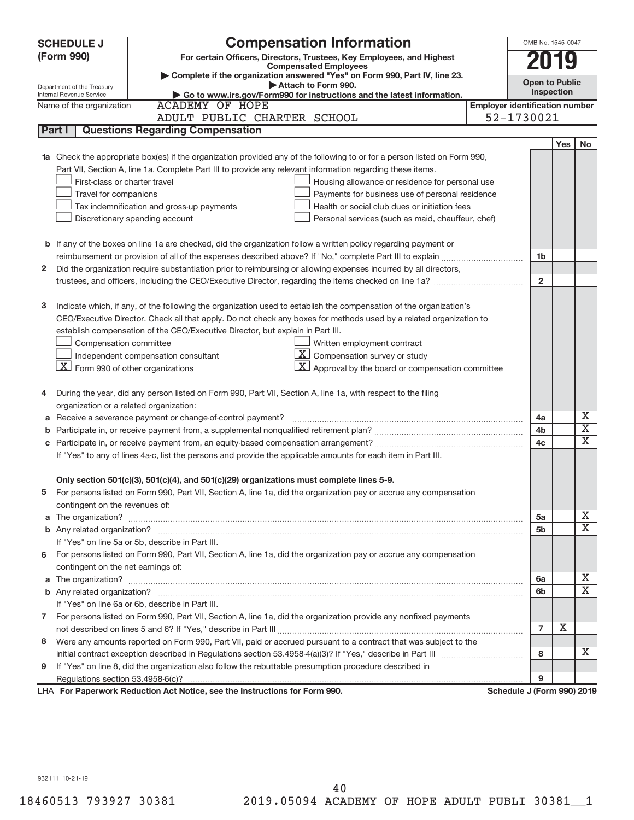| <b>SCHEDULE J</b>                                      | <b>Compensation Information</b>                                                                                        |                                       | OMB No. 1545-0047     |            |                             |
|--------------------------------------------------------|------------------------------------------------------------------------------------------------------------------------|---------------------------------------|-----------------------|------------|-----------------------------|
| (Form 990)                                             | For certain Officers, Directors, Trustees, Key Employees, and Highest                                                  |                                       |                       |            |                             |
|                                                        | <b>Compensated Employees</b>                                                                                           |                                       |                       |            |                             |
|                                                        | Complete if the organization answered "Yes" on Form 990, Part IV, line 23.<br>Attach to Form 990.                      |                                       | <b>Open to Public</b> |            |                             |
| Department of the Treasury<br>Internal Revenue Service | Go to www.irs.gov/Form990 for instructions and the latest information.                                                 |                                       | Inspection            |            |                             |
| Name of the organization                               | <b>ACADEMY OF HOPE</b>                                                                                                 | <b>Employer identification number</b> |                       |            |                             |
|                                                        | ADULT PUBLIC CHARTER SCHOOL                                                                                            | 52-1730021                            |                       |            |                             |
| Part I                                                 | <b>Questions Regarding Compensation</b>                                                                                |                                       |                       |            |                             |
|                                                        |                                                                                                                        |                                       |                       | <b>Yes</b> | <b>No</b>                   |
|                                                        | Check the appropriate box(es) if the organization provided any of the following to or for a person listed on Form 990, |                                       |                       |            |                             |
|                                                        | Part VII, Section A, line 1a. Complete Part III to provide any relevant information regarding these items.             |                                       |                       |            |                             |
| First-class or charter travel                          | Housing allowance or residence for personal use                                                                        |                                       |                       |            |                             |
| Travel for companions                                  | Payments for business use of personal residence                                                                        |                                       |                       |            |                             |
|                                                        | Tax indemnification and gross-up payments<br>Health or social club dues or initiation fees                             |                                       |                       |            |                             |
|                                                        | Discretionary spending account<br>Personal services (such as maid, chauffeur, chef)                                    |                                       |                       |            |                             |
|                                                        |                                                                                                                        |                                       |                       |            |                             |
|                                                        | <b>b</b> If any of the boxes on line 1a are checked, did the organization follow a written policy regarding payment or |                                       |                       |            |                             |
|                                                        |                                                                                                                        |                                       | 1b                    |            |                             |
| 2                                                      | Did the organization require substantiation prior to reimbursing or allowing expenses incurred by all directors,       |                                       |                       |            |                             |
|                                                        |                                                                                                                        |                                       | $\overline{2}$        |            |                             |
|                                                        |                                                                                                                        |                                       |                       |            |                             |
| з                                                      | Indicate which, if any, of the following the organization used to establish the compensation of the organization's     |                                       |                       |            |                             |
|                                                        | CEO/Executive Director. Check all that apply. Do not check any boxes for methods used by a related organization to     |                                       |                       |            |                             |
|                                                        | establish compensation of the CEO/Executive Director, but explain in Part III.                                         |                                       |                       |            |                             |
| Compensation committee                                 | Written employment contract                                                                                            |                                       |                       |            |                             |
|                                                        | $\boxed{\text{X}}$ Compensation survey or study<br>Independent compensation consultant                                 |                                       |                       |            |                             |
| $\lfloor x \rfloor$ Form 990 of other organizations    | $ \mathbf{X} $ Approval by the board or compensation committee                                                         |                                       |                       |            |                             |
|                                                        |                                                                                                                        |                                       |                       |            |                             |
| 4                                                      | During the year, did any person listed on Form 990, Part VII, Section A, line 1a, with respect to the filing           |                                       |                       |            |                             |
| organization or a related organization:                |                                                                                                                        |                                       |                       |            |                             |
| а                                                      | Receive a severance payment or change-of-control payment?                                                              |                                       | 4a                    |            | Х                           |
| b                                                      |                                                                                                                        |                                       | 4b                    |            | $\overline{\textnormal{x}}$ |
| С                                                      |                                                                                                                        |                                       | 4c                    |            | $\overline{\text{x}}$       |
|                                                        | If "Yes" to any of lines 4a-c, list the persons and provide the applicable amounts for each item in Part III.          |                                       |                       |            |                             |
|                                                        |                                                                                                                        |                                       |                       |            |                             |
|                                                        | Only section 501(c)(3), 501(c)(4), and 501(c)(29) organizations must complete lines 5-9.                               |                                       |                       |            |                             |
|                                                        | For persons listed on Form 990, Part VII, Section A, line 1a, did the organization pay or accrue any compensation      |                                       |                       |            |                             |
| contingent on the revenues of:                         |                                                                                                                        |                                       |                       |            |                             |
| a                                                      |                                                                                                                        |                                       | 5a                    |            | х                           |
|                                                        |                                                                                                                        |                                       | 5 <sub>b</sub>        |            | $\overline{\mathbf{X}}$     |
|                                                        | If "Yes" on line 5a or 5b, describe in Part III.                                                                       |                                       |                       |            |                             |
|                                                        | 6 For persons listed on Form 990, Part VII, Section A, line 1a, did the organization pay or accrue any compensation    |                                       |                       |            |                             |
| contingent on the net earnings of:                     |                                                                                                                        |                                       |                       |            |                             |
| a                                                      |                                                                                                                        |                                       | 6а                    |            | х                           |
|                                                        |                                                                                                                        |                                       | 6b                    |            | $\overline{\mathbf{X}}$     |
|                                                        | If "Yes" on line 6a or 6b, describe in Part III.                                                                       |                                       |                       |            |                             |
|                                                        | 7 For persons listed on Form 990, Part VII, Section A, line 1a, did the organization provide any nonfixed payments     |                                       |                       |            |                             |
|                                                        |                                                                                                                        |                                       | $\overline{7}$        | х          |                             |
| 8                                                      | Were any amounts reported on Form 990, Part VII, paid or accrued pursuant to a contract that was subject to the        |                                       |                       |            |                             |
|                                                        |                                                                                                                        |                                       | 8                     |            | х                           |
| 9                                                      | If "Yes" on line 8, did the organization also follow the rebuttable presumption procedure described in                 |                                       |                       |            |                             |
|                                                        |                                                                                                                        |                                       | 9                     |            |                             |
|                                                        | LHA For Paperwork Reduction Act Notice, see the Instructions for Form 990.                                             | Schedule J (Form 990) 2019            |                       |            |                             |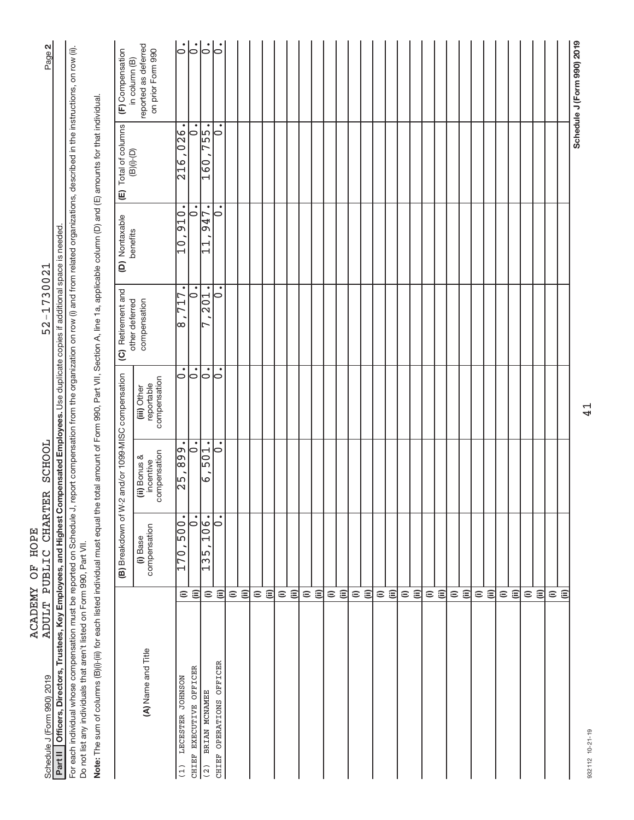| Part II   Officers, Directors, Trustees, Key Employees, and Highest Compensated Employees. Use duplicate copies if additional space is needed.                                                                                                                                   |                                     |                             |                                                       |                                           |                                                                                                                    |                                                          |                                                                                                 |                                           |
|----------------------------------------------------------------------------------------------------------------------------------------------------------------------------------------------------------------------------------------------------------------------------------|-------------------------------------|-----------------------------|-------------------------------------------------------|-------------------------------------------|--------------------------------------------------------------------------------------------------------------------|----------------------------------------------------------|-------------------------------------------------------------------------------------------------|-------------------------------------------|
| For each individual whose compensation must be reported on Schedule J, report compensation from the organization on row (i) and from related organizations, described in the instructions, on row (ii).<br>Do not list any individuals that aren't listed on Form 990, Part VII. |                                     |                             |                                                       |                                           |                                                                                                                    |                                                          |                                                                                                 |                                           |
| Note: The sum of columns (B)(i)-(iii) for each listed individual must equal the                                                                                                                                                                                                  |                                     |                             |                                                       |                                           | total amount of Form 990, Part VII, Section A, line 1a, applicable column (D) and (E) amounts for that individual. |                                                          |                                                                                                 |                                           |
|                                                                                                                                                                                                                                                                                  |                                     |                             | (B) Breakdown of W-2 and/or 1099-MISC compensation    |                                           | (C) Retirement and<br>other deferred                                                                               | (D) Nontaxable<br>benefits                               | (E) Total of columns<br>$\left(\mathsf{B}\right)\left(\mathsf{I}\right)\left(\mathsf{O}\right)$ | (F) Compensation<br>in column (B)         |
| (A) Name and Title                                                                                                                                                                                                                                                               |                                     | compensation<br>(i) Base    | compensation<br>(ii) Bonus &<br>incentive             | compensation<br>reportable<br>(iii) Other | compensation                                                                                                       |                                                          |                                                                                                 | reported as deferred<br>on prior Form 990 |
| LECESTER JOHNSON<br>(1)                                                                                                                                                                                                                                                          | $\widehat{=}$                       | $\bullet$<br>$-602$<br>170, | $\frac{668}{3}$<br>$\overline{\phantom{a}}$<br>k<br>K | 0                                         | $\bullet$<br>717<br>Ι∞                                                                                             | $\bullet$<br>$\frac{10}{2}$<br>$\overline{\overline{0}}$ | 216,026                                                                                         | $\overline{0}$ .                          |
| CHIEF EXECUTIVE OFFICER                                                                                                                                                                                                                                                          | $\widehat{\equiv}$                  | $\bullet$<br>0              | $  \dot{\circ}$                                       | $  \dot{\circ}$                           | $\dot{\circ}$                                                                                                      | $\dot{\circ}$                                            | 0                                                                                               | $\dot{\circ}$                             |
| BRIAN MCNAMEE<br>(2)                                                                                                                                                                                                                                                             | $\widehat{=}$                       | 106.<br>$\frac{15}{13}$     | 501.<br>صا                                            | $\dot{\circ}$                             | 201.<br>r                                                                                                          | 947.<br>$\Xi$                                            | 755.<br>$\frac{0}{2}$                                                                           | $  \dot{\circ}$                           |
| CHIEF OPERATIONS OFFICER                                                                                                                                                                                                                                                         | $\widehat{=}$                       | $\bullet$<br>0              | $\bullet$<br>$\circ$                                  | $\bullet$<br>0                            | $\bullet$<br>0                                                                                                     | $\bullet$<br>0                                           | $\bullet$<br>$\circ$                                                                            | lo                                        |
|                                                                                                                                                                                                                                                                                  | $\widehat{=}$                       |                             |                                                       |                                           |                                                                                                                    |                                                          |                                                                                                 |                                           |
|                                                                                                                                                                                                                                                                                  | $\widehat{\equiv}$                  |                             |                                                       |                                           |                                                                                                                    |                                                          |                                                                                                 |                                           |
|                                                                                                                                                                                                                                                                                  | $\widehat{\equiv}$<br>$\widehat{=}$ |                             |                                                       |                                           |                                                                                                                    |                                                          |                                                                                                 |                                           |
|                                                                                                                                                                                                                                                                                  |                                     |                             |                                                       |                                           |                                                                                                                    |                                                          |                                                                                                 |                                           |
|                                                                                                                                                                                                                                                                                  | $\widehat{\equiv}$<br>$\widehat{=}$ |                             |                                                       |                                           |                                                                                                                    |                                                          |                                                                                                 |                                           |
|                                                                                                                                                                                                                                                                                  | $\widehat{=}$                       |                             |                                                       |                                           |                                                                                                                    |                                                          |                                                                                                 |                                           |
|                                                                                                                                                                                                                                                                                  | $\widehat{\Xi}$                     |                             |                                                       |                                           |                                                                                                                    |                                                          |                                                                                                 |                                           |
|                                                                                                                                                                                                                                                                                  | $\widehat{=}$                       |                             |                                                       |                                           |                                                                                                                    |                                                          |                                                                                                 |                                           |
|                                                                                                                                                                                                                                                                                  | $\widehat{\equiv}$                  |                             |                                                       |                                           |                                                                                                                    |                                                          |                                                                                                 |                                           |
|                                                                                                                                                                                                                                                                                  | $\widehat{=}$                       |                             |                                                       |                                           |                                                                                                                    |                                                          |                                                                                                 |                                           |
|                                                                                                                                                                                                                                                                                  | $\widehat{\equiv}$                  |                             |                                                       |                                           |                                                                                                                    |                                                          |                                                                                                 |                                           |
|                                                                                                                                                                                                                                                                                  | $\widehat{=}$                       |                             |                                                       |                                           |                                                                                                                    |                                                          |                                                                                                 |                                           |
|                                                                                                                                                                                                                                                                                  | $\widehat{\equiv}$                  |                             |                                                       |                                           |                                                                                                                    |                                                          |                                                                                                 |                                           |
|                                                                                                                                                                                                                                                                                  | $\widehat{=}$                       |                             |                                                       |                                           |                                                                                                                    |                                                          |                                                                                                 |                                           |
|                                                                                                                                                                                                                                                                                  | $\widehat{\equiv}$                  |                             |                                                       |                                           |                                                                                                                    |                                                          |                                                                                                 |                                           |
|                                                                                                                                                                                                                                                                                  | $\widehat{=}$                       |                             |                                                       |                                           |                                                                                                                    |                                                          |                                                                                                 |                                           |
|                                                                                                                                                                                                                                                                                  | $\widehat{\equiv}$                  |                             |                                                       |                                           |                                                                                                                    |                                                          |                                                                                                 |                                           |
|                                                                                                                                                                                                                                                                                  | $\widehat{=}$                       |                             |                                                       |                                           |                                                                                                                    |                                                          |                                                                                                 |                                           |
|                                                                                                                                                                                                                                                                                  | $\widehat{\equiv}$                  |                             |                                                       |                                           |                                                                                                                    |                                                          |                                                                                                 |                                           |
|                                                                                                                                                                                                                                                                                  | $\widehat{=}$                       |                             |                                                       |                                           |                                                                                                                    |                                                          |                                                                                                 |                                           |
|                                                                                                                                                                                                                                                                                  | $\widehat{\equiv}$                  |                             |                                                       |                                           |                                                                                                                    |                                                          |                                                                                                 |                                           |
|                                                                                                                                                                                                                                                                                  | $\widehat{=}$                       |                             |                                                       |                                           |                                                                                                                    |                                                          |                                                                                                 |                                           |
|                                                                                                                                                                                                                                                                                  | $\widehat{=}$                       |                             |                                                       |                                           |                                                                                                                    |                                                          |                                                                                                 |                                           |
|                                                                                                                                                                                                                                                                                  | $\widehat{=}$                       |                             |                                                       |                                           |                                                                                                                    |                                                          |                                                                                                 |                                           |
|                                                                                                                                                                                                                                                                                  | $\widehat{\equiv}$                  |                             |                                                       |                                           |                                                                                                                    |                                                          |                                                                                                 |                                           |
|                                                                                                                                                                                                                                                                                  | $\widehat{=}$                       |                             |                                                       |                                           |                                                                                                                    |                                                          |                                                                                                 |                                           |
|                                                                                                                                                                                                                                                                                  | ε                                   |                             |                                                       |                                           |                                                                                                                    |                                                          |                                                                                                 |                                           |
|                                                                                                                                                                                                                                                                                  |                                     |                             |                                                       |                                           |                                                                                                                    |                                                          |                                                                                                 | Schedule J (Form 990) 2019                |

41

932112 10-21-19 932112 10-21-19

# ุณ|

Schedule J (Form 990) 2019 Page 52-1730021 ADULT PUBLIC CHARTER SCHOOL 52-1730021 **Part II Officers, Directors, Trustees, Key Employees, and Highest Compensated Employees.**  ACADEMY OF HOPE<br>ADULT PUBLIC CHARTER SCHOOL Schedule J (Form 990) 2019

ACADEMY OF HOPE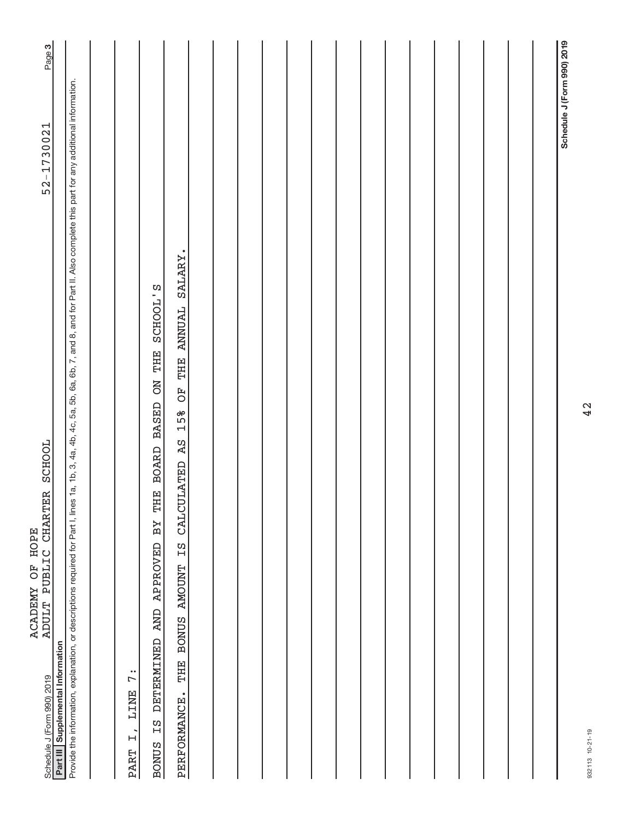| <b>SCHOOL</b><br><b>CHARTER</b><br>ACADEMY OF HOPE<br>PUBLIC<br><b>ADULT</b><br>Schedule J (Form 990) 2019                                                                                                 | 52-1730021                 | Page 3 |
|------------------------------------------------------------------------------------------------------------------------------------------------------------------------------------------------------------|----------------------------|--------|
| Part III Supplemental Information                                                                                                                                                                          |                            |        |
| Provide the information, explanation, or descriptions required for Part I, lines 1a, 1b, 3, 4a, 4b, 4c, 5a, 5b, 6a, 6b, 7, and 8, and for Part II. Also complete this part for any additional information. |                            |        |
|                                                                                                                                                                                                            |                            |        |
| 7:<br>LINE<br>$\overline{H}$<br><b>PART</b>                                                                                                                                                                |                            |        |
| SCHOOL'S<br>BOARD BASED ON THE<br>THE<br>ΒY<br><b>APPROVED</b><br><b>AND</b><br><b>DETERMINED</b><br>Ξ<br><b>BONUS</b>                                                                                     |                            |        |
| THE ANNUAL SALARY.<br>FO<br>15%<br>A <sub>S</sub><br><b>CALCULATED</b><br>Ξ<br><b>AMOUNT</b><br><b>BONUS</b><br>THE<br>PERFORMANCE.                                                                        |                            |        |
|                                                                                                                                                                                                            |                            |        |
|                                                                                                                                                                                                            |                            |        |
|                                                                                                                                                                                                            |                            |        |
|                                                                                                                                                                                                            |                            |        |
|                                                                                                                                                                                                            |                            |        |
|                                                                                                                                                                                                            |                            |        |
|                                                                                                                                                                                                            |                            |        |
|                                                                                                                                                                                                            |                            |        |
|                                                                                                                                                                                                            |                            |        |
|                                                                                                                                                                                                            |                            |        |
|                                                                                                                                                                                                            |                            |        |
|                                                                                                                                                                                                            |                            |        |
|                                                                                                                                                                                                            |                            |        |
|                                                                                                                                                                                                            |                            |        |
|                                                                                                                                                                                                            |                            |        |
|                                                                                                                                                                                                            | Schedule J (Form 990) 2019 |        |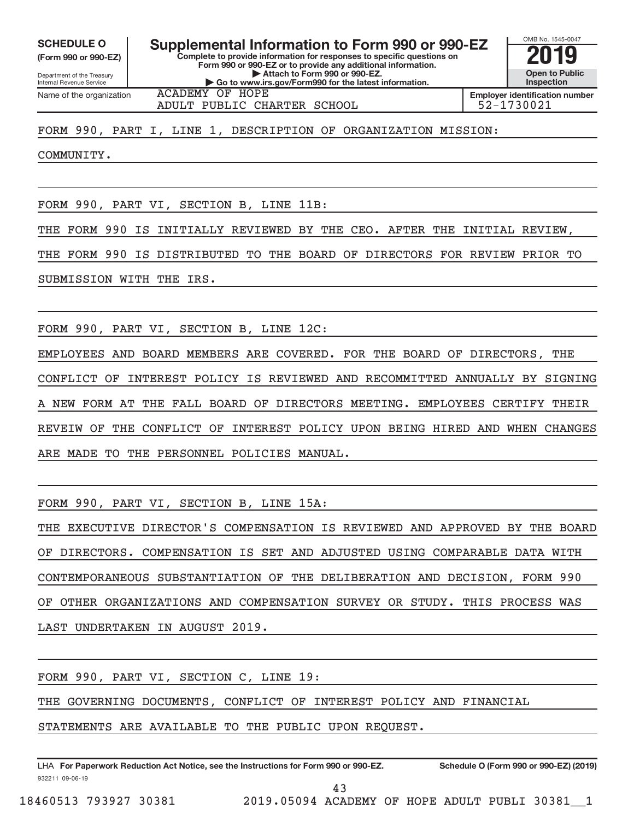**(Form 990 or 990-EZ)**

Department of the Treasury Internal Revenue Service Name of the organization

**Complete to provide information for responses to specific questions on Form 990 or 990-EZ or to provide any additional information. | Attach to Form 990 or 990-EZ. | Go to www.irs.gov/Form990 for the latest information.** SCHEDULE O **Supplemental Information to Form 990 or 990-EZ** 2019<br>(Form 990 or 990-EZ) **2019** 

**Open to Public Inspection Employer identification number**

OMB No. 1545-0047

ACADEMY OF HOPE ADULT PUBLIC CHARTER SCHOOL **1998** 192-1730021

FORM 990, PART I, LINE 1, DESCRIPTION OF ORGANIZATION MISSION:

COMMUNITY.

FORM 990, PART VI, SECTION B, LINE 11B:

THE FORM 990 IS INITIALLY REVIEWED BY THE CEO. AFTER THE INITIAL REVIEW,

THE FORM 990 IS DISTRIBUTED TO THE BOARD OF DIRECTORS FOR REVIEW PRIOR TO

SUBMISSION WITH THE IRS.

FORM 990, PART VI, SECTION B, LINE 12C:

EMPLOYEES AND BOARD MEMBERS ARE COVERED. FOR THE BOARD OF DIRECTORS, THE CONFLICT OF INTEREST POLICY IS REVIEWED AND RECOMMITTED ANNUALLY BY SIGNING NEW FORM AT THE FALL BOARD OF DIRECTORS MEETING. EMPLOYEES CERTIFY THEIR REVEIW OF THE CONFLICT OF INTEREST POLICY UPON BEING HIRED AND WHEN CHANGES ARE MADE TO THE PERSONNEL POLICIES MANUAL.

FORM 990, PART VI, SECTION B, LINE 15A:

THE EXECUTIVE DIRECTOR'S COMPENSATION IS REVIEWED AND APPROVED BY THE BOARD OF DIRECTORS. COMPENSATION IS SET AND ADJUSTED USING COMPARABLE DATA WITH CONTEMPORANEOUS SUBSTANTIATION OF THE DELIBERATION AND DECISION, FORM 990 OF OTHER ORGANIZATIONS AND COMPENSATION SURVEY OR STUDY. THIS PROCESS WAS LAST UNDERTAKEN IN AUGUST 2019.

FORM 990, PART VI, SECTION C, LINE 19:

THE GOVERNING DOCUMENTS, CONFLICT OF INTEREST POLICY AND FINANCIAL

STATEMENTS ARE AVAILABLE TO THE PUBLIC UPON REQUEST.

932211 09-06-19 **For Paperwork Reduction Act Notice, see the Instructions for Form 990 or 990-EZ. Schedule O (Form 990 or 990-EZ) (2019)** LHA